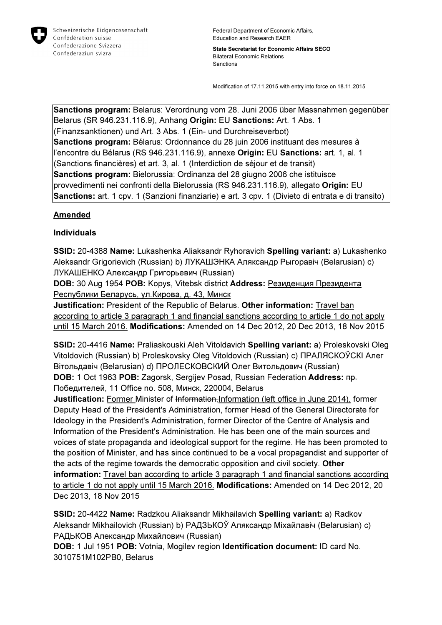

Federal Department of Economic Affairs, Education and Research EAER

State Secretariat for Economic Affairs SECO Bilateral Economic Relations Sanctions

Modification of 17.11.2015 with entry into force on 18.11.2015

Sanctions program: Belarus: Verordnung vom 28. Juni 2006 über Massnahmen gegenüber Belarus (SR 946.231.116.9), Anhang Origin: EU Sanctions: Art. 1 Abs. 1 (Finanzsanktionen) und Art. 3 Abs. 1 (Ein- und Durchreiseverbot) Sanctions program: Bélarus: Ordonnance du 28 juin 2006 instituant des mesures à l'encontre du Bélarus (RS 946.231.116.9), annexe Origin: EU Sanctions: art. 1, al. 1 (Sanctions financières) et art. 3, al. 1 (Interdiction de séjour et de transit) Sanctions program: Bielorussia: Ordinanza del 28 giugno 2006 che istituisce provvedimenti nei confronti della Bielorussia (RS 946.231.116.9), allegato Origin: EU Sanctions: art. 1 cpv. 1 (Sanzioni finanziarie) e art. 3 cpv. 1 (Divieto di entrata e di transito)

#### **Amended**

#### Individuals

SSID: 20-4388 Name: Lukashenka Aliaksandr Ryhoravich Spelling variant: a) Lukashenko Aleksandr Grigorievich (Russian) b) ЛУКАШЭНКА Аляксандр Рыгоравіч (Belarusian) c) ЛУКАШЕНКО Александр Григорьевич (Russian)

DOB: 30 Aug 1954 POB: Kopys, Vitebsk district Address: Резиденция Президента Республики Беларусь, ул.Кирова, д. 43, Минск

Justification: President of the Republic of Belarus. Other information: Travel ban according to article 3 paragraph 1 and financial sanctions according to article 1 do not apply until 15 March 2016. Modifications: Amended on 14 Dec 2012, 20 Dec 2013, 18 Nov 2015

SSID: 20-4416 Name: Praliaskouski Aleh Vitoldavich Spelling variant: a) Proleskovski Oleg Vitoldovich (Russian) b) Proleskovsky Oleg Vitoldovich (Russian) c) ПРАЛЯСКОЎСКI Алег Вітольдавіч (Belarusian) d) ПРОЛЕСКОВСКИЙ Олег Витольдович (Russian) DOB: 1 Oct 1963 POB: Zagorsk, Sergijev Posad, Russian Federation Address: пр. Победителей, 11 Office no. 508, Минск, 220004, Belarus

Justification: Former Minister of Information, Information (left office in June 2014), former Deputy Head of the President's Administration, former Head of the General Directorate for Ideology in the President's Administration, former Director of the Centre of Analysis and Information of the President's Administration. He has been one of the main sources and voices of state propaganda and ideological support for the regime. He has been promoted to the position of Minister, and has since continued to be a vocal propagandist and supporter of the acts of the regime towards the democratic opposition and civil society. Other information: Travel ban according to article 3 paragraph 1 and financial sanctions according to article 1 do not apply until 15 March 2016. Modifications: Amended on 14 Dec 2012, 20 Dec 2013, 18 Nov 2015

SSID: 20-4422 Name: Radzkou Aliaksandr Mikhailavich Spelling variant: a) Radkov Aleksandr Mikhailovich (Russian) b) РАДЗЬКОЎ Аляксандр Міхайлавіч (Belarusian) c) РАДЬКОВ Александр Михайлович (Russian)

DOB: 1 Jul 1951 POB: Votnia, Mogilev region Identification document: ID card No. 3010751M102PB0, Belarus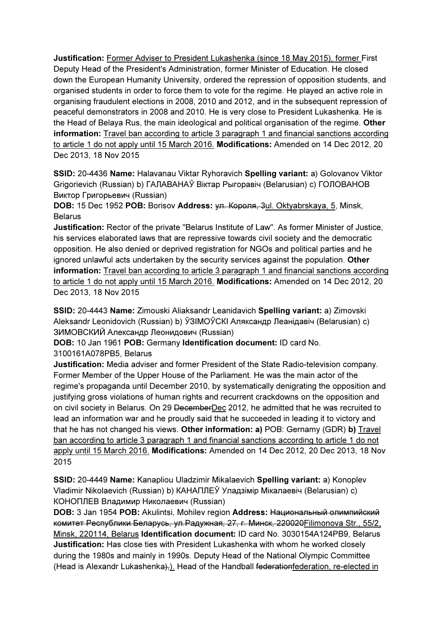Justification: Former Adviser to President Lukashenka (since 18 May 2015), former First Deputy Head of the President's Administration, former Minister of Education. He closed down the European Humanity University, ordered the repression of opposition students, and organised students in order to force them to vote for the regime. He played an active role in organising fraudulent elections in 2008, 2010 and 2012, and in the subsequent repression of peaceful demonstrators in 2008 and 2010. He is very close to President Lukashenka. He is the Head of Belaya Rus, the main ideological and political organisation of the regime. Other information: Travel ban according to article 3 paragraph 1 and financial sanctions according to article 1 do not apply until 15 March 2016. Modifications: Amended on 14 Dec 2012, 20 Dec 2013, 18 Nov 2015

SSID: 20-4436 Name: Halavanau Viktar Ryhoravich Spelling variant: a) Golovanov Viktor Grigorievich (Russian) b) ГАЛАВАНАЎ Віктар Рыгоравіч (Belarusian) c) ГОЛОВАНОВ Виктор Григорьевич (Russian)

DOB: 15 Dec 1952 POB: Borisov Address: ул. Короля, 3ul. Oktyabrskaya, 5, Minsk, **Belarus** 

Justification: Rector of the private "Belarus Institute of Law". As former Minister of Justice, his services elaborated laws that are repressive towards civil society and the democratic opposition. He also denied or deprived registration for NGOs and political parties and he ignored unlawful acts undertaken by the security services against the population. Other information: Travel ban according to article 3 paragraph 1 and financial sanctions according to article 1 do not apply until 15 March 2016. Modifications: Amended on 14 Dec 2012, 20 Dec 2013, 18 Nov 2015

SSID: 20-4443 Name: Zimouski Aliaksandr Leanidavich Spelling variant: a) Zimovski Aleksandr Leonidovich (Russian) b) ЎЗIМOЎCКI Аляксандр Леанідавіч (Belarusian) c) ЗИМОВСКИЙ Александр Леонидович (Russian)

DOB: 10 Jan 1961 POB: Germany Identification document: ID card No. 3100161A078PB5, Belarus

Justification: Media adviser and former President of the State Radio-television company. Former Member of the Upper House of the Parliament. He was the main actor of the regime's propaganda until December 2010, by systematically denigrating the opposition and justifying gross violations of human rights and recurrent crackdowns on the opposition and on civil society in Belarus. On 29 DecemberDec 2012, he admitted that he was recruited to lead an information war and he proudly said that he succeeded in leading it to victory and that he has not changed his views. Other information: a) POB: Gernamy (GDR) b) Travel ban according to article 3 paragraph 1 and financial sanctions according to article 1 do not apply until 15 March 2016. Modifications: Amended on 14 Dec 2012, 20 Dec 2013, 18 Nov 2015

SSID: 20-4449 Name: Kanapliou Uladzimir Mikalaevich Spelling variant: a) Konoplev Vladimir Nikolaevich (Russian) b) КАНАПЛЕЎ Уладзімір Мікалаевіч (Belarusian) c) КОНОПЛЕВ Владимир Николаевич (Russian)

DOB: 3 Jan 1954 POB: Akulintsi, Mohilev region Address: Национальный олимпийский комитет Республики Беларусь, ул.Радужная, 27, г. Минск, 220020Filimonova Str., 55/2, Minsk, 220114, Belarus Identification document: ID card No. 3030154A124PB9, Belarus Justification: Has close ties with President Lukashenka with whom he worked closely during the 1980s and mainly in 1990s. Deputy Head of the National Olympic Committee (Head is Alexandr Lukashenka), Head of the Handball federationfederation, re-elected in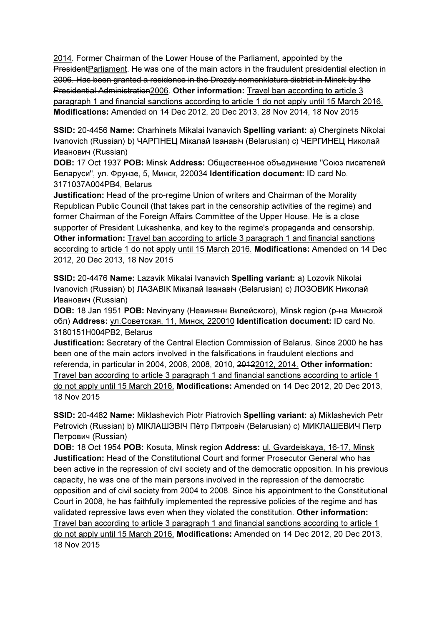2014. Former Chairman of the Lower House of the Parliament, appointed by the PresidentParliament. He was one of the main actors in the fraudulent presidential election in 2006. Has been granted a residence in the Drozdy nomenklatura district in Minsk by the Presidential Administration2006. Other information: Travel ban according to article 3 paragraph 1 and financial sanctions according to article 1 do not apply until 15 March 2016. Modifications: Amended on 14 Dec 2012, 20 Dec 2013, 28 Nov 2014, 18 Nov 2015

SSID: 20-4456 Name: Charhinets Mikalai Ivanavich Spelling variant: a) Cherginets Nikolai Ivanovich (Russian) b) ЧАРГIНЕЦ Мікалай Іванавіч (Belarusian) c) ЧЕРГИНЕЦ Николай Иванович (Russian)

DOB: 17 Oct 1937 POB: Minsk Address: Общественное объединение "Союз писателей Беларуси", ул. Фрунзе, 5, Минск, 220034 Identification document: ID card No. 3171037A004PB4, Belarus

Justification: Head of the pro-regime Union of writers and Chairman of the Morality Republican Public Council (that takes part in the censorship activities of the regime) and former Chairman of the Foreign Affairs Committee of the Upper House. He is a close supporter of President Lukashenka, and key to the regime's propaganda and censorship. Other information: Travel ban according to article 3 paragraph 1 and financial sanctions according to article 1 do not apply until 15 March 2016. Modifications: Amended on 14 Dec 2012, 20 Dec 2013, 18 Nov 2015

SSID: 20-4476 Name: Lazavik Mikalai Ivanavich Spelling variant: a) Lozovik Nikolai Ivanovich (Russian) b) ЛАЗАВIК Мікалай Іванавіч (Belarusian) c) ЛОЗОВИК Николай Иванович (Russian)

DOB: 18 Jan 1951 POB: Nevinyany (Невинянн Вилейского), Minsk region (р-на Минской обл) Address: ул.Советская, 11, Минск, 220010 Identification document: ID card No. 3180151H004PB2, Belarus

Justification: Secretary of the Central Election Commission of Belarus. Since 2000 he has been one of the main actors involved in the falsifications in fraudulent elections and referenda, in particular in 2004, 2006, 2008, 2010, 20122012, 2014. Other information: Travel ban according to article 3 paragraph 1 and financial sanctions according to article 1 do not apply until 15 March 2016. Modifications: Amended on 14 Dec 2012, 20 Dec 2013, 18 Nov 2015

SSID: 20-4482 Name: Miklashevich Piotr Piatrovich Spelling variant: a) Miklashevich Petr Petrovich (Russian) b) МIКЛАШЭВIЧ Пётр Пятровіч (Belarusian) c) МИКЛАШЕВИЧ Петр Петрович (Russian)

DOB: 18 Oct 1954 POB: Kosuta, Minsk region Address: ul. Gvardeiskaya, 16-17, Minsk Justification: Head of the Constitutional Court and former Prosecutor General who has been active in the repression of civil society and of the democratic opposition. In his previous capacity, he was one of the main persons involved in the repression of the democratic opposition and of civil society from 2004 to 2008. Since his appointment to the Constitutional Court in 2008, he has faithfully implemented the repressive policies of the regime and has validated repressive laws even when they violated the constitution. Other information: Travel ban according to article 3 paragraph 1 and financial sanctions according to article 1 do not apply until 15 March 2016. Modifications: Amended on 14 Dec 2012, 20 Dec 2013, 18 Nov 2015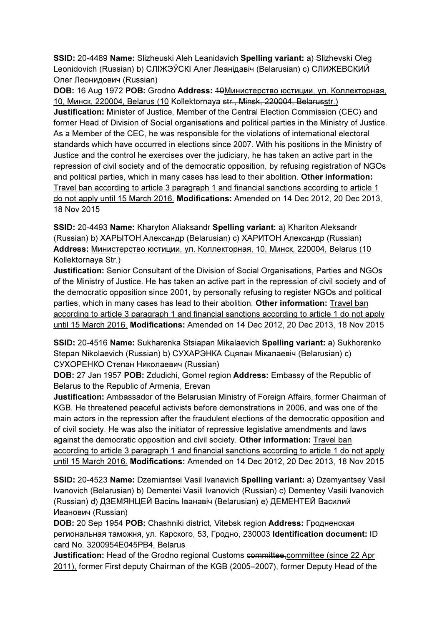SSID: 20-4489 Name: Slizheuski Aleh Leanidavich Spelling variant: a) Slizhevski Oleg Leonidovich (Russian) b) СЛIЖЭЎСКI Алег Леанідавіч (Belarusian) c) СЛИЖЕВСКИЙ Олег Леонидович (Russian)

DOB: 16 Aug 1972 POB: Grodno Address: 10Министерство юстиции, ул. Коллекторная, 10, Минск, 220004, Belarus (10 Kollektornaya str., Minsk, 220004, Belarusstr.) Justification: Minister of Justice, Member of the Central Election Commission (CEC) and former Head of Division of Social organisations and political parties in the Ministry of Justice. As a Member of the CEC, he was responsible for the violations of international electoral standards which have occurred in elections since 2007. With his positions in the Ministry of Justice and the control he exercises over the judiciary, he has taken an active part in the repression of civil society and of the democratic opposition, by refusing registration of NGOs and political parties, which in many cases has lead to their abolition. Other information: Travel ban according to article 3 paragraph 1 and financial sanctions according to article 1 do not apply until 15 March 2016. Modifications: Amended on 14 Dec 2012, 20 Dec 2013, 18 Nov 2015

SSID: 20-4493 Name: Kharyton Aliaksandr Spelling variant: a) Khariton Aleksandr (Russian) b) ХАРЫТОН Александр (Belarusian) c) ХАРИТОН Александр (Russian) Address: Министерство юстиции, ул. Коллекторная, 10, Минск, 220004, Belarus (10 Kollektornaya Str.)

Justification: Senior Consultant of the Division of Social Organisations, Parties and NGOs of the Ministry of Justice. He has taken an active part in the repression of civil society and of the democratic opposition since 2001, by personally refusing to register NGOs and political parties, which in many cases has lead to their abolition. Other information: Travel ban according to article 3 paragraph 1 and financial sanctions according to article 1 do not apply until 15 March 2016. Modifications: Amended on 14 Dec 2012, 20 Dec 2013, 18 Nov 2015

SSID: 20-4516 Name: Sukharenka Stsiapan Mikalaevich Spelling variant: a) Sukhorenko Stepan Nikolaevich (Russian) b) СУХАРЭНКА Сцяпан Мікалаевіч (Belarusian) c) СУХОРЕНКО Степан Николаевич (Russian)

DOB: 27 Jan 1957 POB: Zdudichi, Gomel region Address: Embassy of the Republic of Belarus to the Republic of Armenia, Erevan

Justification: Ambassador of the Belarusian Ministry of Foreign Affairs, former Chairman of KGB. He threatened peaceful activists before demonstrations in 2006, and was one of the main actors in the repression after the fraudulent elections of the democratic opposition and of civil society. He was also the initiator of repressive legislative amendments and laws against the democratic opposition and civil society. Other information: Travel ban according to article 3 paragraph 1 and financial sanctions according to article 1 do not apply until 15 March 2016. Modifications: Amended on 14 Dec 2012, 20 Dec 2013, 18 Nov 2015

SSID: 20-4523 Name: Dzemiantsei Vasil Ivanavich Spelling variant: a) Dzemyantsey Vasil Ivanovich (Belarusian) b) Dementei Vasili Ivanovich (Russian) c) Dementey Vasili Ivanovich (Russian) d) ДЗЕМЯНЦЕЙ Васіль Iванавіч (Belarusian) e) ДЕМЕНТЕЙ Василий Иванович (Russian)

DOB: 20 Sep 1954 POB: Chashniki district, Vitebsk region Address: Гродненская региональная таможня, ул. Карского, 53, Гродно, 230003 Identification document: ID card No. 3200954E045PB4, Belarus

Justification: Head of the Grodno regional Customs committee, committee (since 22 Apr 2011), former First deputy Chairman of the KGB (2005–2007), former Deputy Head of the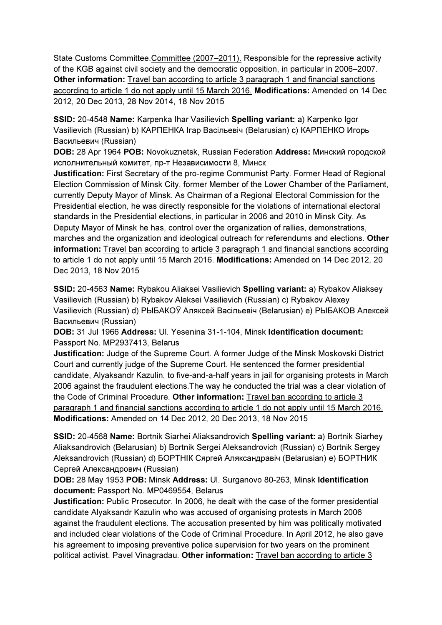State Customs Committee.Committee (2007–2011). Responsible for the repressive activity of the KGB against civil society and the democratic opposition, in particular in 2006–2007. Other information: Travel ban according to article 3 paragraph 1 and financial sanctions according to article 1 do not apply until 15 March 2016. Modifications: Amended on 14 Dec 2012, 20 Dec 2013, 28 Nov 2014, 18 Nov 2015

SSID: 20-4548 Name: Karpenka Ihar Vasilievich Spelling variant: a) Karpenko Igor Vasilievich (Russian) b) КАРПЕНКА Ігар Васільевіч (Belarusian) c) КАРПЕНКО Игорь Васильевич (Russian)

DOB: 28 Apr 1964 POB: Novokuznetsk, Russian Federation Address: Минский городской исполнительный комитет, пр-т Независимости 8, Минск

Justification: First Secretary of the pro-regime Communist Party. Former Head of Regional Election Commission of Minsk City, former Member of the Lower Chamber of the Parliament, currently Deputy Mayor of Minsk. As Chairman of a Regional Electoral Commission for the Presidential election, he was directly responsible for the violations of international electoral standards in the Presidential elections, in particular in 2006 and 2010 in Minsk City. As Deputy Mayor of Minsk he has, control over the organization of rallies, demonstrations, marches and the organization and ideological outreach for referendums and elections. Other information: Travel ban according to article 3 paragraph 1 and financial sanctions according to article 1 do not apply until 15 March 2016. Modifications: Amended on 14 Dec 2012, 20 Dec 2013, 18 Nov 2015

SSID: 20-4563 Name: Rybakou Aliaksei Vasilievich Spelling variant: a) Rybakov Aliaksey Vasilievich (Russian) b) Rybakov Aleksei Vasilievich (Russian) c) Rybakov Alexey Vasilievich (Russian) d) РЫБАКОЎ Аляксей Васiльевiч (Belarusian) e) РЫБАКОВ Алексей Васильевич (Russian)

DOB: 31 Jul 1966 Address: Ul. Yesenina 31-1-104, Minsk Identification document: Passport No. MP2937413, Belarus

Justification: Judge of the Supreme Court. A former Judge of the Minsk Moskovski District Court and currently judge of the Supreme Court. He sentenced the former presidential candidate, Alyaksandr Kazulin, to five-and-a-half years in jail for organising protests in March 2006 against the fraudulent elections.The way he conducted the trial was a clear violation of the Code of Criminal Procedure. Other information: Travel ban according to article 3 paragraph 1 and financial sanctions according to article 1 do not apply until 15 March 2016. Modifications: Amended on 14 Dec 2012, 20 Dec 2013, 18 Nov 2015

SSID: 20-4568 Name: Bortnik Siarhei Aliaksandrovich Spelling variant: a) Bortnik Siarhey Aliaksandrovich (Belarusian) b) Bortnik Sergei Aleksandrovich (Russian) c) Bortnik Sergey Aleksandrovich (Russian) d) БОРТНIК Сяргей Аляксандравіч (Belarusian) e) БОРТНИК Сергей Александрович (Russian)

DOB: 28 May 1953 POB: Minsk Address: Ul. Surganovo 80-263, Minsk Identification document: Passport No. MP0469554, Belarus

Justification: Public Prosecutor. In 2006, he dealt with the case of the former presidential candidate Alyaksandr Kazulin who was accused of organising protests in March 2006 against the fraudulent elections. The accusation presented by him was politically motivated and included clear violations of the Code of Criminal Procedure. In April 2012, he also gave his agreement to imposing preventive police supervision for two years on the prominent political activist, Pavel Vinagradau. Other information: Travel ban according to article 3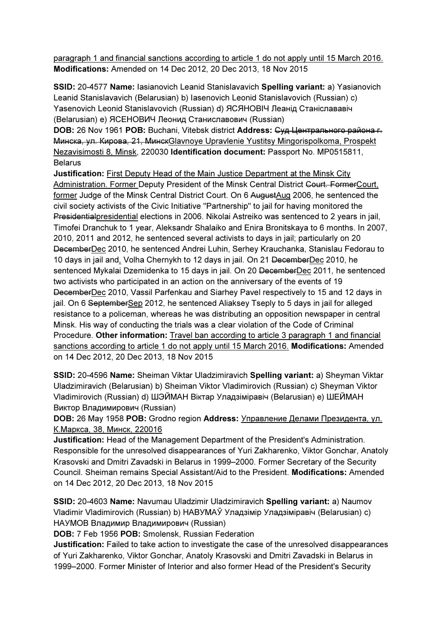paragraph 1 and financial sanctions according to article 1 do not apply until 15 March 2016. Modifications: Amended on 14 Dec 2012, 20 Dec 2013, 18 Nov 2015

SSID: 20-4577 Name: Iasianovich Leanid Stanislavavich Spelling variant: a) Yasianovich Leanid Stanislavavich (Belarusian) b) Iasenovich Leonid Stanislavovich (Russian) c) Yasenovich Leonid Stanislavovich (Russian) d) ЯСЯНОВІЧ Леанід Станіслававіч (Belarusian) e) ЯСЕНОВИЧ Леонид Станиславович (Russian)

DOB: 26 Nov 1961 POB: Buchani, Vitebsk district Address: Суд Центрального района г. Минска, ул. Кирова, 21, МинскGlavnoye Upravlenie Yustitsy Mingorispolkoma, Prospekt Nezavisimosti 8, Minsk, 220030 Identification document: Passport No. MP0515811, **Belarus** 

Justification: First Deputy Head of the Main Justice Department at the Minsk City Administration. Former Deputy President of the Minsk Central District Court. FormerCourt, former Judge of the Minsk Central District Court. On 6 AugustAug 2006, he sentenced the civil society activists of the Civic Initiative "Partnership" to jail for having monitored the Presidentialpresidential elections in 2006. Nikolai Astreiko was sentenced to 2 years in jail, Timofei Dranchuk to 1 year, Aleksandr Shalaiko and Enira Bronitskaya to 6 months. In 2007, 2010, 2011 and 2012, he sentenced several activists to days in jail; particularly on 20 DecemberDec 2010, he sentenced Andrei Luhin, Serhey Krauchanka, Stanislau Fedorau to 10 days in jail and, Volha Chernykh to 12 days in jail. On 21 DecemberDec 2010, he sentenced Mykalai Dzemidenka to 15 days in jail. On 20 DecemberDec 2011, he sentenced two activists who participated in an action on the anniversary of the events of 19 DecemberDec 2010, Vassil Parfenkau and Siarhey Pavel respectively to 15 and 12 days in jail. On 6 September Sep 2012, he sentenced Aliaksey Tseply to 5 days in jail for alleged resistance to a policeman, whereas he was distributing an opposition newspaper in central Minsk. His way of conducting the trials was a clear violation of the Code of Criminal Procedure. Other information: Travel ban according to article 3 paragraph 1 and financial sanctions according to article 1 do not apply until 15 March 2016. Modifications: Amended on 14 Dec 2012, 20 Dec 2013, 18 Nov 2015

SSID: 20-4596 Name: Sheiman Viktar Uladzimiravich Spelling variant: a) Sheyman Viktar Uladzimiravich (Belarusian) b) Sheiman Viktor Vladimirovich (Russian) c) Sheyman Viktor Vladimirovich (Russian) d) ШЭЙМАН Віктар Уладзіміравіч (Belarusian) e) ШЕЙМАН Виктор Владимирович (Russian)

DOB: 26 May 1958 POB: Grodno region Address: Управлениe Делами Президента, ул. К.Маркса, 38, Минск, 220016

Justification: Head of the Management Department of the President's Administration. Responsible for the unresolved disappearances of Yuri Zakharenko, Viktor Gonchar, Anatoly Krasovski and Dmitri Zavadski in Belarus in 1999–2000. Former Secretary of the Security Council. Sheiman remains Special Assistant/Aid to the President. Modifications: Amended on 14 Dec 2012, 20 Dec 2013, 18 Nov 2015

SSID: 20-4603 Name: Navumau Uladzimir Uladzimiravich Spelling variant: a) Naumov Vladimir Vladimirovich (Russian) b) НАВУМАЎ Уладзімір Уладзіміравіч (Belarusian) c) НАУМОВ Владимир Владимирович (Russian)

DOB: 7 Feb 1956 POB: Smolensk, Russian Federation

Justification: Failed to take action to investigate the case of the unresolved disappearances of Yuri Zakharenko, Viktor Gonchar, Anatoly Krasovski and Dmitri Zavadski in Belarus in 1999–2000. Former Minister of Interior and also former Head of the President's Security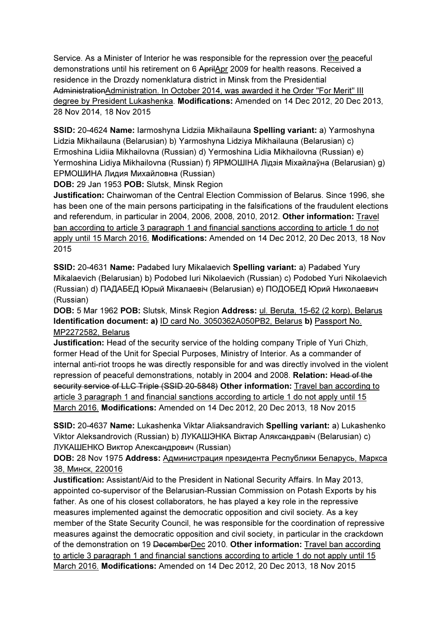Service. As a Minister of Interior he was responsible for the repression over the peaceful demonstrations until his retirement on 6 AprilApr 2009 for health reasons. Received a residence in the Drozdy nomenklatura district in Minsk from the Presidential AdministrationAdministration. In October 2014, was awarded it he Order "For Merit" III degree by President Lukashenka. Modifications: Amended on 14 Dec 2012, 20 Dec 2013, 28 Nov 2014, 18 Nov 2015

SSID: 20-4624 Name: Iarmoshyna Lidziia Mikhailauna Spelling variant: a) Yarmoshyna Lidzia Mikhailauna (Belarusian) b) Yarmoshyna Lidziya Mikhailauna (Belarusian) c) Ermoshina Lidiia Mikhailovna (Russian) d) Yermoshina Lidia Mikhailovna (Russian) e) Yermoshina Lidiya Mikhailovna (Russian) f) ЯРМОШIНА Лідзія Міхайлаўна (Belarusian) g) ЕРМОШИНА Лидия Михайловна (Russian)

DOB: 29 Jan 1953 POB: Slutsk, Minsk Region

Justification: Chairwoman of the Central Election Commission of Belarus. Since 1996, she has been one of the main persons participating in the falsifications of the fraudulent elections and referendum, in particular in 2004, 2006, 2008, 2010, 2012. Other information: Travel ban according to article 3 paragraph 1 and financial sanctions according to article 1 do not apply until 15 March 2016. Modifications: Amended on 14 Dec 2012, 20 Dec 2013, 18 Nov 2015

SSID: 20-4631 Name: Padabed Iury Mikalaevich Spelling variant: a) Padabed Yury Mikalaevich (Belarusian) b) Podobed Iuri Nikolaevich (Russian) c) Podobed Yuri Nikolaevich (Russian) d) ПАДАБЕД Юрый Мікалаевіч (Belarusian) e) ПОДОБЕД Юрий Николаевич (Russian)

DOB: 5 Mar 1962 POB: Slutsk, Minsk Region Address: ul. Beruta, 15-62 (2 korp), Belarus Identification document: a) ID card No. 3050362A050PB2, Belarus b) Passport No. MP2272582, Belarus

**Justification:** Head of the security service of the holding company Triple of Yuri Chizh, former Head of the Unit for Special Purposes, Ministry of Interior. As a commander of internal anti-riot troops he was directly responsible for and was directly involved in the violent repression of peaceful demonstrations, notably in 2004 and 2008. Relation: Head of the security service of LLC Triple (SSID 20-5848) Other information: Travel ban according to article 3 paragraph 1 and financial sanctions according to article 1 do not apply until 15 March 2016. Modifications: Amended on 14 Dec 2012, 20 Dec 2013, 18 Nov 2015

SSID: 20-4637 Name: Lukashenka Viktar Aliaksandravich Spelling variant: a) Lukashenko Viktor Aleksandrovich (Russian) b) ЛУКАШЭНКА Віктар Аляксандравіч (Belarusian) c) ЛУКАШЕНКО Виктор Александрович (Russian)

### DOB: 28 Nov 1975 Address: Администрация президента Республики Беларусь, Маркса 38, Минск, 220016

Justification: Assistant/Aid to the President in National Security Affairs. In May 2013, appointed co-supervisor of the Belarusian-Russian Commission on Potash Exports by his father. As one of his closest collaborators, he has played a key role in the repressive measures implemented against the democratic opposition and civil society. As a key member of the State Security Council, he was responsible for the coordination of repressive measures against the democratic opposition and civil society, in particular in the crackdown of the demonstration on 19 DecemberDec 2010. Other information: Travel ban according to article 3 paragraph 1 and financial sanctions according to article 1 do not apply until 15 March 2016. Modifications: Amended on 14 Dec 2012, 20 Dec 2013, 18 Nov 2015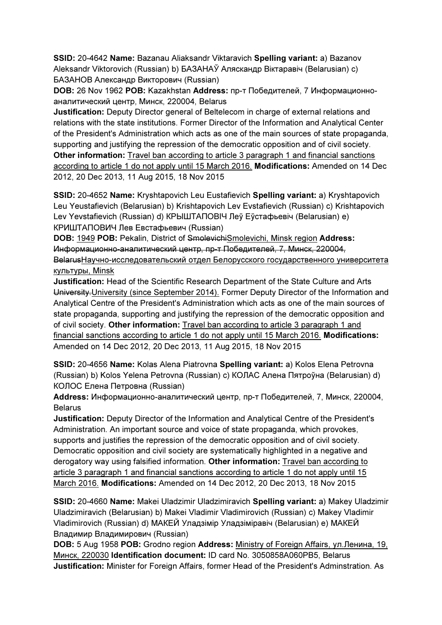SSID: 20-4642 Name: Bazanau Aliaksandr Viktaravich Spelling variant: a) Bazanov Aleksandr Viktorovich (Russian) b) БАЗАНАЎ Аляскандр Віктаравіч (Belarusian) c) БАЗАНОВ Александр Викторович (Russian)

DOB: 26 Nov 1962 POB: Kazakhstan Address: пр-т Победителей, 7 Информационноаналитический центр, Минск, 220004, Belarus

Justification: Deputy Director general of Beltelecom in charge of external relations and relations with the state institutions. Former Director of the Information and Analytical Center of the President's Administration which acts as one of the main sources of state propaganda, supporting and justifying the repression of the democratic opposition and of civil society. Other information: Travel ban according to article 3 paragraph 1 and financial sanctions according to article 1 do not apply until 15 March 2016. Modifications: Amended on 14 Dec 2012, 20 Dec 2013, 11 Aug 2015, 18 Nov 2015

SSID: 20-4652 Name: Kryshtapovich Leu Eustafievich Spelling variant: a) Kryshtapovich Leu Yeustafievich (Belarusian) b) Krishtapovich Lev Evstafievich (Russian) c) Krishtapovich Lev Yevstafievich (Russian) d) КРЫШТАПОВIЧ Леў Еўстафьевіч (Belarusian) e) КРИШТАПОВИЧ Лев Евстафьевич (Russian)

DOB: 1949 POB: Pekalin, District of SmolevichiSmolevichi, Minsk region Address: Информационно-аналитический центр, пр-т Победителей, 7, Минск, 220004, BelarusНаучно-исследовательский отдел Белорусского государственного университета культуры, Minsk

Justification: Head of the Scientific Research Department of the State Culture and Arts University.University (since September 2014). Former Deputy Director of the Information and Analytical Centre of the President's Administration which acts as one of the main sources of state propaganda, supporting and justifying the repression of the democratic opposition and of civil society. Other information: Travel ban according to article 3 paragraph 1 and financial sanctions according to article 1 do not apply until 15 March 2016. Modifications: Amended on 14 Dec 2012, 20 Dec 2013, 11 Aug 2015, 18 Nov 2015

SSID: 20-4656 Name: Kolas Alena Piatrovna Spelling variant: a) Kolos Elena Petrovna (Russian) b) Kolos Yelena Petrovna (Russian) c) КОЛАС Алена Пятроўна (Belarusian) d) КОЛОС Елена Петровна (Russian)

Address: Информационно-аналитический центр, пр-т Победителей, 7, Минск, 220004, Belarus

Justification: Deputy Director of the Information and Analytical Centre of the President's Administration. An important source and voice of state propaganda, which provokes, supports and justifies the repression of the democratic opposition and of civil society. Democratic opposition and civil society are systematically highlighted in a negative and derogatory way using falsified information. Other information: Travel ban according to article 3 paragraph 1 and financial sanctions according to article 1 do not apply until 15 March 2016. Modifications: Amended on 14 Dec 2012, 20 Dec 2013, 18 Nov 2015

SSID: 20-4660 Name: Makei Uladzimir Uladzimiravich Spelling variant: a) Makey Uladzimir Uladzimiravich (Belarusian) b) Makei Vladimir Vladimirovich (Russian) c) Makey Vladimir Vladimirovich (Russian) d) МАКЕЙ Уладзімір Уладзіміравіч (Belarusian) e) МАКЕЙ Владимир Владимирович (Russian)

DOB: 5 Aug 1958 POB: Grodno region Address: Ministry of Foreign Affairs, ул.Ленина, 19, Минск, 220030 Identification document: ID card No. 3050858A060PB5, Belarus Justification: Minister for Foreign Affairs, former Head of the President's Adminstration. As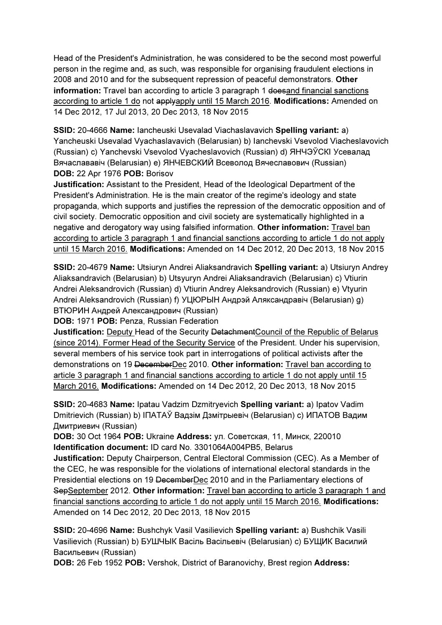Head of the President's Administration, he was considered to be the second most powerful person in the regime and, as such, was responsible for organising fraudulent elections in 2008 and 2010 and for the subsequent repression of peaceful demonstrators. Other information: Travel ban according to article 3 paragraph 1 doesand financial sanctions according to article 1 do not applyapply until 15 March 2016. Modifications: Amended on 14 Dec 2012, 17 Jul 2013, 20 Dec 2013, 18 Nov 2015

SSID: 20-4666 Name: Iancheuski Usevalad Viachaslavavich Spelling variant: a) Yancheuski Usevalad Vyachaslavavich (Belarusian) b) Ianchevski Vsevolod Viacheslavovich (Russian) c) Yanchevski Vsevolod Vyacheslavovich (Russian) d) ЯНЧЭЎСКI Усевалад Вячаслававіч (Belarusian) e) ЯНЧЕВСКИЙ Всеволод Вячеславович (Russian) DOB: 22 Apr 1976 POB: Borisov

Justification: Assistant to the President, Head of the Ideological Department of the President's Administration. He is the main creator of the regime's ideology and state propaganda, which supports and justifies the repression of the democratic opposition and of civil society. Democratic opposition and civil society are systematically highlighted in a negative and derogatory way using falsified information. Other information: Travel ban according to article 3 paragraph 1 and financial sanctions according to article 1 do not apply until 15 March 2016. Modifications: Amended on 14 Dec 2012, 20 Dec 2013, 18 Nov 2015

SSID: 20-4679 Name: Utsiuryn Andrei Aliaksandravich Spelling variant: a) Utsiuryn Andrey Aliaksandravich (Belarusian) b) Utsyuryn Andrei Aliaksandravich (Belarusian) c) Vtiurin Andrei Aleksandrovich (Russian) d) Vtiurin Andrey Aleksandrovich (Russian) e) Vtyurin Andrei Aleksandrovich (Russian) f) УЦЮРЫН Андрэй Аляксандравіч (Belarusian) g) ВТЮРИН Андрей Александрович (Russian)

DOB: 1971 POB: Penza, Russian Federation

Justification: Deputy Head of the Security DetachmentCouncil of the Republic of Belarus (since 2014). Former Head of the Security Service of the President. Under his supervision, several members of his service took part in interrogations of political activists after the demonstrations on 19 DecemberDec 2010. Other information: Travel ban according to article 3 paragraph 1 and financial sanctions according to article 1 do not apply until 15 March 2016. Modifications: Amended on 14 Dec 2012, 20 Dec 2013, 18 Nov 2015

SSID: 20-4683 Name: Ipatau Vadzim Dzmitryevich Spelling variant: a) Ipatov Vadim Dmitrievich (Russian) b) IПAТAЎ Вадзім Дзмітрыевіч (Belarusian) c) ИПАТОВ Вадим Дмитриевич (Russian)

DOB: 30 Oct 1964 POB: Ukraine Address: ул. Советская, 11, Минск, 220010 Identification document: ID card No. 3301064A004PB5, Belarus

Justification: Deputy Chairperson, Central Electoral Commission (CEC). As a Member of the CEC, he was responsible for the violations of international electoral standards in the Presidential elections on 19 DecemberDec 2010 and in the Parliamentary elections of SepSeptember 2012. Other information: Travel ban according to article 3 paragraph 1 and financial sanctions according to article 1 do not apply until 15 March 2016. Modifications: Amended on 14 Dec 2012, 20 Dec 2013, 18 Nov 2015

SSID: 20-4696 Name: Bushchyk Vasil Vasilievich Spelling variant: a) Bushchik Vasili Vasilievich (Russian) b) БУШЧЫК Васіль Васільевіч (Belarusian) c) БУЩИК Василий Васильевич (Russian)

DOB: 26 Feb 1952 POB: Vershok, District of Baranovichy, Brest region Address: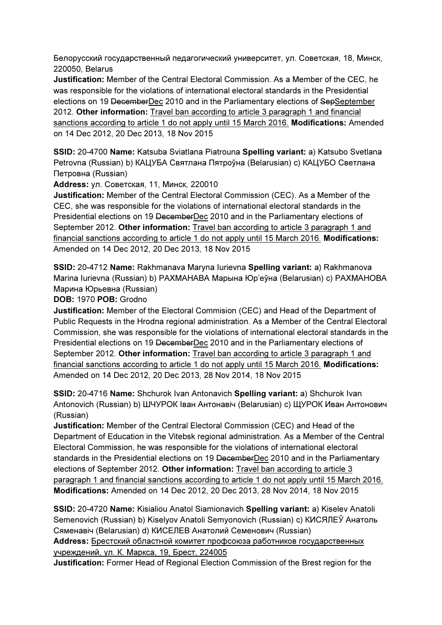Белорусский государственный педагогический университет, ул. Советская, 18, Минск, 220050, Belarus

Justification: Member of the Central Electoral Commission. As a Member of the CEC, he was responsible for the violations of international electoral standards in the Presidential elections on 19 DecemberDec 2010 and in the Parliamentary elections of SepSeptember 2012. Other information: Travel ban according to article 3 paragraph 1 and financial sanctions according to article 1 do not apply until 15 March 2016. Modifications: Amended on 14 Dec 2012, 20 Dec 2013, 18 Nov 2015

SSID: 20-4700 Name: Katsuba Sviatlana Piatrouna Spelling variant: a) Katsubo Svetlana Petrovna (Russian) b) КАЦУБА Святлана Пятроўна (Belarusian) c) КАЦУБО Светлана Петровна (Russian)

Address: ул. Советская, 11, Минск, 220010

Justification: Member of the Central Electoral Commission (CEC). As a Member of the CEC, she was responsible for the violations of international electoral standards in the Presidential elections on 19 DecemberDec 2010 and in the Parliamentary elections of September 2012. Other information: Travel ban according to article 3 paragraph 1 and financial sanctions according to article 1 do not apply until 15 March 2016. Modifications: Amended on 14 Dec 2012, 20 Dec 2013, 18 Nov 2015

SSID: 20-4712 Name: Rakhmanava Maryna Iurievna Spelling variant: a) Rakhmanova Marina Iurievna (Russian) b) РАХМАНАВА Марына Юр'еўна (Belarusian) c) РАХМАНОВА Марина Юрьевна (Russian)

DOB: 1970 POB: Grodno

Justification: Member of the Electoral Commision (CEC) and Head of the Department of Public Requests in the Hrodna regional administration. As a Member of the Central Electoral Commission, she was responsible for the violations of international electoral standards in the Presidential elections on 19 DecemberDec 2010 and in the Parliamentary elections of September 2012. Other information: Travel ban according to article 3 paragraph 1 and financial sanctions according to article 1 do not apply until 15 March 2016. Modifications: Amended on 14 Dec 2012, 20 Dec 2013, 28 Nov 2014, 18 Nov 2015

SSID: 20-4716 Name: Shchurok Ivan Antonavich Spelling variant: a) Shchurok Ivan Antonovich (Russian) b) ШЧУРОК Іван Антонавіч (Belarusian) c) ЩУРОК Иван Антонович (Russian)

Justification: Member of the Central Electoral Commission (CEC) and Head of the Department of Education in the Vitebsk regional administration. As a Member of the Central Electoral Commission, he was responsible for the violations of international electoral standards in the Presidential elections on 19 DecemberDec 2010 and in the Parliamentary elections of September 2012. Other information: Travel ban according to article 3 paragraph 1 and financial sanctions according to article 1 do not apply until 15 March 2016. Modifications: Amended on 14 Dec 2012, 20 Dec 2013, 28 Nov 2014, 18 Nov 2015

SSID: 20-4720 Name: Kisialiou Anatol Siamionavich Spelling variant: a) Kiselev Anatoli Semenovich (Russian) b) Kiselyov Anatoli Semyonovich (Russian) c) КИСЯЛЕЎ Анатоль Сяменавiч (Belarusian) d) КИСЕЛЕВ Анатолий Семенович (Russian)

Address: Брестский областной комитет профсоюза работников государственных учреждений, ул. К. Маркса, 19, Брест, 224005

Justification: Former Head of Regional Election Commission of the Brest region for the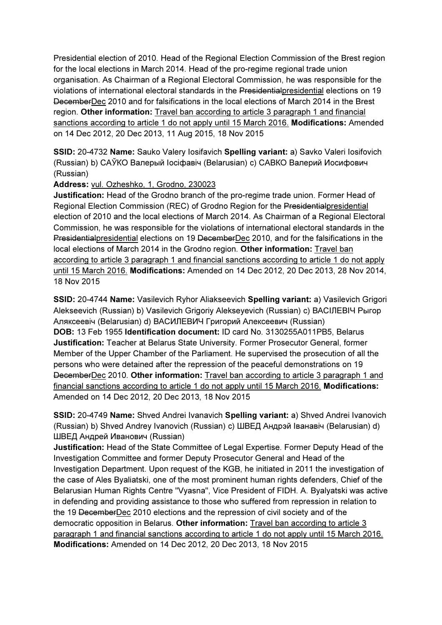Presidential election of 2010. Head of the Regional Election Commission of the Brest region for the local elections in March 2014. Head of the pro-regime regional trade union organisation. As Chairman of a Regional Electoral Commission, he was responsible for the violations of international electoral standards in the Presidentialpresidential elections on 19 DecemberDec 2010 and for falsifications in the local elections of March 2014 in the Brest region. Other information: Travel ban according to article 3 paragraph 1 and financial sanctions according to article 1 do not apply until 15 March 2016. Modifications: Amended on 14 Dec 2012, 20 Dec 2013, 11 Aug 2015, 18 Nov 2015

SSID: 20-4732 Name: Sauko Valery Iosifavich Spelling variant: a) Savko Valeri Iosifovich (Russian) b) САЎКО Валерый Іосіфавіч (Belarusian) c) САВКО Валерий Иосифович (Russian)

#### Address: vul. Ozheshko, 1, Grodno, 230023

Justification: Head of the Grodno branch of the pro-regime trade union. Former Head of Regional Election Commission (REC) of Grodno Region for the Presidential presidential election of 2010 and the local elections of March 2014. As Chairman of a Regional Electoral Commission, he was responsible for the violations of international electoral standards in the Presidentialpresidential elections on 19 DecemberDec 2010, and for the falsifications in the local elections of March 2014 in the Grodno region. Other information: Travel ban according to article 3 paragraph 1 and financial sanctions according to article 1 do not apply until 15 March 2016. Modifications: Amended on 14 Dec 2012, 20 Dec 2013, 28 Nov 2014, 18 Nov 2015

SSID: 20-4744 Name: Vasilevich Ryhor Aliakseevich Spelling variant: a) Vasilevich Grigori Alekseevich (Russian) b) Vasilevich Grigoriy Alekseyevich (Russian) c) ВАСIЛЕВIЧ Рыгор Аляксеевіч (Belarusian) d) ВАСИЛЕВИЧ Григорий Алексеевич (Russian) DOB: 13 Feb 1955 Identification document: ID card No. 3130255A011PB5, Belarus Justification: Teacher at Belarus State University. Former Prosecutor General, former Member of the Upper Chamber of the Parliament. He supervised the prosecution of all the persons who were detained after the repression of the peaceful demonstrations on 19 DecemberDec 2010. Other information: Travel ban according to article 3 paragraph 1 and financial sanctions according to article 1 do not apply until 15 March 2016. Modifications: Amended on 14 Dec 2012, 20 Dec 2013, 18 Nov 2015

SSID: 20-4749 Name: Shved Andrei Ivanavich Spelling variant: a) Shved Andrei Ivanovich (Russian) b) Shved Andrey Ivanovich (Russian) c) ШВЕД Андрэй Іванавіч (Belarusian) d) ШВЕД Андрей Иванович (Russian)

Justification: Head of the State Committee of Legal Expertise. Former Deputy Head of the Investigation Committee and former Deputy Prosecutor General and Head of the Investigation Department. Upon request of the KGB, he initiated in 2011 the investigation of the case of Ales Byaliatski, one of the most prominent human rights defenders, Chief of the Belarusian Human Rights Centre "Vyasna", Vice President of FIDH. A. Byalyatski was active in defending and providing assistance to those who suffered from repression in relation to the 19 DecemberDec 2010 elections and the repression of civil society and of the democratic opposition in Belarus. Other information: Travel ban according to article 3 paragraph 1 and financial sanctions according to article 1 do not apply until 15 March 2016. Modifications: Amended on 14 Dec 2012, 20 Dec 2013, 18 Nov 2015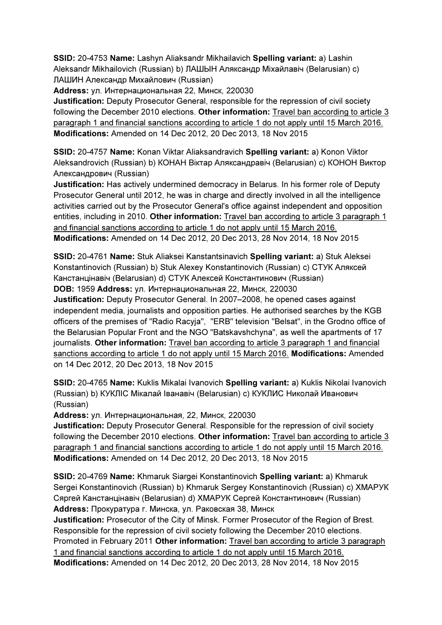SSID: 20-4753 Name: Lashyn Aliaksandr Mikhailavich Spelling variant: a) Lashin Aleksandr Mikhailovich (Russian) b) ЛАШЫН Аляксандр Міхайлавіч (Belarusian) c) ЛАШИН Александр Михайлович (Russian)

Address: ул. Интернациональная 22, Минск, 220030

Justification: Deputy Prosecutor General, responsible for the repression of civil society following the December 2010 elections. Other information: Travel ban according to article 3 paragraph 1 and financial sanctions according to article 1 do not apply until 15 March 2016. Modifications: Amended on 14 Dec 2012, 20 Dec 2013, 18 Nov 2015

SSID: 20-4757 Name: Konan Viktar Aliaksandravich Spelling variant: a) Konon Viktor Aleksandrovich (Russian) b) КОНАН Віктар Аляксандравіч (Belarusian) c) КОНОН Виктор Александрович (Russian)

Justification: Has actively undermined democracy in Belarus. In his former role of Deputy Prosecutor General until 2012, he was in charge and directly involved in all the intelligence activities carried out by the Prosecutor General's office against independent and opposition entities, including in 2010. Other information: Travel ban according to article 3 paragraph 1 and financial sanctions according to article 1 do not apply until 15 March 2016. Modifications: Amended on 14 Dec 2012, 20 Dec 2013, 28 Nov 2014, 18 Nov 2015

SSID: 20-4761 Name: Stuk Aliaksei Kanstantsinavich Spelling variant: a) Stuk Aleksei Konstantinovich (Russian) b) Stuk Alexey Konstantinovich (Russian) c) СТУК Аляксей Канстанцінавіч (Belarusian) d) СТУК Алексей Константинович (Russian)

DOB: 1959 Address: ул. Интернациональная 22, Минск, 220030

Justification: Deputy Prosecutor General. In 2007–2008, he opened cases against independent media, journalists and opposition parties. He authorised searches by the KGB officers of the premises of "Radio Racyja", "ERB" television "Belsat", in the Grodno office of the Belarusian Popular Front and the NGO "Batskavshchyna", as well the apartments of 17 journalists. Other information: Travel ban according to article 3 paragraph 1 and financial sanctions according to article 1 do not apply until 15 March 2016. Modifications: Amended on 14 Dec 2012, 20 Dec 2013, 18 Nov 2015

SSID: 20-4765 Name: Kuklis Mikalai Ivanovich Spelling variant: a) Kuklis Nikolai Ivanovich (Russian) b) КУКЛIС Мікалай Іванавіч (Belarusian) c) КУКЛИС Николай Иванович (Russian)

Address: ул. Интернациональная, 22, Минск, 220030

Justification: Deputy Prosecutor General. Responsible for the repression of civil society following the December 2010 elections. Other information: Travel ban according to article 3 paragraph 1 and financial sanctions according to article 1 do not apply until 15 March 2016. Modifications: Amended on 14 Dec 2012, 20 Dec 2013, 18 Nov 2015

SSID: 20-4769 Name: Khmaruk Siargei Konstantinovich Spelling variant: a) Khmaruk Sergei Konstantinovich (Russian) b) Khmaruk Sergey Konstantinovich (Russian) c) ХМАРУК Сяргей Канстанцінавіч (Belarusian) d) ХМАРУК Сергей Константинович (Russian) Address: Прокуратура г. Минска, ул. Раковская 38, Минск

Justification: Prosecutor of the City of Minsk. Former Prosecutor of the Region of Brest. Responsible for the repression of civil society following the December 2010 elections. Promoted in February 2011 Other information: Travel ban according to article 3 paragraph 1 and financial sanctions according to article 1 do not apply until 15 March 2016. Modifications: Amended on 14 Dec 2012, 20 Dec 2013, 28 Nov 2014, 18 Nov 2015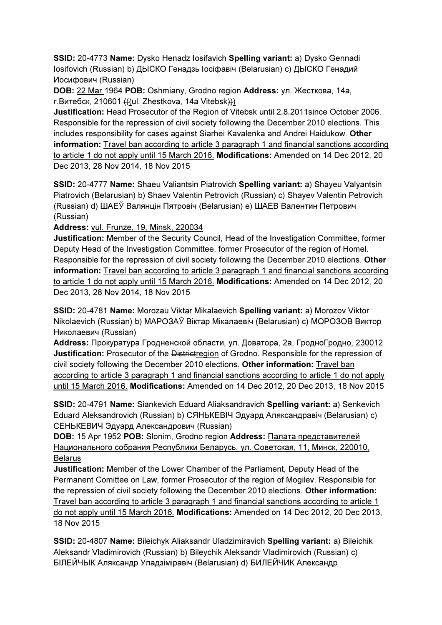SSID: 20-4773 Name: Dysko Henadz Iosifavich Spelling variant: a) Dysko Gennadi Iosifovich (Russian) b) ДЫСКО Генадзь Іосіфавіч (Belarusian) c) ДЫСКО Генадий Иосифович (Russian)

DOB: 22 Mar 1964 POB: Oshmiany, Grodno region Address: ул. Жесткова, 14а, г.Витебск, 210601 (((ul. Zhestkova, 14a Vitebsk)))

Justification: Head Prosecutor of the Region of Vitebsk until 2.8.2011since October 2006. Responsible for the repression of civil society following the December 2010 elections. This includes responsibility for cases against Siarhei Kavalenka and Andrei Haidukow. Other information: Travel ban according to article 3 paragraph 1 and financial sanctions according to article 1 do not apply until 15 March 2016. Modifications: Amended on 14 Dec 2012, 20 Dec 2013, 28 Nov 2014, 18 Nov 2015

SSID: 20-4777 Name: Shaeu Valiantsin Piatrovich Spelling variant: a) Shayeu Valyantsin Piatrovich (Belarusian) b) Shaev Valentin Petrovich (Russian) c) Shayev Valentin Petrovich (Russian) d) ШАЕЎ Валянцін Пятровіч (Belarusian) e) ШАЕВ Валентин Петрович (Russian)

Address: vul. Frunze, 19, Minsk, 220034

Justification: Member of the Security Council, Head of the Investigation Committee, former Deputy Head of the Investigation Committee, former Prosecutor of the region of Homel. Responsible for the repression of civil society following the December 2010 elections. Other information: Travel ban according to article 3 paragraph 1 and financial sanctions according to article 1 do not apply until 15 March 2016. Modifications: Amended on 14 Dec 2012, 20 Dec 2013, 28 Nov 2014, 18 Nov 2015

SSID: 20-4781 Name: Morozau Viktar Mikalaevich Spelling variant: a) Morozov Viktor Nikolaevich (Russian) b) МАРОЗАЎ Віктар Мікалаевіч (Belarusian) c) МОРОЗОВ Виктор Николаевич (Russian)

Address: Прокуратура Гродненской области, ул. Доватора, 2а, <del>Гродно</del>Гродно, 230012 Justification: Prosecutor of the Districtregion of Grodno. Responsible for the repression of civil society following the December 2010 elections. Other information: Travel ban according to article 3 paragraph 1 and financial sanctions according to article 1 do not apply until 15 March 2016. Modifications: Amended on 14 Dec 2012, 20 Dec 2013, 18 Nov 2015

SSID: 20-4791 Name: Siankevich Eduard Aliaksandravich Spelling variant: a) Senkevich Eduard Aleksandrovich (Russian) b) СЯНЬКЕВIЧ Эдуард Аляксандравіч (Belarusian) c) СЕНЬКЕВИЧ Эдуард Александрович (Russian)

DOB: 15 Apr 1952 POB: Slonim, Grodno region Address: Палата представителей Национального собрания Республики Беларусь, ул. Советская, 11, Минск, 220010, Belarus

Justification: Member of the Lower Chamber of the Parliament, Deputy Head of the Permanent Comittee on Law, former Prosecutor of the region of Mogilev. Responsible for the repression of civil society following the December 2010 elections. Other information: Travel ban according to article 3 paragraph 1 and financial sanctions according to article 1 do not apply until 15 March 2016. Modifications: Amended on 14 Dec 2012, 20 Dec 2013, 18 Nov 2015

SSID: 20-4807 Name: Bileichyk Aliaksandr Uladzimiravich Spelling variant: a) Bileichik Aleksandr Vladimirovich (Russian) b) Bileychik Aleksandr Vladimirovich (Russian) c) БIЛЕЙЧЫК Аляксандр Уладзіміравіч (Belarusian) d) БИЛЕЙЧИК Александр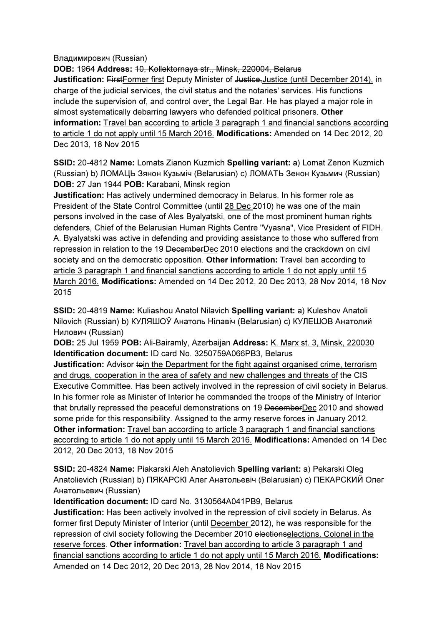Владимирович (Russian)

DOB: 1964 Address: 10, Kollektornaya str., Minsk, 220004, Belarus Justification: FirstFormer first Deputy Minister of Justice-Justice (until December 2014), in charge of the judicial services, the civil status and the notaries' services. His functions include the supervision of, and control over, the Legal Bar. He has played a major role in almost systematically debarring lawyers who defended political prisoners. Other information: Travel ban according to article 3 paragraph 1 and financial sanctions according to article 1 do not apply until 15 March 2016. Modifications: Amended on 14 Dec 2012, 20 Dec 2013, 18 Nov 2015

SSID: 20-4812 Name: Lomats Zianon Kuzmich Spelling variant: a) Lomat Zenon Kuzmich (Russian) b) ЛОМАЦЬ Зянон Кузьміч (Belarusian) c) ЛОМАТЬ Зенон Кузьмич (Russian) DOB: 27 Jan 1944 POB: Karabani, Minsk region

Justification: Has actively undermined democracy in Belarus. In his former role as President of the State Control Committee (until 28 Dec 2010) he was one of the main persons involved in the case of Ales Byalyatski, one of the most prominent human rights defenders, Chief of the Belarusian Human Rights Centre "Vyasna", Vice President of FIDH. A. Byalyatski was active in defending and providing assistance to those who suffered from repression in relation to the 19 DecemberDec 2010 elections and the crackdown on civil society and on the democratic opposition. Other information: Travel ban according to article 3 paragraph 1 and financial sanctions according to article 1 do not apply until 15 March 2016. Modifications: Amended on 14 Dec 2012, 20 Dec 2013, 28 Nov 2014, 18 Nov 2015

SSID: 20-4819 Name: Kuliashou Anatol Nilavich Spelling variant: a) Kuleshov Anatoli Nilovich (Russian) b) КУЛЯШОЎ Анатоль Нілавіч (Belarusian) c) КУЛЕШОВ Анатолий Нилович (Russian)

DOB: 25 Jul 1959 POB: Ali-Bairamly, Azerbaijan Address: K. Marx st. 3, Minsk, 220030 Identification document: ID card No. 3250759A066PB3, Belarus

**Justification:** Advisor toin the Department for the fight against organised crime, terrorism and drugs, cooperation in the area of safety and new challenges and threats of the CIS Executive Committee. Has been actively involved in the repression of civil society in Belarus. In his former role as Minister of Interior he commanded the troops of the Ministry of Interior that brutally repressed the peaceful demonstrations on 19 DecemberDec 2010 and showed some pride for this responsibility. Assigned to the army reserve forces in January 2012. Other information: Travel ban according to article 3 paragraph 1 and financial sanctions according to article 1 do not apply until 15 March 2016. Modifications: Amended on 14 Dec 2012, 20 Dec 2013, 18 Nov 2015

SSID: 20-4824 Name: Piakarski Aleh Anatolievich Spelling variant: a) Pekarski Oleg Anatolievich (Russian) b) ПЯКАРСКI Алег Анатольевіч (Belarusian) c) ПЕКАРСКИЙ Олег Анатольевич (Russian)

Identification document: ID card No. 3130564A041PB9, Belarus

Justification: Has been actively involved in the repression of civil society in Belarus. As former first Deputy Minister of Interior (until December 2012), he was responsible for the repression of civil society following the December 2010 electionselections. Colonel in the reserve forces. Other information: Travel ban according to article 3 paragraph 1 and financial sanctions according to article 1 do not apply until 15 March 2016. Modifications: Amended on 14 Dec 2012, 20 Dec 2013, 28 Nov 2014, 18 Nov 2015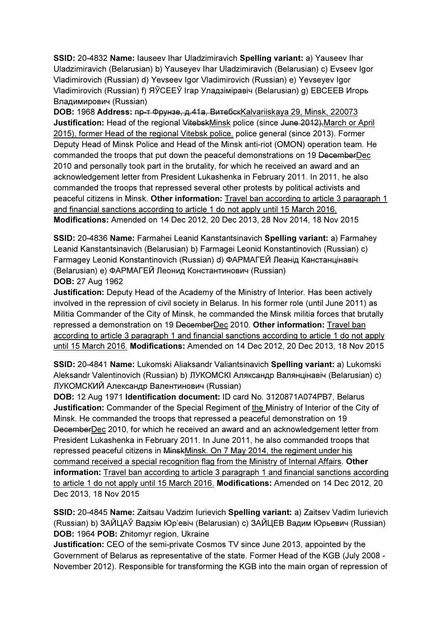SSID: 20-4832 Name: Iauseev Ihar Uladzimiravich Spelling variant: a) Yauseev Ihar Uladzimiravich (Belarusian) b) Yauseyev Ihar Uladzimiravich (Belarusian) c) Evseev Igor Vladimirovich (Russian) d) Yevseev Igor Vladimirovich (Russian) e) Yevseyev Igor Vladimirovich (Russian) f) ЯЎСЕЕЎ Ігар Уладзіміравіч (Belarusian) g) ЕВСЕЕВ Игорь Владимирович (Russian)

DOB: 1968 Address: пр-т Фрунзе, д.41а, ВитебскKalvariiskaya 29, Minsk, 220073 Justification: Head of the regional VitebskMinsk police (since June 2012), March or April 2015), former Head of the regional Vitebsk police, police general (since 2013). Former Deputy Head of Minsk Police and Head of the Minsk anti-riot (OMON) operation team. He commanded the troops that put down the peaceful demonstrations on 19 DecemberDec 2010 and personally took part in the brutality, for which he received an award and an acknowledgement letter from President Lukashenka in February 2011. In 2011, he also commanded the troops that repressed several other protests by political activists and peaceful citizens in Minsk. Other information: Travel ban according to article 3 paragraph 1 and financial sanctions according to article 1 do not apply until 15 March 2016. Modifications: Amended on 14 Dec 2012, 20 Dec 2013, 28 Nov 2014, 18 Nov 2015

SSID: 20-4836 Name: Farmahei Leanid Kanstantsinavich Spelling variant: a) Farmahey Leanid Kanstantsinavich (Belarusian) b) Farmagei Leonid Konstantinovich (Russian) c) Farmagey Leonid Konstantinovich (Russian) d) ФАРМАГЕЙ Леанід Канстанцінавіч (Belarusian) e) ФАРМАГЕЙ Леонид Константинович (Russian) DOB: 27 Aug 1962

Justification: Deputy Head of the Academy of the Ministry of Interior. Has been actively involved in the repression of civil society in Belarus. In his former role (until June 2011) as Militia Commander of the City of Minsk, he commanded the Minsk militia forces that brutally repressed a demonstration on 19 DecemberDec 2010. Other information: Travel ban according to article 3 paragraph 1 and financial sanctions according to article 1 do not apply until 15 March 2016. Modifications: Amended on 14 Dec 2012, 20 Dec 2013, 18 Nov 2015

SSID: 20-4841 Name: Lukomski Aliaksandr Valiantsinavich Spelling variant: a) Lukomski Aleksandr Valentinovich (Russian) b) ЛУКОМСКI Аляксандр Валянцінавіч (Belarusian) c) ЛУКОМСКИЙ Александр Валентинович (Russian)

DOB: 12 Aug 1971 Identification document: ID card No. 3120871A074PB7, Belarus Justification: Commander of the Special Regiment of the Ministry of Interior of the City of Minsk. He commanded the troops that repressed a peaceful demonstration on 19 DecemberDec 2010, for which he received an award and an acknowledgement letter from President Lukashenka in February 2011. In June 2011, he also commanded troops that repressed peaceful citizens in MinskMinsk. On 7 May 2014, the regiment under his command received a special recognition flag from the Ministry of Internal Affairs. Other information: Travel ban according to article 3 paragraph 1 and financial sanctions according to article 1 do not apply until 15 March 2016. Modifications: Amended on 14 Dec 2012, 20 Dec 2013, 18 Nov 2015

SSID: 20-4845 Name: Zaitsau Vadzim Iurievich Spelling variant: a) Zaitsev Vadim Iurievich (Russian) b) ЗАЙЦАЎ Вадзім Юр'евіч (Belarusian) c) ЗАЙЦЕВ Вадим Юрьевич (Russian) DOB: 1964 POB: Zhitomyr region, Ukraine

Justification: CEO of the semi-private Cosmos TV since June 2013, appointed by the Government of Belarus as representative of the state. Former Head of the KGB (July 2008 - November 2012). Responsible for transforming the KGB into the main organ of repression of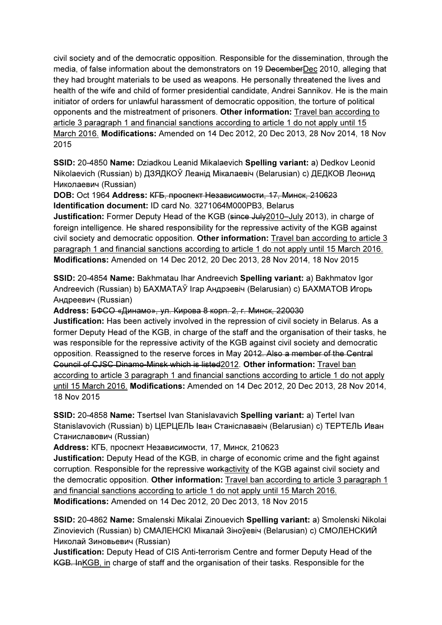civil society and of the democratic opposition. Responsible for the dissemination, through the media, of false information about the demonstrators on 19 DecemberDec 2010, alleging that they had brought materials to be used as weapons. He personally threatened the lives and health of the wife and child of former presidential candidate, Andrei Sannikov. He is the main initiator of orders for unlawful harassment of democratic opposition, the torture of political opponents and the mistreatment of prisoners. Other information: Travel ban according to article 3 paragraph 1 and financial sanctions according to article 1 do not apply until 15 March 2016. Modifications: Amended on 14 Dec 2012, 20 Dec 2013, 28 Nov 2014, 18 Nov 2015

SSID: 20-4850 Name: Dziadkou Leanid Mikalaevich Spelling variant: a) Dedkov Leonid Nikolaevich (Russian) b) ДЗЯДКОЎ Леанід Мікалаевіч (Belarusian) c) ДЕДКОВ Леонид Николаевич (Russian)

DOB: Oct 1964 Address: КГБ, проспект Независимости, 17, Минск, 210623 Identification document: ID card No. 3271064M000PB3, Belarus

Justification: Former Deputy Head of the KGB (since July 2010–July 2013), in charge of foreign intelligence. He shared responsibility for the repressive activity of the KGB against civil society and democratic opposition. Other information: Travel ban according to article 3 paragraph 1 and financial sanctions according to article 1 do not apply until 15 March 2016. Modifications: Amended on 14 Dec 2012, 20 Dec 2013, 28 Nov 2014, 18 Nov 2015

SSID: 20-4854 Name: Bakhmatau Ihar Andreevich Spelling variant: a) Bakhmatov Igor Andreevich (Russian) b) БАХМАТАЎ Ігар Андрэевіч (Belarusian) c) БАХМАТОВ Игорь Андреевич (Russian)

Address: БФСО «Динамо», ул. Кирова 8 корп. 2, г. Минск, 220030

Justification: Has been actively involved in the repression of civil society in Belarus. As a former Deputy Head of the KGB, in charge of the staff and the organisation of their tasks, he was responsible for the repressive activity of the KGB against civil society and democratic opposition. Reassigned to the reserve forces in May 2012. Also a member of the Central Council of CJSC Dinamo-Minsk which is listed2012. Other information: Travel ban according to article 3 paragraph 1 and financial sanctions according to article 1 do not apply until 15 March 2016. Modifications: Amended on 14 Dec 2012, 20 Dec 2013, 28 Nov 2014, 18 Nov 2015

SSID: 20-4858 Name: Tsertsel Ivan Stanislavavich Spelling variant: a) Tertel Ivan Stanislavovich (Russian) b) ЦЕРЦЕЛЬ Іван Станіслававіч (Belarusian) c) ТЕРТЕЛЬ Иван Станиславович (Russian)

Address: КГБ, проспект Независимости, 17, Минск, 210623

Justification: Deputy Head of the KGB, in charge of economic crime and the fight against corruption. Responsible for the repressive workactivity of the KGB against civil society and the democratic opposition. Other information: Travel ban according to article 3 paragraph 1 and financial sanctions according to article 1 do not apply until 15 March 2016. Modifications: Amended on 14 Dec 2012, 20 Dec 2013, 18 Nov 2015

SSID: 20-4862 Name: Smalenski Mikalai Zinouevich Spelling variant: a) Smolenski Nikolai Zinovievich (Russian) b) СМАЛЕНСКI Мікалай Зіноўевіч (Belarusian) c) СМОЛЕНСКИЙ Николай Зиновьевич (Russian)

Justification: Deputy Head of CIS Anti-terrorism Centre and former Deputy Head of the KGB. InKGB, in charge of staff and the organisation of their tasks. Responsible for the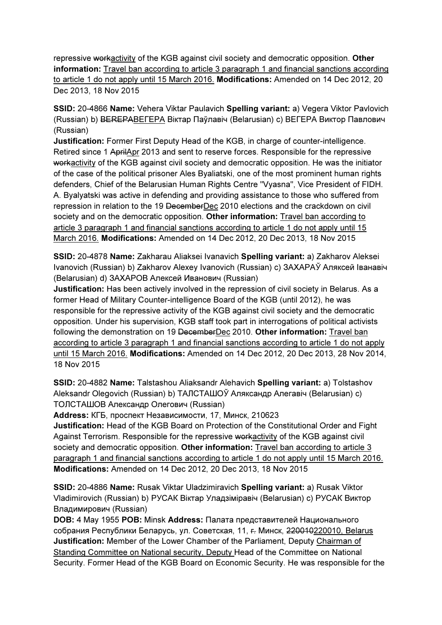repressive workactivity of the KGB against civil society and democratic opposition. Other information: Travel ban according to article 3 paragraph 1 and financial sanctions according to article 1 do not apply until 15 March 2016. Modifications: Amended on 14 Dec 2012, 20 Dec 2013, 18 Nov 2015

SSID: 20-4866 Name: Vehera Viktar Paulavich Spelling variant: a) Vegera Viktor Pavlovich (Russian) b) BEREPABEГEPA Віктар Паўлавіч (Belarusian) c) ВЕГЕРА Виктор Павлович (Russian)

Justification: Former First Deputy Head of the KGB, in charge of counter-intelligence. Retired since 1 AprilApr 2013 and sent to reserve forces. Responsible for the repressive workactivity of the KGB against civil society and democratic opposition. He was the initiator of the case of the political prisoner Ales Byaliatski, one of the most prominent human rights defenders, Chief of the Belarusian Human Rights Centre "Vyasna", Vice President of FIDH. A. Byalyatski was active in defending and providing assistance to those who suffered from repression in relation to the 19 DecemberDec 2010 elections and the crackdown on civil society and on the democratic opposition. Other information: Travel ban according to article 3 paragraph 1 and financial sanctions according to article 1 do not apply until 15 March 2016. Modifications: Amended on 14 Dec 2012, 20 Dec 2013, 18 Nov 2015

SSID: 20-4878 Name: Zakharau Aliaksei Ivanavich Spelling variant: a) Zakharov Aleksei Ivanovich (Russian) b) Zakharov Alexey Ivanovich (Russian) c) ЗАХАРАЎ Аляксей Іванавіч (Belarusian) d) ЗАХАРОВ Алексей Иванович (Russian)

Justification: Has been actively involved in the repression of civil society in Belarus. As a former Head of Military Counter-intelligence Board of the KGB (until 2012), he was responsible for the repressive activity of the KGB against civil society and the democratic opposition. Under his supervision, KGB staff took part in interrogations of political activists following the demonstration on 19 DecemberDec 2010. Other information: Travel ban according to article 3 paragraph 1 and financial sanctions according to article 1 do not apply until 15 March 2016. Modifications: Amended on 14 Dec 2012, 20 Dec 2013, 28 Nov 2014, 18 Nov 2015

SSID: 20-4882 Name: Talstashou Aliaksandr Alehavich Spelling variant: a) Tolstashov Aleksandr Olegovich (Russian) b) ТАЛСТАШОЎ Аляксандр Алегавіч (Belarusian) c) ТОЛСТАШОВ Александр Олегович (Russian)

Address: КГБ, проспект Независимости, 17, Минск, 210623

Justification: Head of the KGB Board on Protection of the Constitutional Order and Fight Against Terrorism. Responsible for the repressive workactivity of the KGB against civil society and democratic opposition. Other information: Travel ban according to article 3 paragraph 1 and financial sanctions according to article 1 do not apply until 15 March 2016. Modifications: Amended on 14 Dec 2012, 20 Dec 2013, 18 Nov 2015

SSID: 20-4886 Name: Rusak Viktar Uladzimiravich Spelling variant: a) Rusak Viktor Vladimirovich (Russian) b) РУСАК Віктар Уладзіміравіч (Belarusian) c) РУСАК Виктор Владимирович (Russian)

DOB: 4 May 1955 POB: Minsk Address: Палата представителей Национального собрания Республики Беларусь, ул. Советская, 11, г. Минск, 220010220010, Belarus Justification: Member of the Lower Chamber of the Parliament, Deputy Chairman of Standing Committee on National security, Deputy Head of the Committee on National Security. Former Head of the KGB Board on Economic Security. He was responsible for the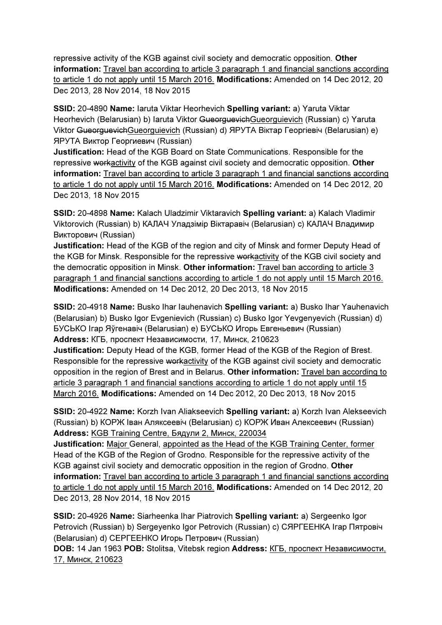repressive activity of the KGB against civil society and democratic opposition. Other information: Travel ban according to article 3 paragraph 1 and financial sanctions according to article 1 do not apply until 15 March 2016. Modifications: Amended on 14 Dec 2012, 20 Dec 2013, 28 Nov 2014, 18 Nov 2015

SSID: 20-4890 Name: Iaruta Viktar Heorhevich Spelling variant: a) Yaruta Viktar Heorhevich (Belarusian) b) Iaruta Viktor GueorguevichGueorguievich (Russian) c) Yaruta Viktor GueorguevichGueorguievich (Russian) d) ЯРУТА Віктар Георгiевiч (Belarusian) e) ЯРУТА Виктор Георгиевич (Russian)

Justification: Head of the KGB Board on State Communications. Responsible for the repressive workactivity of the KGB against civil society and democratic opposition. Other information: Travel ban according to article 3 paragraph 1 and financial sanctions according to article 1 do not apply until 15 March 2016. Modifications: Amended on 14 Dec 2012, 20 Dec 2013, 18 Nov 2015

SSID: 20-4898 Name: Kalach Uladzimir Viktaravich Spelling variant: a) Kalach Vladimir Viktorovich (Russian) b) КАЛАЧ Уладзімір Віктаравіч (Belarusian) c) КАЛАЧ Владимир Викторович (Russian)

Justification: Head of the KGB of the region and city of Minsk and former Deputy Head of the KGB for Minsk. Responsible for the repressive workactivity of the KGB civil society and the democratic opposition in Minsk. Other information: Travel ban according to article 3 paragraph 1 and financial sanctions according to article 1 do not apply until 15 March 2016. Modifications: Amended on 14 Dec 2012, 20 Dec 2013, 18 Nov 2015

SSID: 20-4918 Name: Busko Ihar Iauhenavich Spelling variant: a) Busko Ihar Yauhenavich (Belarusian) b) Busko Igor Evgenievich (Russian) c) Busko Igor Yevgenyevich (Russian) d) БУСЬКО Ігар Яўгенавіч (Belarusian) e) БУСЬКО Игорь Евгеньевич (Russian) Address: КГБ, проспект Независимости, 17, Минск, 210623

Justification: Deputy Head of the KGB, former Head of the KGB of the Region of Brest. Responsible for the repressive workactivity of the KGB against civil society and democratic opposition in the region of Brest and in Belarus. Other information: Travel ban according to article 3 paragraph 1 and financial sanctions according to article 1 do not apply until 15 March 2016. Modifications: Amended on 14 Dec 2012, 20 Dec 2013, 18 Nov 2015

SSID: 20-4922 Name: Korzh Ivan Aliakseevich Spelling variant: a) Korzh Ivan Alekseevich (Russian) b) КОРЖ Іван Аляксеевіч (Belarusian) c) КОРЖ Иван Алексеевич (Russian) Address: KGB Training Centre, Бядули 2, Минск, 220034

Justification: Major General, appointed as the Head of the KGB Training Center, former Head of the KGB of the Region of Grodno. Responsible for the repressive activity of the KGB against civil society and democratic opposition in the region of Grodno. Other information: Travel ban according to article 3 paragraph 1 and financial sanctions according to article 1 do not apply until 15 March 2016. Modifications: Amended on 14 Dec 2012, 20 Dec 2013, 28 Nov 2014, 18 Nov 2015

SSID: 20-4926 Name: Siarheenka Ihar Piatrovich Spelling variant: a) Sergeenko Igor Petrovich (Russian) b) Sergeyenko Igor Petrovich (Russian) c) СЯРГЕЕНКА Ігар Пятровіч (Belarusian) d) СЕРГЕЕНКО Игорь Петрович (Russian)

DOB: 14 Jan 1963 POB: Stolitsa, Vitebsk region Address: КГБ, проспект Независимости, 17, Минск, 210623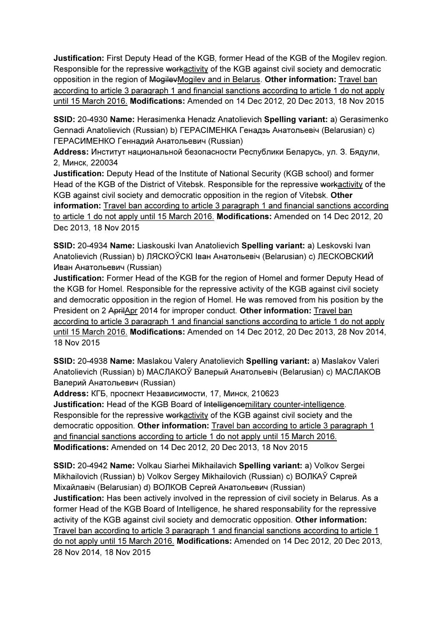Justification: First Deputy Head of the KGB, former Head of the KGB of the Mogilev region. Responsible for the repressive workactivity of the KGB against civil society and democratic opposition in the region of MogilevMogilev and in Belarus. Other information: Travel ban according to article 3 paragraph 1 and financial sanctions according to article 1 do not apply until 15 March 2016. Modifications: Amended on 14 Dec 2012, 20 Dec 2013, 18 Nov 2015

SSID: 20-4930 Name: Herasimenka Henadz Anatolievich Spelling variant: a) Gerasimenko Gennadi Anatolievich (Russian) b) ГЕРАСIМЕНКА Генадзь Анатольевіч (Belarusian) c) ГЕРАСИМЕНКО Геннадий Анатольевич (Russian)

Address: Институт национальной безопасности Республики Беларусь, ул. З. Бядули, 2, Минск, 220034

Justification: Deputy Head of the Institute of National Security (KGB school) and former Head of the KGB of the District of Vitebsk. Responsible for the repressive workactivity of the KGB against civil society and democratic opposition in the region of Vitebsk. Other information: Travel ban according to article 3 paragraph 1 and financial sanctions according to article 1 do not apply until 15 March 2016. Modifications: Amended on 14 Dec 2012, 20 Dec 2013, 18 Nov 2015

SSID: 20-4934 Name: Liaskouski Ivan Anatolievich Spelling variant: a) Leskovski Ivan Anatolievich (Russian) b) ЛЯСКОЎСКI Іван Анатольевіч (Belarusian) c) ЛЕСКОВСКИЙ Иван Анатольевич (Russian)

Justification: Former Head of the KGB for the region of Homel and former Deputy Head of the KGB for Homel. Responsible for the repressive activity of the KGB against civil society and democratic opposition in the region of Homel. He was removed from his position by the President on 2 AprilApr 2014 for improper conduct. Other information: Travel ban according to article 3 paragraph 1 and financial sanctions according to article 1 do not apply until 15 March 2016. Modifications: Amended on 14 Dec 2012, 20 Dec 2013, 28 Nov 2014, 18 Nov 2015

SSID: 20-4938 Name: Maslakou Valery Anatolievich Spelling variant: a) Maslakov Valeri Anatolievich (Russian) b) МАСЛАКОЎ Валерый Анатольевiч (Belarusian) c) МАСЛАКОВ Валерий Анатольевич (Russian)

Address: КГБ, проспект Независимости, 17, Минск, 210623

Justification: Head of the KGB Board of Intelligencemilitary counter-intelligence. Responsible for the repressive workactivity of the KGB against civil society and the democratic opposition. Other information: Travel ban according to article 3 paragraph 1 and financial sanctions according to article 1 do not apply until 15 March 2016. Modifications: Amended on 14 Dec 2012, 20 Dec 2013, 18 Nov 2015

SSID: 20-4942 Name: Volkau Siarhei Mikhailavich Spelling variant: a) Volkov Sergei Mikhailovich (Russian) b) Volkov Sergey Mikhailovich (Russian) c) ВОЛКАЎ Сяргей Мiхайлавiч (Belarusian) d) ВОЛКОВ Сергей Анатольевич (Russian)

Justification: Has been actively involved in the repression of civil society in Belarus. As a former Head of the KGB Board of Intelligence, he shared responsability for the repressive activity of the KGB against civil society and democratic opposition. Other information: Travel ban according to article 3 paragraph 1 and financial sanctions according to article 1 do not apply until 15 March 2016. Modifications: Amended on 14 Dec 2012, 20 Dec 2013, 28 Nov 2014, 18 Nov 2015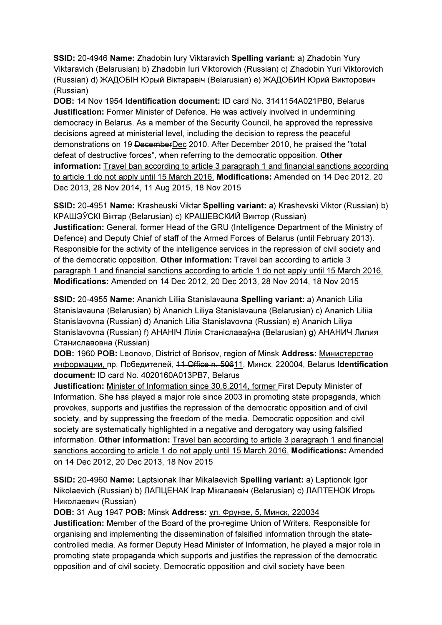SSID: 20-4946 Name: Zhadobin Iury Viktaravich Spelling variant: a) Zhadobin Yury Viktaravich (Belarusian) b) Zhadobin Iuri Viktorovich (Russian) c) Zhadobin Yuri Viktorovich (Russian) d) ЖАДОБIН Юрый Віктаравіч (Belarusian) e) ЖАДОБИН Юрий Викторович (Russian)

DOB: 14 Nov 1954 Identification document: ID card No. 3141154A021PB0, Belarus Justification: Former Minister of Defence. He was actively involved in undermining democracy in Belarus. As a member of the Security Council, he approved the repressive decisions agreed at ministerial level, including the decision to repress the peaceful demonstrations on 19 DecemberDec 2010. After December 2010, he praised the "total defeat of destructive forces", when referring to the democratic opposition. Other information: Travel ban according to article 3 paragraph 1 and financial sanctions according to article 1 do not apply until 15 March 2016. Modifications: Amended on 14 Dec 2012, 20 Dec 2013, 28 Nov 2014, 11 Aug 2015, 18 Nov 2015

SSID: 20-4951 Name: Krasheuski Viktar Spelling variant: a) Krashevski Viktor (Russian) b) КРАШЭЎСКI Віктар (Belarusian) c) КРАШЕВСКИЙ Виктор (Russian) Justification: General, former Head of the GRU (Intelligence Department of the Ministry of Defence) and Deputy Chief of staff of the Armed Forces of Belarus (until February 2013). Responsible for the activity of the intelligence services in the repression of civil society and of the democratic opposition. Other information: Travel ban according to article 3 paragraph 1 and financial sanctions according to article 1 do not apply until 15 March 2016. Modifications: Amended on 14 Dec 2012, 20 Dec 2013, 28 Nov 2014, 18 Nov 2015

SSID: 20-4955 Name: Ananich Liliia Stanislavauna Spelling variant: a) Ananich Lilia Stanislavauna (Belarusian) b) Ananich Liliya Stanislavauna (Belarusian) c) Ananich Liliia Stanislavovna (Russian) d) Ananich Lilia Stanislavovna (Russian) e) Ananich Liliya Stanislavovna (Russian) f) АНАНIЧ Лілія Станіславаўна (Belarusian) g) АНАНИЧ Лилия Станиславовна (Russian)

DOB: 1960 POB: Leonovo, District of Borisov, region of Minsk Address: Министерствo информации, пр. Победителей, 11 Office n. 50611, Минск, 220004, Belarus Identification document: ID card No. 4020160A013PB7, Belarus

Justification: Minister of Information since 30.6.2014, former First Deputy Minister of Information. She has played a major role since 2003 in promoting state propaganda, which provokes, supports and justifies the repression of the democratic opposition and of civil society, and by suppressing the freedom of the media. Democratic opposition and civil society are systematically highlighted in a negative and derogatory way using falsified information. Other information: Travel ban according to article 3 paragraph 1 and financial sanctions according to article 1 do not apply until 15 March 2016. Modifications: Amended on 14 Dec 2012, 20 Dec 2013, 18 Nov 2015

SSID: 20-4960 Name: Laptsionak Ihar Mikalaevich Spelling variant: a) Laptionok Igor Nikolaevich (Russian) b) ЛАПЦЕНАК Ігар Мікалаевіч (Belarusian) c) ЛАПТЕНОК Игорь Николаевич (Russian)

### DOB: 31 Aug 1947 POB: Minsk Address: ул. Фрунзе, 5, Минск, 220034

Justification: Member of the Board of the pro-regime Union of Writers. Responsible for organising and implementing the dissemination of falsified information through the statecontrolled media. As former Deputy Head Minister of Information, he played a major role in promoting state propaganda which supports and justifies the repression of the democratic opposition and of civil society. Democratic opposition and civil society have been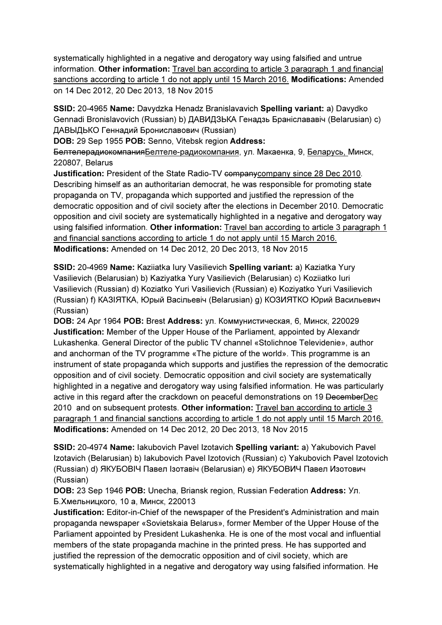systematically highlighted in a negative and derogatory way using falsified and untrue information. Other information: Travel ban according to article 3 paragraph 1 and financial sanctions according to article 1 do not apply until 15 March 2016. Modifications: Amended on 14 Dec 2012, 20 Dec 2013, 18 Nov 2015

SSID: 20-4965 Name: Davydzka Henadz Branislavavich Spelling variant: a) Davydko Gennadi Bronislavovich (Russian) b) ДАВИДЗЬКА Генадзь Браніслававіч (Belarusian) c) ДАВЫДЬКО Геннадий Брониславович (Russian)

DOB: 29 Sep 1955 POB: Senno, Vitebsk region Address:

БелтелерадиокомпанияБелтеле-радиокомпания, ул. Макаенка, 9, Беларусь, Минск, 220807, Belarus

Justification: President of the State Radio-TV companycompany since 28 Dec 2010. Describing himself as an authoritarian democrat, he was responsible for promoting state propaganda on TV, propaganda which supported and justified the repression of the democratic opposition and of civil society after the elections in December 2010. Democratic opposition and civil society are systematically highlighted in a negative and derogatory way using falsified information. Other information: Travel ban according to article 3 paragraph 1 and financial sanctions according to article 1 do not apply until 15 March 2016. Modifications: Amended on 14 Dec 2012, 20 Dec 2013, 18 Nov 2015

SSID: 20-4969 Name: Kaziiatka Iury Vasilievich Spelling variant: a) Kaziatka Yury Vasilievich (Belarusian) b) Kaziyatka Yury Vasilievich (Belarusian) c) Koziiatko Iuri Vasilievich (Russian) d) Koziatko Yuri Vasilievich (Russian) e) Koziyatko Yuri Vasilievich (Russian) f) КАЗIЯТКА, Юрый Васільевіч (Belarusian) g) КОЗИЯТКО Юрий Васильевич (Russian)

DOB: 24 Apr 1964 POB: Brest Address: ул. Коммунистическая, 6, Минск, 220029 Justification: Member of the Upper House of the Parliament, appointed by Alexandr Lukashenka. General Director of the public TV channel «Stolichnoe Televidenie», author and anchorman of the TV programme «The picture of the world». This programme is an instrument of state propaganda which supports and justifies the repression of the democratic opposition and of civil society. Democratic opposition and civil society are systematically highlighted in a negative and derogatory way using falsified information. He was particularly active in this regard after the crackdown on peaceful demonstrations on 19 DecemberDec 2010 and on subsequent protests. Other information: Travel ban according to article 3 paragraph 1 and financial sanctions according to article 1 do not apply until 15 March 2016. Modifications: Amended on 14 Dec 2012, 20 Dec 2013, 18 Nov 2015

SSID: 20-4974 Name: Iakubovich Pavel Izotavich Spelling variant: a) Yakubovich Pavel Izotavich (Belarusian) b) Iakubovich Pavel Izotovich (Russian) c) Yakubovich Pavel Izotovich (Russian) d) ЯКУБОВIЧ Павел Ізотавіч (Belarusian) e) ЯКУБОВИЧ Павел Изотович (Russian)

DOB: 23 Sep 1946 POB: Unecha, Briansk region, Russian Federation Address: Ул. Б.Хмельницкого, 10 а, Минск, 220013

Justification: Editor-in-Chief of the newspaper of the President's Administration and main propaganda newspaper «Sovietskaia Belarus», former Member of the Upper House of the Parliament appointed by President Lukashenka. He is one of the most vocal and influential members of the state propaganda machine in the printed press. He has supported and justified the repression of the democratic opposition and of civil society, which are systematically highlighted in a negative and derogatory way using falsified information. He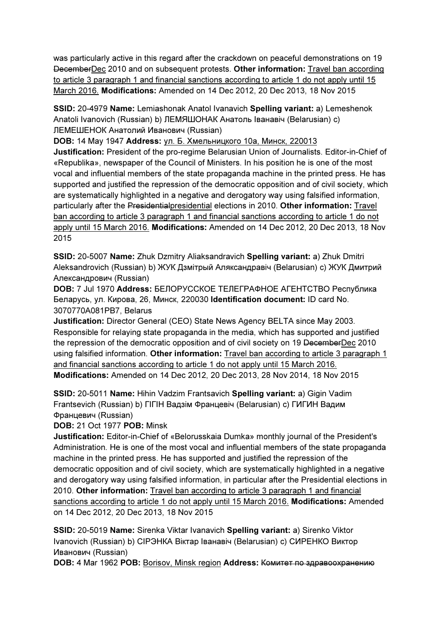was particularly active in this regard after the crackdown on peaceful demonstrations on 19 DecemberDec 2010 and on subsequent protests. Other information: Travel ban according to article 3 paragraph 1 and financial sanctions according to article 1 do not apply until 15 March 2016. Modifications: Amended on 14 Dec 2012, 20 Dec 2013, 18 Nov 2015

SSID: 20-4979 Name: Lemiashonak Anatol Ivanavich Spelling variant: a) Lemeshenok Anatoli Ivanovich (Russian) b) ЛЕМЯШОНАК Анатоль Іванавіч (Belarusian) c) ЛЕМЕШЕНОК Анатолий Иванович (Russian)

DOB: 14 May 1947 Address: ул. Б. Хмельницкого 10а, Минск, 220013

Justification: President of the pro-regime Belarusian Union of Journalists. Editor-in-Chief of «Republika», newspaper of the Council of Ministers. In his position he is one of the most vocal and influential members of the state propaganda machine in the printed press. He has supported and justified the repression of the democratic opposition and of civil society, which are systematically highlighted in a negative and derogatory way using falsified information, particularly after the Presidentialpresidential elections in 2010. Other information: Travel ban according to article 3 paragraph 1 and financial sanctions according to article 1 do not apply until 15 March 2016. Modifications: Amended on 14 Dec 2012, 20 Dec 2013, 18 Nov 2015

SSID: 20-5007 Name: Zhuk Dzmitry Aliaksandravich Spelling variant: a) Zhuk Dmitri Aleksandrovich (Russian) b) ЖУК Дзмітрый Аляксандравіч (Belarusian) c) ЖУК Дмитрий Александрович (Russian)

DOB: 7 Jul 1970 Address: БЕЛОРУССКОЕ ТЕЛЕГРАФНОЕ АГЕНТСТВО Республика Беларусь, ул. Кирова, 26, Минск, 220030 Identification document: ID card No. 3070770A081PB7, Belarus

Justification: Director General (CEO) State News Agency BELTA since May 2003. Responsible for relaying state propaganda in the media, which has supported and justified the repression of the democratic opposition and of civil society on 19 DecemberDec 2010 using falsified information. Other information: Travel ban according to article 3 paragraph 1 and financial sanctions according to article 1 do not apply until 15 March 2016. Modifications: Amended on 14 Dec 2012, 20 Dec 2013, 28 Nov 2014, 18 Nov 2015

SSID: 20-5011 Name: Hihin Vadzim Frantsavich Spelling variant: a) Gigin Vadim Frantsevich (Russian) b) ГIГIН Вадзім Францевiч (Belarusian) c) ГИГИН Вадим Францевич (Russian)

DOB: 21 Oct 1977 POB: Minsk

Justification: Editor-in-Chief of «Belorusskaia Dumka» monthly journal of the President's Administration. He is one of the most vocal and influential members of the state propaganda machine in the printed press. He has supported and justified the repression of the democratic opposition and of civil society, which are systematically highlighted in a negative and derogatory way using falsified information, in particular after the Presidential elections in 2010. Other information: Travel ban according to article 3 paragraph 1 and financial sanctions according to article 1 do not apply until 15 March 2016. Modifications: Amended on 14 Dec 2012, 20 Dec 2013, 18 Nov 2015

SSID: 20-5019 Name: Sirenka Viktar Ivanavich Spelling variant: a) Sirenko Viktor Ivanovich (Russian) b) CIРЭНКА Віктар Іванавіч (Belarusian) c) СИРЕНКО Виктор Иванович (Russian)

DOB: 4 Mar 1962 POB: Borisov, Minsk region Address: Комитет по здравоохранению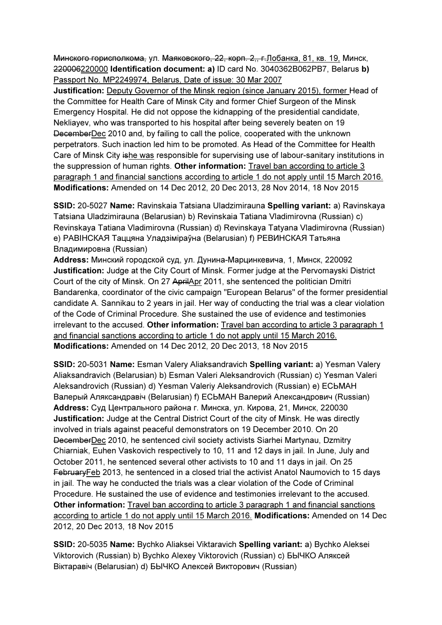Минского горисполкома, ул. Маяковского, 22, корп. 2,, г.Лобанка, 81, кв. 19, Минск, 220006220000 Identification document: a) ID card No. 3040362B062PB7, Belarus b) Passport No. MP2249974, Belarus, Date of issue: 30 Mar 2007

Justification: Deputy Governor of the Minsk region (since January 2015), former Head of the Committee for Health Care of Minsk City and former Chief Surgeon of the Minsk Emergency Hospital. He did not oppose the kidnapping of the presidential candidate, Nekliayev, who was transported to his hospital after being severely beaten on 19 DecemberDec 2010 and, by failing to call the police, cooperated with the unknown perpetrators. Such inaction led him to be promoted. As Head of the Committee for Health Care of Minsk City ishe was responsible for supervising use of labour-sanitary institutions in the suppression of human rights. Other information: Travel ban according to article 3 paragraph 1 and financial sanctions according to article 1 do not apply until 15 March 2016. Modifications: Amended on 14 Dec 2012, 20 Dec 2013, 28 Nov 2014, 18 Nov 2015

SSID: 20-5027 Name: Ravinskaia Tatsiana Uladzimirauna Spelling variant: a) Ravinskaya Tatsiana Uladzimirauna (Belarusian) b) Revinskaia Tatiana Vladimirovna (Russian) c) Revinskaya Tatiana Vladimirovna (Russian) d) Revinskaya Tatyana Vladimirovna (Russian) e) РАВIНСКАЯ Таццяна Уладзіміраўна (Belarusian) f) РЕВИНСКАЯ Татьяна Владимировна (Russian)

Address: Минский городской суд, ул. Дунина-Марцинкевича, 1, Минск, 220092 Justification: Judge at the City Court of Minsk. Former judge at the Pervomayski District Court of the city of Minsk. On 27 AprilApr 2011, she sentenced the politician Dmitri Bandarenka, coordinator of the civic campaign "European Belarus" of the former presidential candidate A. Sannikau to 2 years in jail. Her way of conducting the trial was a clear violation of the Code of Criminal Procedure. She sustained the use of evidence and testimonies irrelevant to the accused. Other information: Travel ban according to article 3 paragraph 1 and financial sanctions according to article 1 do not apply until 15 March 2016. Modifications: Amended on 14 Dec 2012, 20 Dec 2013, 18 Nov 2015

SSID: 20-5031 Name: Esman Valery Aliaksandravich Spelling variant: a) Yesman Valery Aliaksandravich (Belarusian) b) Esman Valeri Aleksandrovich (Russian) c) Yesman Valeri Aleksandrovich (Russian) d) Yesman Valeriy Aleksandrovich (Russian) e) ЕСЬМАН Валерый Аляксандравіч (Belarusian) f) ЕСЬМАН Валерий Александрович (Russian) Address: Суд Центрального района г. Минска, ул. Кирова, 21, Минск, 220030 Justification: Judge at the Central District Court of the city of Minsk. He was directly involved in trials against peaceful demonstrators on 19 December 2010. On 20 DecemberDec 2010, he sentenced civil society activists Siarhei Martynau, Dzmitry Chiarniak, Euhen Vaskovich respectively to 10, 11 and 12 days in jail. In June, July and October 2011, he sentenced several other activists to 10 and 11 days in jail. On 25 FebruaryFeb 2013, he sentenced in a closed trial the activist Anatol Naumovich to 15 days in jail. The way he conducted the trials was a clear violation of the Code of Criminal Procedure. He sustained the use of evidence and testimonies irrelevant to the accused. Other information: Travel ban according to article 3 paragraph 1 and financial sanctions according to article 1 do not apply until 15 March 2016. Modifications: Amended on 14 Dec 2012, 20 Dec 2013, 18 Nov 2015

SSID: 20-5035 Name: Bychko Aliaksei Viktaravich Spelling variant: a) Bychko Aleksei Viktorovich (Russian) b) Bychko Alexey Viktorovich (Russian) c) БЫЧКО Аляксей Віктаравіч (Belarusian) d) БЫЧКО Алексей Викторович (Russian)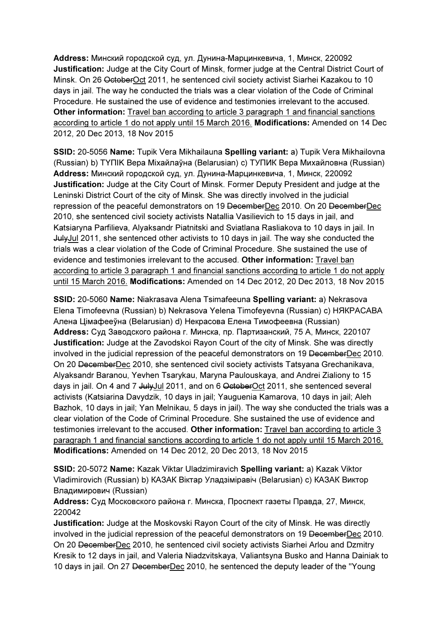Address: Минский городской суд, ул. Дунина-Марцинкевича, 1, Минск, 220092 Justification: Judge at the City Court of Minsk, former judge at the Central District Court of Minsk. On 26 OctoberOct 2011, he sentenced civil society activist Siarhei Kazakou to 10 days in jail. The way he conducted the trials was a clear violation of the Code of Criminal Procedure. He sustained the use of evidence and testimonies irrelevant to the accused. Other information: Travel ban according to article 3 paragraph 1 and financial sanctions according to article 1 do not apply until 15 March 2016. Modifications: Amended on 14 Dec 2012, 20 Dec 2013, 18 Nov 2015

SSID: 20-5056 Name: Tupik Vera Mikhailauna Spelling variant: a) Tupik Vera Mikhailovna (Russian) b) TYПIK Вера Міхайлаўна (Belarusian) c) ТУПИК Вера Михайловна (Russian) Address: Минский городской суд, ул. Дунина-Марцинкевича, 1, Минск, 220092 Justification: Judge at the City Court of Minsk. Former Deputy President and judge at the Leninski District Court of the city of Minsk. She was directly involved in the judicial repression of the peaceful demonstrators on 19 DecemberDec 2010. On 20 DecemberDec 2010, she sentenced civil society activists Natallia Vasilievich to 15 days in jail, and Katsiaryna Parfilieva, Alyaksandr Piatnitski and Sviatlana Rasliakova to 10 days in jail. In JulyJul 2011, she sentenced other activists to 10 days in jail. The way she conducted the trials was a clear violation of the Code of Criminal Procedure. She sustained the use of evidence and testimonies irrelevant to the accused. Other information: Travel ban according to article 3 paragraph 1 and financial sanctions according to article 1 do not apply until 15 March 2016. Modifications: Amended on 14 Dec 2012, 20 Dec 2013, 18 Nov 2015

SSID: 20-5060 Name: Niakrasava Alena Tsimafeeuna Spelling variant: a) Nekrasova Elena Timofeevna (Russian) b) Nekrasova Yelena Timofeyevna (Russian) c) НЯКРАСАВА Алена Цімафееўна (Belarusian) d) Некрасова Елена Тимофеевна (Russian) Address: Суд Заводского района г. Минска, пр. Партизанский, 75 А, Минск, 220107 Justification: Judge at the Zavodskoi Rayon Court of the city of Minsk. She was directly involved in the judicial repression of the peaceful demonstrators on 19 DecemberDec 2010. On 20 DecemberDec 2010, she sentenced civil society activists Tatsyana Grechanikava, Alyaksandr Baranou, Yevhen Tsarykau, Maryna Paulouskaya, and Andrei Zialiony to 15 days in jail. On 4 and 7 JulyJul 2011, and on 6 OctoberOct 2011, she sentenced several activists (Katsiarina Davydzik, 10 days in jail; Yauguenia Kamarova, 10 days in jail; Aleh Bazhok, 10 days in jail; Yan Melnikau, 5 days in jail). The way she conducted the trials was a clear violation of the Code of Criminal Procedure. She sustained the use of evidence and testimonies irrelevant to the accused. Other information: Travel ban according to article 3 paragraph 1 and financial sanctions according to article 1 do not apply until 15 March 2016. Modifications: Amended on 14 Dec 2012, 20 Dec 2013, 18 Nov 2015

SSID: 20-5072 Name: Kazak Viktar Uladzimiravich Spelling variant: a) Kazak Viktor Vladimirovich (Russian) b) КАЗАК Віктар Уладзіміравіч (Belarusian) c) КАЗАК Виктор Владимирович (Russian)

Address: Суд Московского района г. Минска, Проспект газеты Правда, 27, Минск, 220042

Justification: Judge at the Moskovski Rayon Court of the city of Minsk. He was directly involved in the judicial repression of the peaceful demonstrators on 19 DecemberDec 2010. On 20 DecemberDec 2010, he sentenced civil society activists Siarhei Arlou and Dzmitry Kresik to 12 days in jail, and Valeria Niadzvitskaya, Valiantsyna Busko and Hanna Dainiak to 10 days in jail. On 27 DecemberDec 2010, he sentenced the deputy leader of the "Young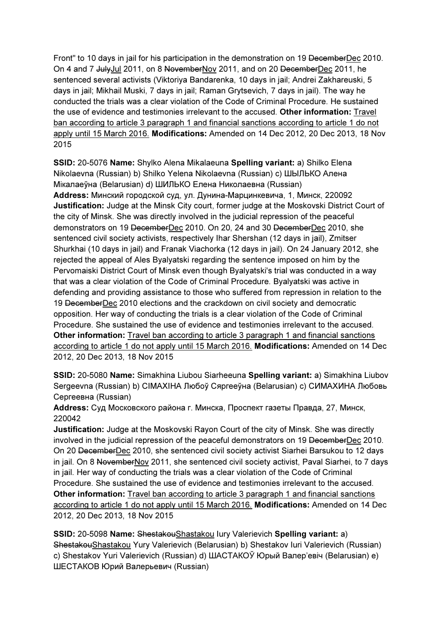Front" to 10 days in jail for his participation in the demonstration on 19 DecemberDec 2010. On 4 and 7 JulyJul 2011, on 8 NovemberNov 2011, and on 20 DecemberDec 2011, he sentenced several activists (Viktoriya Bandarenka, 10 days in jail; Andrei Zakhareuski, 5 days in jail; Mikhail Muski, 7 days in jail; Raman Grytsevich, 7 days in jail). The way he conducted the trials was a clear violation of the Code of Criminal Procedure. He sustained the use of evidence and testimonies irrelevant to the accused. Other information: Travel ban according to article 3 paragraph 1 and financial sanctions according to article 1 do not apply until 15 March 2016. Modifications: Amended on 14 Dec 2012, 20 Dec 2013, 18 Nov 2015

SSID: 20-5076 Name: Shylko Alena Mikalaeuna Spelling variant: a) Shilko Elena Nikolaevna (Russian) b) Shilko Yelena Nikolaevna (Russian) c) ШЫЛЬКО Алена Мікалаеўна (Belarusian) d) ШИЛЬКО Елена Николаевна (Russian) Address: Минский городской суд, ул. Дунина-Марцинкевича, 1, Минск, 220092 Justification: Judge at the Minsk City court, former judge at the Moskovski District Court of the city of Minsk. She was directly involved in the judicial repression of the peaceful demonstrators on 19 DecemberDec 2010. On 20, 24 and 30 DecemberDec 2010, she sentenced civil society activists, respectively Ihar Shershan (12 days in jail), Zmitser Shurkhai (10 days in jail) and Franak Viachorka (12 days in jail). On 24 January 2012, she rejected the appeal of Ales Byalyatski regarding the sentence imposed on him by the Pervomaiski District Court of Minsk even though Byalyatski's trial was conducted in a way that was a clear violation of the Code of Criminal Procedure. Byalyatski was active in defending and providing assistance to those who suffered from repression in relation to the 19 DecemberDec 2010 elections and the crackdown on civil society and democratic opposition. Her way of conducting the trials is a clear violation of the Code of Criminal Procedure. She sustained the use of evidence and testimonies irrelevant to the accused. Other information: Travel ban according to article 3 paragraph 1 and financial sanctions according to article 1 do not apply until 15 March 2016. Modifications: Amended on 14 Dec 2012, 20 Dec 2013, 18 Nov 2015

SSID: 20-5080 Name: Simakhina Liubou Siarheeuna Spelling variant: a) Simakhina Liubov Sergeevna (Russian) b) CIMAXIHA Любоў Сяргееўна (Belarusian) c) СИМАХИНА Любовь Сергеевна (Russian)

Address: Суд Московского района г. Минска, Проспект газеты Правда, 27, Минск, 220042

Justification: Judge at the Moskovski Rayon Court of the city of Minsk. She was directly involved in the judicial repression of the peaceful demonstrators on 19 DecemberDec 2010. On 20 DecemberDec 2010, she sentenced civil society activist Siarhei Barsukou to 12 days in jail. On 8 NovemberNov 2011, she sentenced civil society activist, Paval Siarhei, to 7 days in jail. Her way of conducting the trials was a clear violation of the Code of Criminal Procedure. She sustained the use of evidence and testimonies irrelevant to the accused. Other information: Travel ban according to article 3 paragraph 1 and financial sanctions according to article 1 do not apply until 15 March 2016. Modifications: Amended on 14 Dec 2012, 20 Dec 2013, 18 Nov 2015

SSID: 20-5098 Name: ShestakouShastakou lury Valerievich Spelling variant: a) ShestakouShastakou Yury Valerievich (Belarusian) b) Shestakov Iuri Valerievich (Russian) c) Shestakov Yuri Valerievich (Russian) d) ШАСТАКОЎ Юрый Валер'евіч (Belarusian) e) ШЕСТАКОВ Юрий Валерьевич (Russian)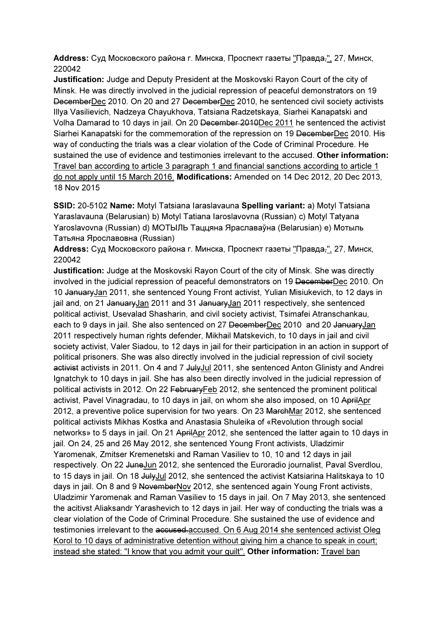Address: Суд Московского района г. Минска, Проспект газеты "Правда,", 27, Минск, 220042

Justification: Judge and Deputy President at the Moskovski Rayon Court of the city of Minsk. He was directly involved in the judicial repression of peaceful demonstrators on 19 DecemberDec 2010. On 20 and 27 DecemberDec 2010, he sentenced civil society activists Illya Vasilievich, Nadzeya Chayukhova, Tatsiana Radzetskaya, Siarhei Kanapatski and Volha Damarad to 10 days in jail. On 20 December 2010Dec 2011 he sentenced the activist Siarhei Kanapatski for the commemoration of the repression on 19 DecemberDec 2010. His way of conducting the trials was a clear violation of the Code of Criminal Procedure. He sustained the use of evidence and testimonies irrelevant to the accused. Other information: Travel ban according to article 3 paragraph 1 and financial sanctions according to article 1 do not apply until 15 March 2016. Modifications: Amended on 14 Dec 2012, 20 Dec 2013, 18 Nov 2015

SSID: 20-5102 Name: Motyl Tatsiana Iaraslavauna Spelling variant: a) Motyl Tatsiana Yaraslavauna (Belarusian) b) Motyl Tatiana Iaroslavovna (Russian) c) Motyl Tatyana Yaroslavovna (Russian) d) МОТЫЛЬ Таццяна Яраславаўна (Belarusian) e) Мотыль Татьяна Ярославовна (Russian)

Address: Суд Московского района г. Минска, Проспект газеты "Правда,", 27, Минск, 220042

Justification: Judge at the Moskovski Rayon Court of the city of Minsk. She was directly involved in the judicial repression of peaceful demonstrators on 19 DecemberDec 2010. On 10 JanuaryJan 2011, she sentenced Young Front activist, Yulian Misiukevich, to 12 days in jail and, on 21 JanuaryJan 2011 and 31 JanuaryJan 2011 respectively, she sentenced political activist, Usevalad Shasharin, and civil society activist, Tsimafei Atranschankau, each to 9 days in jail. She also sentenced on 27 DecemberDec 2010 and 20 JanuaryJan 2011 respectively human rights defender, Mikhail Matskevich, to 10 days in jail and civil society activist, Valer Siadou, to 12 days in jail for their participation in an action in support of political prisoners. She was also directly involved in the judicial repression of civil society activist activists in 2011. On 4 and 7 July Jul 2011, she sentenced Anton Glinisty and Andrei Ignatchyk to 10 days in jail. She has also been directly involved in the judicial repression of political activists in 2012. On 22 FebruaryFeb 2012, she sentenced the prominent political activist, Pavel Vinagradau, to 10 days in jail, on whom she also imposed, on 10 AprilApr 2012, a preventive police supervision for two years. On 23 MarchMar 2012, she sentenced political activists Mikhas Kostka and Anastasia Shuleika of «Revolution through social networks» to 5 days in jail. On 21 AprilApr 2012, she sentenced the latter again to 10 days in jail. On 24, 25 and 26 May 2012, she sentenced Young Front activists, Uladzimir Yaromenak, Zmitser Kremenetski and Raman Vasiliev to 10, 10 and 12 days in jail respectively. On 22 JuneJun 2012, she sentenced the Euroradio journalist, Paval Sverdlou, to 15 days in jail. On 18 <del>July</del>Jul 2012, she sentenced the activist Katsiarina Halitskaya to 10 days in jail. On 8 and 9 NovemberNov 2012, she sentenced again Young Front activists, Uladzimir Yaromenak and Raman Vasiliev to 15 days in jail. On 7 May 2013, she sentenced the acitivst Aliaksandr Yarashevich to 12 days in jail. Her way of conducting the trials was a clear violation of the Code of Criminal Procedure. She sustained the use of evidence and testimonies irrelevant to the accused accused. On 6 Aug 2014 she sentenced activist Oleg Korol to 10 days of administrative detention without giving him a chance to speak in court; instead she stated: "I know that you admit your guilt". Other information: Travel ban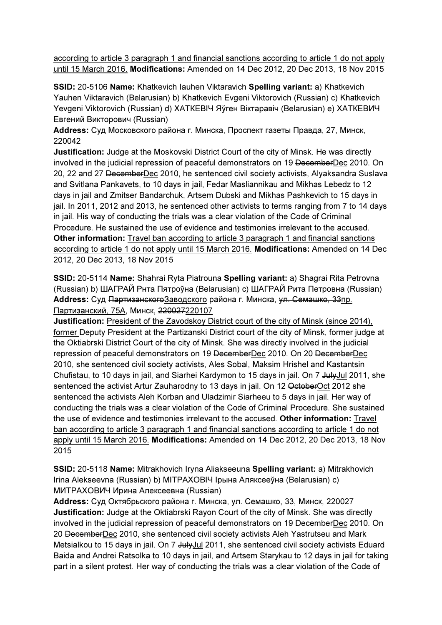according to article 3 paragraph 1 and financial sanctions according to article 1 do not apply until 15 March 2016. Modifications: Amended on 14 Dec 2012, 20 Dec 2013, 18 Nov 2015

SSID: 20-5106 Name: Khatkevich Iauhen Viktaravich Spelling variant: a) Khatkevich Yauhen Viktaravich (Belarusian) b) Khatkevich Evgeni Viktorovich (Russian) c) Khatkevich Yevgeni Viktorovich (Russian) d) ХАТКЕВIЧ Яўген Віктаравіч (Belarusian) e) ХАТКЕВИЧ Евгений Викторович (Russian)

Address: Суд Московского района г. Минска, Проспект газеты Правда, 27, Минск, 220042

Justification: Judge at the Moskovski District Court of the city of Minsk. He was directly involved in the judicial repression of peaceful demonstrators on 19 DecemberDec 2010. On 20, 22 and 27 DecemberDec 2010, he sentenced civil society activists, Alyaksandra Suslava and Svitlana Pankavets, to 10 days in jail, Fedar Masliannikau and Mikhas Lebedz to 12 days in jail and Zmitser Bandarchuk, Artsem Dubski and Mikhas Pashkevich to 15 days in jail. In 2011, 2012 and 2013, he sentenced other activists to terms ranging from 7 to 14 days in jail. His way of conducting the trials was a clear violation of the Code of Criminal Procedure. He sustained the use of evidence and testimonies irrelevant to the accused. Other information: Travel ban according to article 3 paragraph 1 and financial sanctions according to article 1 do not apply until 15 March 2016. Modifications: Amended on 14 Dec 2012, 20 Dec 2013, 18 Nov 2015

SSID: 20-5114 Name: Shahrai Ryta Piatrouna Spelling variant: a) Shagrai Rita Petrovna (Russian) b) ШАГРАЙ Рнта Пятроўна (Belarusian) c) ШАГРАЙ Рита Петровна (Russian) Address: Суд Партизанского Заводского района г. Минска, ул. Семашко, 33пр. Партизанский, 75А, Минск, 220027220107

Justification: President of the Zavodskoy District court of the city of Minsk (since 2014), former Deputy President at the Partizanski District court of the city of Minsk, former judge at the Oktiabrski District Court of the city of Minsk. She was directly involved in the judicial repression of peaceful demonstrators on 19 DecemberDec 2010. On 20 DecemberDec 2010, she sentenced civil society activists, Ales Sobal, Maksim Hrishel and Kastantsin Chufistau, to 10 days in jail, and Siarhei Kardymon to 15 days in jail. On 7 JulyJul 2011, she sentenced the activist Artur Zauharodny to 13 days in jail. On 12 OctoberOct 2012 she sentenced the activists Aleh Korban and Uladzimir Siarheeu to 5 days in jail. Her way of conducting the trials was a clear violation of the Code of Criminal Procedure. She sustained the use of evidence and testimonies irrelevant to the accused. Other information: Travel ban according to article 3 paragraph 1 and financial sanctions according to article 1 do not apply until 15 March 2016. Modifications: Amended on 14 Dec 2012, 20 Dec 2013, 18 Nov 2015

SSID: 20-5118 Name: Mitrakhovich Iryna Aliakseeuna Spelling variant: a) Mitrakhovich Irina Alekseevna (Russian) b) MITPAXOBIЧ Ірына Аляксееўна (Belarusian) c) МИТРАХОВИЧ Ирина Алексеевна (Russian)

Address: Суд Октябрьского района г. Минска, ул. Семашко, 33, Минск, 220027 Justification: Judge at the Oktiabrski Rayon Court of the city of Minsk. She was directly involved in the judicial repression of peaceful demonstrators on 19 DecemberDec 2010. On 20 DecemberDec 2010, she sentenced civil society activists Aleh Yastrutseu and Mark Metsialkou to 15 days in jail. On 7 July Jul 2011, she sentenced civil society activists Eduard Baida and Andrei Ratsolka to 10 days in jail, and Artsem Starykau to 12 days in jail for taking part in a silent protest. Her way of conducting the trials was a clear violation of the Code of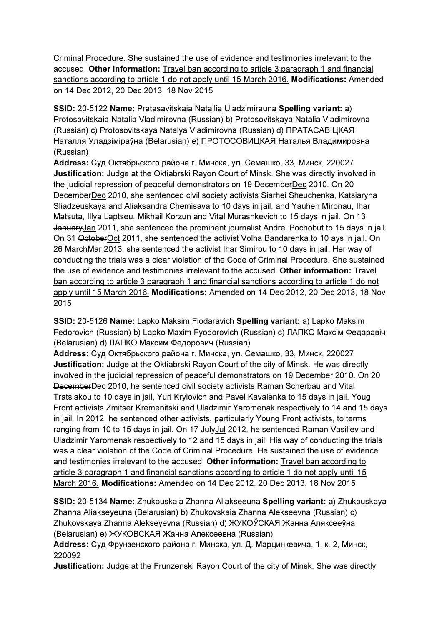Criminal Procedure. She sustained the use of evidence and testimonies irrelevant to the accused. Other information: Travel ban according to article 3 paragraph 1 and financial sanctions according to article 1 do not apply until 15 March 2016. Modifications: Amended on 14 Dec 2012, 20 Dec 2013, 18 Nov 2015

SSID: 20-5122 Name: Pratasavitskaia Natallia Uladzimirauna Spelling variant: a) Protosovitskaia Natalia Vladimirovna (Russian) b) Protosovitskaya Natalia Vladimirovna (Russian) c) Protosovitskaya Natalya Vladimirovna (Russian) d) ПРАТАСАВIЦКАЯ Наталля Уладзіміраўна (Belarusian) e) ПРОТОСОВИЦКАЯ Наталья Владимировна (Russian)

Address: Суд Октябрьского района г. Минска, ул. Семашко, 33, Минск, 220027 Justification: Judge at the Oktiabrski Rayon Court of Minsk. She was directly involved in the judicial repression of peaceful demonstrators on 19 DecemberDec 2010. On 20 DecemberDec 2010, she sentenced civil society activists Siarhei Sheuchenka, Katsiaryna Sliadzeuskaya and Aliaksandra Chemisava to 10 days in jail, and Yauhen Mironau, Ihar Matsuta, Illya Laptseu, Mikhail Korzun and Vital Murashkevich to 15 days in jail. On 13 JanuaryJan 2011, she sentenced the prominent journalist Andrei Pochobut to 15 days in jail. On 31 OctoberOct 2011, she sentenced the activist Volha Bandarenka to 10 ays in jail. On 26 MarchMar 2013, she sentenced the activist Ihar Simirou to 10 days in jail. Her way of conducting the trials was a clear violation of the Code of Criminal Procedure. She sustained the use of evidence and testimonies irrelevant to the accused. Other information: Travel ban according to article 3 paragraph 1 and financial sanctions according to article 1 do not apply until 15 March 2016. Modifications: Amended on 14 Dec 2012, 20 Dec 2013, 18 Nov 2015

SSID: 20-5126 Name: Lapko Maksim Fiodaravich Spelling variant: a) Lapko Maksim Fedorovich (Russian) b) Lapko Maxim Fyodorovich (Russian) c) ЛАПКО Максім Федаравiч (Belarusian) d) ЛАПКО Максим Федорович (Russian)

Address: Суд Октябрьского района г. Минска, ул. Семашко, 33, Минск, 220027 Justification: Judge at the Oktiabrski Rayon Court of the city of Minsk. He was directly involved in the judicial repression of peaceful demonstrators on 19 December 2010. On 20 DecemberDec 2010, he sentenced civil society activists Raman Scherbau and Vital Tratsiakou to 10 days in jail, Yuri Krylovich and Pavel Kavalenka to 15 days in jail, Youg Front activists Zmitser Kremenitski and Uladzimir Yaromenak respectively to 14 and 15 days in jail. In 2012, he sentenced other activists, particularly Young Front activists, to terms ranging from 10 to 15 days in jail. On 17 JulyJul 2012, he sentenced Raman Vasiliev and Uladzimir Yaromenak respectively to 12 and 15 days in jail. His way of conducting the trials was a clear violation of the Code of Criminal Procedure. He sustained the use of evidence and testimonies irrelevant to the accused. Other information: Travel ban according to article 3 paragraph 1 and financial sanctions according to article 1 do not apply until 15 March 2016. Modifications: Amended on 14 Dec 2012, 20 Dec 2013, 18 Nov 2015

SSID: 20-5134 Name: Zhukouskaia Zhanna Aliakseeuna Spelling variant: a) Zhukouskaya Zhanna Aliakseyeuna (Belarusian) b) Zhukovskaia Zhanna Alekseevna (Russian) c) Zhukovskaya Zhanna Alekseyevna (Russian) d) ЖУКОЎСКАЯ Жанна Аляксееўна (Belarusian) e) ЖУКОВСКАЯ Жанна Алексеевна (Russian)

Address: Суд Фрунзенского района г. Минска, ул. Д. Марцинкевича, 1, к. 2, Минск, 220092

Justification: Judge at the Frunzenski Rayon Court of the city of Minsk. She was directly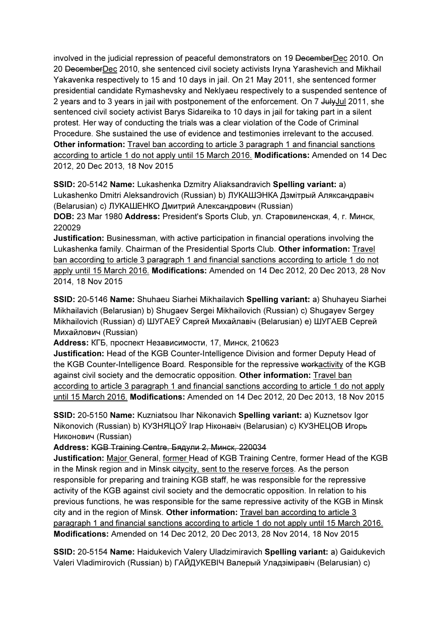involved in the judicial repression of peaceful demonstrators on 19 DecemberDec 2010. On 20 DecemberDec 2010, she sentenced civil society activists Iryna Yarashevich and Mikhail Yakavenka respectively to 15 and 10 days in jail. On 21 May 2011, she sentenced former presidential candidate Rymashevsky and Neklyaeu respectively to a suspended sentence of 2 years and to 3 years in jail with postponement of the enforcement. On 7 JulyJul 2011, she sentenced civil society activist Barys Sidareika to 10 days in jail for taking part in a silent protest. Her way of conducting the trials was a clear violation of the Code of Criminal Procedure. She sustained the use of evidence and testimonies irrelevant to the accused. Other information: Travel ban according to article 3 paragraph 1 and financial sanctions according to article 1 do not apply until 15 March 2016. Modifications: Amended on 14 Dec 2012, 20 Dec 2013, 18 Nov 2015

SSID: 20-5142 Name: Lukashenka Dzmitry Aliaksandravich Spelling variant: a) Lukashenko Dmitri Aleksandrovich (Russian) b) ЛУКАШЭНКА Дзмітрый Аляксандравіч (Belarusian) c) ЛУКАШЕНКО Дмитрий Александрович (Russian)

DOB: 23 Mar 1980 Address: President's Sports Club, ул. Старовиленская, 4, г. Минск, 220029

Justification: Businessman, with active participation in financial operations involving the Lukashenka family. Chairman of the Presidential Sports Club. Other information: Travel ban according to article 3 paragraph 1 and financial sanctions according to article 1 do not apply until 15 March 2016. Modifications: Amended on 14 Dec 2012, 20 Dec 2013, 28 Nov 2014, 18 Nov 2015

SSID: 20-5146 Name: Shuhaeu Siarhei Mikhailavich Spelling variant: a) Shuhayeu Siarhei Mikhailavich (Belarusian) b) Shugaev Sergei Mikhailovich (Russian) c) Shugayev Sergey Mikhailovich (Russian) d) ШУГАЕЎ Сяргей Михайлaвiч (Belarusian) e) ШУГАЕВ Сергей Михайлович (Russian)

Address: КГБ, проспект Независимости, 17, Минск, 210623

Justification: Head of the KGB Counter-Intelligence Division and former Deputy Head of the KGB Counter-Intelligence Board. Responsible for the repressive workactivity of the KGB against civil society and the democratic opposition. Other information: Travel ban according to article 3 paragraph 1 and financial sanctions according to article 1 do not apply until 15 March 2016. Modifications: Amended on 14 Dec 2012, 20 Dec 2013, 18 Nov 2015

SSID: 20-5150 Name: Kuzniatsou Ihar Nikonavich Spelling variant: a) Kuznetsov Igor Nikonovich (Russian) b) КУЗНЯЦОЎ Ігар Нiконaвiч (Belarusian) c) КУЗНЕЦОВ Игорь Никонович (Russian)

Address: KGB Training Centre, Бядули 2, Минск, 220034

Justification: Major General, former Head of KGB Training Centre, former Head of the KGB in the Minsk region and in Minsk eitycity, sent to the reserve forces. As the person responsible for preparing and training KGB staff, he was responsible for the repressive activity of the KGB against civil society and the democratic opposition. In relation to his previous functions, he was responsible for the same repressive activity of the KGB in Minsk city and in the region of Minsk. Other information: Travel ban according to article 3 paragraph 1 and financial sanctions according to article 1 do not apply until 15 March 2016. Modifications: Amended on 14 Dec 2012, 20 Dec 2013, 28 Nov 2014, 18 Nov 2015

SSID: 20-5154 Name: Haidukevich Valery Uladzimiravich Spelling variant: a) Gaidukevich Valeri Vladimirovich (Russian) b) ГАЙДУКЕВIЧ Валерый Уладзіміравіч (Belarusian) c)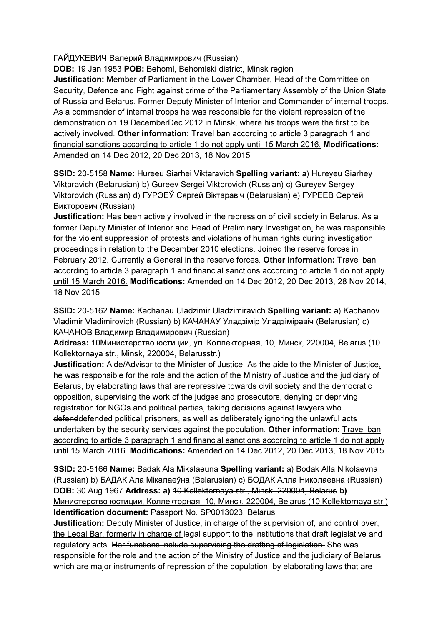ГАЙДУКЕВИЧ Валерий Владимирович (Russian)

DOB: 19 Jan 1953 POB: Behoml, Behomlski district, Minsk region

Justification: Member of Parliament in the Lower Chamber, Head of the Committee on Security, Defence and Fight against crime of the Parliamentary Assembly of the Union State of Russia and Belarus. Former Deputy Minister of Interior and Commander of internal troops. As a commander of internal troops he was responsible for the violent repression of the demonstration on 19 DecemberDec 2012 in Minsk, where his troops were the first to be actively involved. Other information: Travel ban according to article 3 paragraph 1 and financial sanctions according to article 1 do not apply until 15 March 2016. Modifications: Amended on 14 Dec 2012, 20 Dec 2013, 18 Nov 2015

SSID: 20-5158 Name: Hureeu Siarhei Viktaravich Spelling variant: a) Hureyeu Siarhey Viktaravich (Belarusian) b) Gureev Sergei Viktorovich (Russian) c) Gureyev Sergey Viktorovich (Russian) d) ГУРЭЕЎ Сяргей Віктаравіч (Belarusian) e) ГУРЕЕВ Сергей Викторович (Russian)

Justification: Has been actively involved in the repression of civil society in Belarus. As a former Deputy Minister of Interior and Head of Preliminary Investigation, he was responsible for the violent suppression of protests and violations of human rights during investigation proceedings in relation to the December 2010 elections. Joined the reserve forces in February 2012. Currently a General in the reserve forces. Other information: Travel ban according to article 3 paragraph 1 and financial sanctions according to article 1 do not apply until 15 March 2016. Modifications: Amended on 14 Dec 2012, 20 Dec 2013, 28 Nov 2014, 18 Nov 2015

SSID: 20-5162 Name: Kachanau Uladzimir Uladzimiravich Spelling variant: a) Kachanov Vladimir Vladimirovich (Russian) b) КАЧАНАУ Уладзімір Уладзіміравіч (Belarusian) c) КАЧАНОВ Владимир Владимирович (Russian)

Address: 10Министерство юстиции, ул. Коллекторная, 10, Минск, 220004, Belarus (10 Kollektornaya str., Minsk, 220004, Belarusstr.)

Justification: Aide/Advisor to the Minister of Justice. As the aide to the Minister of Justice, he was responsible for the role and the action of the Ministry of Justice and the judiciary of Belarus, by elaborating laws that are repressive towards civil society and the democratic opposition, supervising the work of the judges and prosecutors, denying or depriving registration for NGOs and political parties, taking decisions against lawyers who defenddefended political prisoners, as well as deliberately ignoring the unlawful acts undertaken by the security services against the population. Other information: Travel ban according to article 3 paragraph 1 and financial sanctions according to article 1 do not apply until 15 March 2016. Modifications: Amended on 14 Dec 2012, 20 Dec 2013, 18 Nov 2015

SSID: 20-5166 Name: Badak Ala Mikalaeuna Spelling variant: a) Bodak Alla Nikolaevna (Russian) b) БАДАК Ала Мікалаеўна (Belarusian) c) БОДАК Алла Николаевна (Russian) DOB: 30 Aug 1967 Address: a) 10 Kollektornaya str., Minsk, 220004, Belarus b) Министерство юстиции, Коллекторная, 10, Минск, 220004, Belarus (10 Kollektornaya str.) Identification document: Passport No. SP0013023, Belarus

Justification: Deputy Minister of Justice, in charge of the supervision of, and control over, the Legal Bar, formerly in charge of legal support to the institutions that draft legislative and regulatory acts. Her functions include supervising the drafting of legislation. She was responsible for the role and the action of the Ministry of Justice and the judiciary of Belarus, which are major instruments of repression of the population, by elaborating laws that are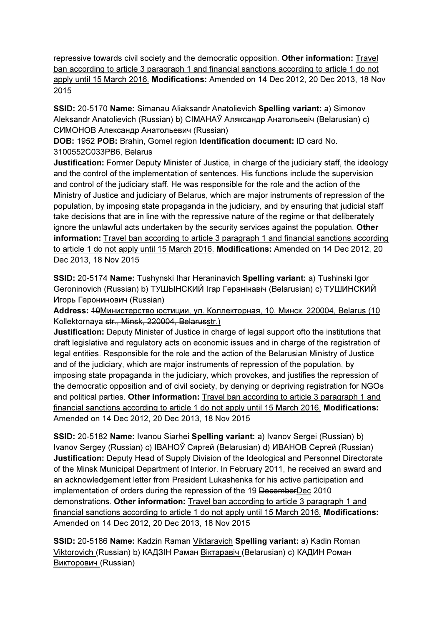repressive towards civil society and the democratic opposition. Other information: Travel ban according to article 3 paragraph 1 and financial sanctions according to article 1 do not apply until 15 March 2016. Modifications: Amended on 14 Dec 2012, 20 Dec 2013, 18 Nov 2015

SSID: 20-5170 Name: Simanau Aliaksandr Anatolievich Spelling variant: a) Simonov Aleksandr Anatolievich (Russian) b) CIMAHAЎ Аляксандр Анатольевіч (Belarusian) c) СИМОНОВ Александр Анатольевич (Russian)

DOB: 1952 POB: Brahin, Gomel region Identification document: ID card No. 3100552C033PB6, Belarus

Justification: Former Deputy Minister of Justice, in charge of the judiciary staff, the ideology and the control of the implementation of sentences. His functions include the supervision and control of the judiciary staff. He was responsible for the role and the action of the Ministry of Justice and judiciary of Belarus, which are major instruments of repression of the population, by imposing state propaganda in the judiciary, and by ensuring that judicial staff take decisions that are in line with the repressive nature of the regime or that deliberately ignore the unlawful acts undertaken by the security services against the population. Other information: Travel ban according to article 3 paragraph 1 and financial sanctions according to article 1 do not apply until 15 March 2016. Modifications: Amended on 14 Dec 2012, 20 Dec 2013, 18 Nov 2015

SSID: 20-5174 Name: Tushynski Ihar Heraninavich Spelling variant: a) Tushinski Igor Geroninovich (Russian) b) ТУШЫНСКИЙ Ігар Геранінавіч (Belarusian) c) ТУШИНСКИЙ Игорь Геронинович (Russian)

Address: 10Министерство юстиции, ул. Коллекторная, 10, Минск, 220004, Belarus (10 Kollektornaya str., Minsk, 220004, Belarusstr.)

Justification: Deputy Minister of Justice in charge of legal support ofto the institutions that draft legislative and regulatory acts on economic issues and in charge of the registration of legal entities. Responsible for the role and the action of the Belarusian Ministry of Justice and of the judiciary, which are major instruments of repression of the population, by imposing state propaganda in the judiciary, which provokes, and justifies the repression of the democratic opposition and of civil society, by denying or depriving registration for NGOs and political parties. Other information: Travel ban according to article 3 paragraph 1 and financial sanctions according to article 1 do not apply until 15 March 2016. Modifications: Amended on 14 Dec 2012, 20 Dec 2013, 18 Nov 2015

SSID: 20-5182 Name: Ivanou Siarhei Spelling variant: a) Ivanov Sergei (Russian) b) Ivanov Sergey (Russian) c) IВАНОЎ Сяргей (Belarusian) d) ИВАНОВ Сергей (Russian) Justification: Deputy Head of Supply Division of the Ideological and Personnel Directorate of the Minsk Municipal Department of Interior. In February 2011, he received an award and an acknowledgement letter from President Lukashenka for his active participation and implementation of orders during the repression of the 19 DecemberDec 2010 demonstrations. Other information: Travel ban according to article 3 paragraph 1 and financial sanctions according to article 1 do not apply until 15 March 2016. Modifications: Amended on 14 Dec 2012, 20 Dec 2013, 18 Nov 2015

SSID: 20-5186 Name: Kadzin Raman Viktaravich Spelling variant: a) Kadin Roman Viktorovich (Russian) b) КАДЗIН Раман Вiктаравiч (Belarusian) c) КАДИН Роман Викторович (Russian)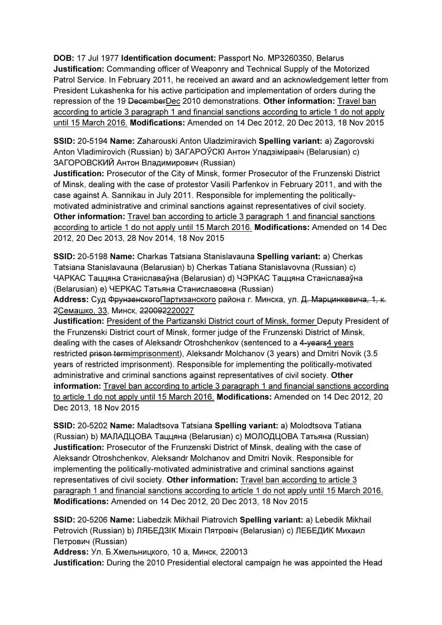DOB: 17 Jul 1977 Identification document: Passport No. MP3260350, Belarus Justification: Commanding officer of Weaponry and Technical Supply of the Motorized Patrol Service. In February 2011, he received an award and an acknowledgement letter from President Lukashenka for his active participation and implementation of orders during the repression of the 19 DecemberDec 2010 demonstrations. Other information: Travel ban according to article 3 paragraph 1 and financial sanctions according to article 1 do not apply until 15 March 2016. Modifications: Amended on 14 Dec 2012, 20 Dec 2013, 18 Nov 2015

SSID: 20-5194 Name: Zaharouski Anton Uladzimiravich Spelling variant: a) Zagorovski Anton Vladimirovich (Russian) b) ЗАГАРОЎСКI Антон Уладзiмiравiч (Belarusian) c) ЗАГОРОВСКИЙ Антон Владимирович (Russian)

Justification: Prosecutor of the City of Minsk, former Prosecutor of the Frunzenski District of Minsk, dealing with the case of protestor Vasili Parfenkov in February 2011, and with the case against A. Sannikau in July 2011. Responsible for implementing the politicallymotivated administrative and criminal sanctions against representatives of civil society. Other information: Travel ban according to article 3 paragraph 1 and financial sanctions according to article 1 do not apply until 15 March 2016. Modifications: Amended on 14 Dec 2012, 20 Dec 2013, 28 Nov 2014, 18 Nov 2015

SSID: 20-5198 Name: Charkas Tatsiana Stanislavauna Spelling variant: a) Cherkas Tatsiana Stanislavauna (Belarusian) b) Cherkas Tatiana Stanislavovna (Russian) c) ЧАРКАС Таццяна Станіславаўна (Belarusian) d) ЧЭРКАС Таццяна Станіславаўна (Belarusian) e) ЧЕРКАС Татьяна Станиславовна (Russian)

Address: Суд Фрунзенского Партизанского района г. Минска, ул. Д. Марцинкевича, 1, к. 2Семашко, 33, Минск, 220092220027

Justification: President of the Partizanski District court of Minsk, former Deputy President of the Frunzenski District court of Minsk, former judge of the Frunzenski District of Minsk, dealing with the cases of Aleksandr Otroshchenkov (sentenced to a 4-years4 years restricted prison termimprisonment), Aleksandr Molchanov (3 years) and Dmitri Novik (3.5 years of restricted imprisonment). Responsible for implementing the politically-motivated administrative and criminal sanctions against representatives of civil society. Other information: Travel ban according to article 3 paragraph 1 and financial sanctions according to article 1 do not apply until 15 March 2016. Modifications: Amended on 14 Dec 2012, 20 Dec 2013, 18 Nov 2015

SSID: 20-5202 Name: Maladtsova Tatsiana Spelling variant: a) Molodtsova Tatiana (Russian) b) МАЛАДЦОВА Таццяна (Belarusian) c) МОЛОДЦОВА Татьяна (Russian) Justification: Prosecutor of the Frunzenski District of Minsk, dealing with the case of Aleksandr Otroshchenkov, Aleksandr Molchanov and Dmitri Novik. Responsible for implementing the politically-motivated administrative and criminal sanctions against representatives of civil society. Other information: Travel ban according to article 3 paragraph 1 and financial sanctions according to article 1 do not apply until 15 March 2016. Modifications: Amended on 14 Dec 2012, 20 Dec 2013, 18 Nov 2015

SSID: 20-5206 Name: Liabedzik Mikhail Piatrovich Spelling variant: a) Lebedik Mikhail Petrovich (Russian) b) ЛЯБЕДЗIК Мiхаiл Пятровiч (Belarusian) c) ЛЕБЕДИК Михаил Петрович (Russian)

Address: Ул. Б.Хмельницкого, 10 а, Минск, 220013

Justification: During the 2010 Presidential electoral campaign he was appointed the Head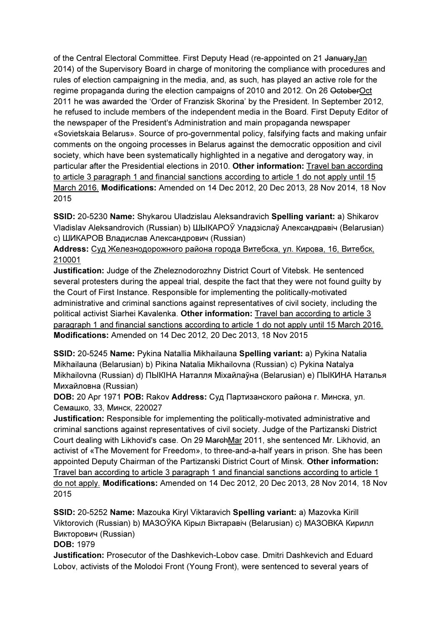of the Central Electoral Committee. First Deputy Head (re-appointed on 21 JanuaryJan 2014) of the Supervisory Board in charge of monitoring the compliance with procedures and rules of election campaigning in the media, and, as such, has played an active role for the regime propaganda during the election campaigns of 2010 and 2012. On 26 OctoberOct 2011 he was awarded the 'Order of Franzisk Skorina' by the President. In September 2012, he refused to include members of the independent media in the Board. First Deputy Editor of the newspaper of the President's Administration and main propaganda newspaper «Sovietskaia Belarus». Source of pro-governmental policy, falsifying facts and making unfair comments on the ongoing processes in Belarus against the democratic opposition and civil society, which have been systematically highlighted in a negative and derogatory way, in particular after the Presidential elections in 2010. Other information: Travel ban according to article 3 paragraph 1 and financial sanctions according to article 1 do not apply until 15 March 2016. Modifications: Amended on 14 Dec 2012, 20 Dec 2013, 28 Nov 2014, 18 Nov 2015

SSID: 20-5230 Name: Shykarou Uladzislau Aleksandravich Spelling variant: a) Shikarov Vladislav Aleksandrovich (Russian) b) ШЫКАРОЎ Уладзіслаў Александравiч (Belarusian) c) ШИКАРОВ Владислав Александрович (Russian)

### Address: Суд Железнодорожного района города Витебска, ул. Кирова, 16, Витебск, 210001

Justification: Judge of the Zheleznodorozhny District Court of Vitebsk. He sentenced several protesters during the appeal trial, despite the fact that they were not found guilty by the Court of First Instance. Responsible for implementing the politically-motivated administrative and criminal sanctions against representatives of civil society, including the political activist Siarhei Kavalenka. Other information: Travel ban according to article 3 paragraph 1 and financial sanctions according to article 1 do not apply until 15 March 2016. Modifications: Amended on 14 Dec 2012, 20 Dec 2013, 18 Nov 2015

SSID: 20-5245 Name: Pykina Natallia Mikhailauna Spelling variant: a) Pykina Natalia Mikhailauna (Belarusian) b) Pikina Natalia Mikhailovna (Russian) c) Pykina Natalya Mikhailovna (Russian) d) ПЫКIНА Наталля Міхайлаўна (Belarusian) e) ПЫКИНА Наталья Михайловна (Russian)

DOB: 20 Apr 1971 POB: Rakov Address: Суд Партизанского района г. Минска, ул. Семашко, 33, Минск, 220027

Justification: Responsible for implementing the politically-motivated administrative and criminal sanctions against representatives of civil society. Judge of the Partizanski District Court dealing with Likhovid's case. On 29 MarchMar 2011, she sentenced Mr. Likhovid, an activist of «The Movement for Freedom», to three-and-a-half years in prison. She has been appointed Deputy Chairman of the Partizanski District Court of Minsk. Other information: Travel ban according to article 3 paragraph 1 and financial sanctions according to article 1 do not apply. Modifications: Amended on 14 Dec 2012, 20 Dec 2013, 28 Nov 2014, 18 Nov 2015

SSID: 20-5252 Name: Mazouka Kiryl Viktaravich Spelling variant: a) Mazovka Kirill Viktorovich (Russian) b) МАЗОЎКА Кiрыл Вiктаравiч (Belarusian) c) МАЗОВКА Кирилл Викторович (Russian)

### DOB: 1979

Justification: Prosecutor of the Dashkevich-Lobov case. Dmitri Dashkevich and Eduard Lobov, activists of the Molodoi Front (Young Front), were sentenced to several years of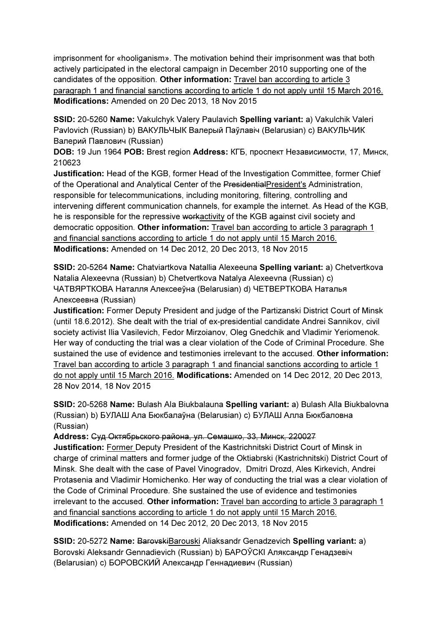imprisonment for «hooliganism». The motivation behind their imprisonment was that both actively participated in the electoral campaign in December 2010 supporting one of the candidates of the opposition. Other information: Travel ban according to article 3 paragraph 1 and financial sanctions according to article 1 do not apply until 15 March 2016. Modifications: Amended on 20 Dec 2013, 18 Nov 2015

SSID: 20-5260 Name: Vakulchyk Valery Paulavich Spelling variant: a) Vakulchik Valeri Pavlovich (Russian) b) ВАКУЛЬЧЫК Валерый Паўлавiч (Belarusian) c) ВАКУЛЬЧИК Валерий Павлович (Russian)

DOB: 19 Jun 1964 POB: Brest region Address: КГБ, проспект Независимости, 17, Минск, 210623

Justification: Head of the KGB, former Head of the Investigation Committee, former Chief of the Operational and Analytical Center of the PresidentialPresident's Administration, responsible for telecommunications, including monitoring, filtering, controlling and intervening different communication channels, for example the internet. As Head of the KGB, he is responsible for the repressive workactivity of the KGB against civil society and democratic opposition. Other information: Travel ban according to article 3 paragraph 1 and financial sanctions according to article 1 do not apply until 15 March 2016. Modifications: Amended on 14 Dec 2012, 20 Dec 2013, 18 Nov 2015

SSID: 20-5264 Name: Chatviartkova Natallia Alexeeuna Spelling variant: a) Chetvertkova Natalia Alexeevna (Russian) b) Chetvertkova Natalya Alexeevna (Russian) c) ЧАТВЯРТКОВА Наталля Алексееўнa (Belarusian) d) ЧЕТВЕРТКОВА Наталья Алексеевнa (Russian)

Justification: Former Deputy President and judge of the Partizanski District Court of Minsk (until 18.6.2012). She dealt with the trial of ex-presidential candidate Andrei Sannikov, civil society activist Ilia Vasilevich, Fedor Mirzoianov, Oleg Gnedchik and Vladimir Yeriomenok. Her way of conducting the trial was a clear violation of the Code of Criminal Procedure. She sustained the use of evidence and testimonies irrelevant to the accused. Other information: Travel ban according to article 3 paragraph 1 and financial sanctions according to article 1 do not apply until 15 March 2016. Modifications: Amended on 14 Dec 2012, 20 Dec 2013, 28 Nov 2014, 18 Nov 2015

SSID: 20-5268 Name: Bulash Ala Biukbalauna Spelling variant: a) Bulash Alla Biukbalovna (Russian) b) БУЛАШ Ала Бюкбалаўнa (Belarusian) c) БУЛАШ Алла Бюкбаловнa (Russian)

Address: Суд Октябрьского района, ул. Семашко, 33, Минск, 220027

Justification: Former Deputy President of the Kastrichnitski District Court of Minsk in charge of criminal matters and former judge of the Oktiabrski (Kastrichnitski) District Court of Minsk. She dealt with the case of Pavel Vinogradov, Dmitri Drozd, Ales Kirkevich, Andrei Protasenia and Vladimir Homichenko. Her way of conducting the trial was a clear violation of the Code of Criminal Procedure. She sustained the use of evidence and testimonies irrelevant to the accused. Other information: Travel ban according to article 3 paragraph 1 and financial sanctions according to article 1 do not apply until 15 March 2016. Modifications: Amended on 14 Dec 2012, 20 Dec 2013, 18 Nov 2015

SSID: 20-5272 Name: BarovskiBarouski Aliaksandr Genadzevich Spelling variant: a) Borovski Aleksandr Gennadievich (Russian) b) БАРОЎСКI Аляксандр Генадзевіч (Belarusian) c) БОРОВСКИЙ Александр Геннадиевич (Russian)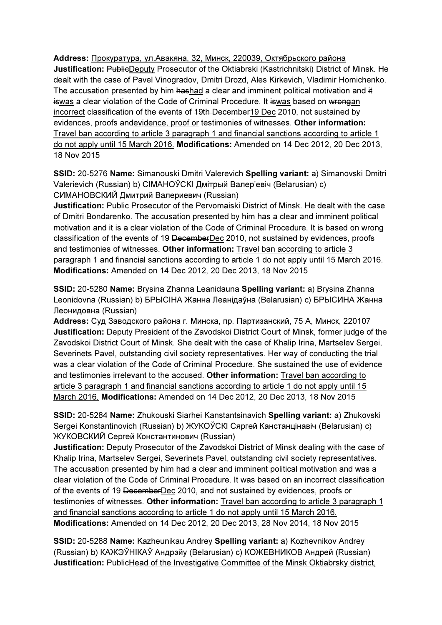Address: Прокуратура, ул.Авакяна, 32, Минск, 220039, Октябрьского района Justification: PublicDeputy Prosecutor of the Oktiabrski (Kastrichnitski) District of Minsk. He dealt with the case of Pavel Vinogradov, Dmitri Drozd, Ales Kirkevich, Vladimir Homichenko. The accusation presented by him hashad a clear and imminent political motivation and it iswas a clear violation of the Code of Criminal Procedure. It iswas based on wrongan incorrect classification of the events of 19th December19 Dec 2010, not sustained by evidences, proofs andevidence, proof or testimonies of witnesses. Other information: Travel ban according to article 3 paragraph 1 and financial sanctions according to article 1 do not apply until 15 March 2016. Modifications: Amended on 14 Dec 2012, 20 Dec 2013, 18 Nov 2015

SSID: 20-5276 Name: Simanouski Dmitri Valerevich Spelling variant: a) Simanovski Dmitri Valerievich (Russian) b) CIMAHOЎCKI Дмітрый Валер'евіч (Belarusian) c) СИМАНОВСКИЙ Дмитрий Валериевич (Russian)

Justification: Public Prosecutor of the Pervomaiski District of Minsk. He dealt with the case of Dmitri Bondarenko. The accusation presented by him has a clear and imminent political motivation and it is a clear violation of the Code of Criminal Procedure. It is based on wrong classification of the events of 19 DecemberDec 2010, not sustained by evidences, proofs and testimonies of witnesses. Other information: Travel ban according to article 3 paragraph 1 and financial sanctions according to article 1 do not apply until 15 March 2016. Modifications: Amended on 14 Dec 2012, 20 Dec 2013, 18 Nov 2015

SSID: 20-5280 Name: Brysina Zhanna Leanidauna Spelling variant: a) Brysina Zhanna Leonidovna (Russian) b) БPЫCIHA Жанна Леанiдаўна (Belarusian) c) БРЫCИНА Жанна Леонидовнa (Russian)

Address: Суд Заводского района г. Минска, пр. Партизанский, 75 А, Минск, 220107 Justification: Deputy President of the Zavodskoi District Court of Minsk, former judge of the Zavodskoi District Court of Minsk. She dealt with the case of Khalip Irina, Martselev Sergei, Severinets Pavel, outstanding civil society representatives. Her way of conducting the trial was a clear violation of the Code of Criminal Procedure. She sustained the use of evidence and testimonies irrelevant to the accused. Other information: Travel ban according to article 3 paragraph 1 and financial sanctions according to article 1 do not apply until 15 March 2016. Modifications: Amended on 14 Dec 2012, 20 Dec 2013, 18 Nov 2015

SSID: 20-5284 Name: Zhukouski Siarhei Kanstantsinavich Spelling variant: a) Zhukovski Sergei Konstantinovich (Russian) b) ЖУКОЎСКI Сяргей Канстанцінавіч (Belarusian) c) ЖУКОВСКИЙ Сергей Константинович (Russian)

Justification: Deputy Prosecutor of the Zavodskoi District of Minsk dealing with the case of Khalip Irina, Martselev Sergei, Severinets Pavel, outstanding civil society representatives. The accusation presented by him had a clear and imminent political motivation and was a clear violation of the Code of Criminal Procedure. It was based on an incorrect classification of the events of 19 DecemberDec 2010, and not sustained by evidences, proofs or testimonies of witnesses. Other information: Travel ban according to article 3 paragraph 1 and financial sanctions according to article 1 do not apply until 15 March 2016. Modifications: Amended on 14 Dec 2012, 20 Dec 2013, 28 Nov 2014, 18 Nov 2015

SSID: 20-5288 Name: Kazheunikau Andrey Spelling variant: a) Kozhevnikov Andrey (Russian) b) КАЖЭЎНIКАЎ Андрэйу (Belarusian) c) КОЖЕВНИКОВ Андрей (Russian) Justification: PublicHead of the Investigative Committee of the Minsk Oktiabrsky district,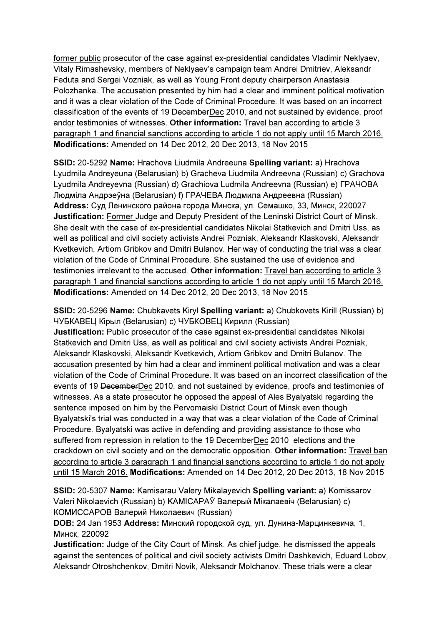former public prosecutor of the case against ex-presidential candidates Vladimir Neklyaev, Vitaly Rimashevsky, members of Neklyaev's campaign team Andrei Dmitriev, Aleksandr Feduta and Sergei Vozniak, as well as Young Front deputy chairperson Anastasia Polozhanka. The accusation presented by him had a clear and imminent political motivation and it was a clear violation of the Code of Criminal Procedure. It was based on an incorrect classification of the events of 19 DecemberDec 2010, and not sustained by evidence, proof andor testimonies of witnesses. Other information: Travel ban according to article 3 paragraph 1 and financial sanctions according to article 1 do not apply until 15 March 2016. Modifications: Amended on 14 Dec 2012, 20 Dec 2013, 18 Nov 2015

SSID: 20-5292 Name: Hrachova Liudmila Andreeuna Spelling variant: a) Hrachova Lyudmila Andreyeuna (Belarusian) b) Gracheva Liudmila Andreevna (Russian) c) Grachova Lyudmila Andreyevna (Russian) d) Grachiova Ludmila Andreevna (Russian) e) ГРАЧОВА Людміла Андрэеўна (Belarusian) f) ГРАЧЕВА Людмила Андреевна (Russian) Address: Суд Ленинского района города Минска, ул. Семашко, 33, Минск, 220027 Justification: Former Judge and Deputy President of the Leninski District Court of Minsk. She dealt with the case of ex-presidential candidates Nikolai Statkevich and Dmitri Uss, as well as political and civil society activists Andrei Pozniak, Aleksandr Klaskovski, Aleksandr Kvetkevich, Artiom Gribkov and Dmitri Bulanov. Her way of conducting the trial was a clear violation of the Code of Criminal Procedure. She sustained the use of evidence and testimonies irrelevant to the accused. Other information: Travel ban according to article 3 paragraph 1 and financial sanctions according to article 1 do not apply until 15 March 2016. Modifications: Amended on 14 Dec 2012, 20 Dec 2013, 18 Nov 2015

SSID: 20-5296 Name: Chubkavets Kiryl Spelling variant: a) Chubkovets Kirill (Russian) b) ЧУБКАВЕЦ Кірыл (Belarusian) c) ЧУБКОВЕЦ Кирилл (Russian)

Justification: Public prosecutor of the case against ex-presidential candidates Nikolai Statkevich and Dmitri Uss, as well as political and civil society activists Andrei Pozniak, Aleksandr Klaskovski, Aleksandr Kvetkevich, Artiom Gribkov and Dmitri Bulanov. The accusation presented by him had a clear and imminent political motivation and was a clear violation of the Code of Criminal Procedure. It was based on an incorrect classification of the events of 19 DecemberDec 2010, and not sustained by evidence, proofs and testimonies of witnesses. As a state prosecutor he opposed the appeal of Ales Byalyatski regarding the sentence imposed on him by the Pervomaiski District Court of Minsk even though Byalyatski's trial was conducted in a way that was a clear violation of the Code of Criminal Procedure. Byalyatski was active in defending and providing assistance to those who suffered from repression in relation to the 19 DecemberDec 2010 elections and the crackdown on civil society and on the democratic opposition. Other information: Travel ban according to article 3 paragraph 1 and financial sanctions according to article 1 do not apply until 15 March 2016. Modifications: Amended on 14 Dec 2012, 20 Dec 2013, 18 Nov 2015

SSID: 20-5307 Name: Kamisarau Valery Mikalayevich Spelling variant: a) Komissarov Valeri Nikolaevich (Russian) b) KAMICAPAЎ Валерый Мікалаевіч (Belarusian) c) КОМИССАРОВ Валерий Николаевич (Russian)

DOB: 24 Jan 1953 Address: Минский городской суд, ул. Дунина-Марцинкевича, 1, Минск, 220092

Justification: Judge of the City Court of Minsk. As chief judge, he dismissed the appeals against the sentences of political and civil society activists Dmitri Dashkevich, Eduard Lobov, Aleksandr Otroshchenkov, Dmitri Novik, Aleksandr Molchanov. These trials were a clear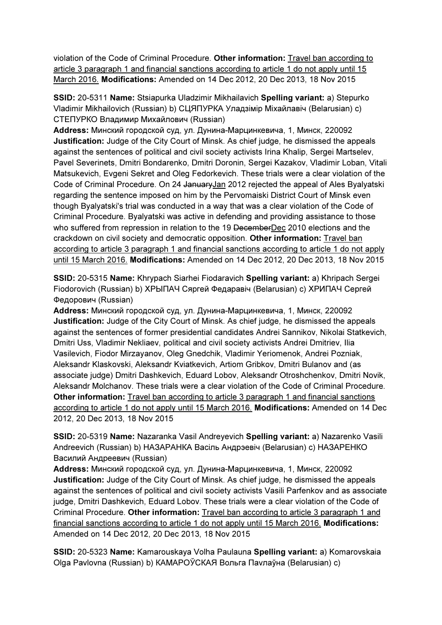violation of the Code of Criminal Procedure. Other information: Travel ban according to article 3 paragraph 1 and financial sanctions according to article 1 do not apply until 15 March 2016. Modifications: Amended on 14 Dec 2012, 20 Dec 2013, 18 Nov 2015

SSID: 20-5311 Name: Stsiapurka Uladzimir Mikhailavich Spelling variant: a) Stepurko Vladimir Mikhailovich (Russian) b) СЦЯПУРКА Уладзімір Міхайлавіч (Belarusian) c) СТЕПУРКО Владимир Михайлович (Russian)

Address: Минский городской суд, ул. Дунина-Марцинкевича, 1, Минск, 220092 Justification: Judge of the City Court of Minsk. As chief judge, he dismissed the appeals against the sentences of political and civil society activists Irina Khalip, Sergei Martselev, Pavel Severinets, Dmitri Bondarenko, Dmitri Doronin, Sergei Kazakov, Vladimir Loban, Vitali Matsukevich, Evgeni Sekret and Oleg Fedorkevich. These trials were a clear violation of the Code of Criminal Procedure. On 24 JanuaryJan 2012 rejected the appeal of Ales Byalyatski regarding the sentence imposed on him by the Pervomaiski District Court of Minsk even though Byalyatski's trial was conducted in a way that was a clear violation of the Code of Criminal Procedure. Byalyatski was active in defending and providing assistance to those who suffered from repression in relation to the 19 DecemberDec 2010 elections and the crackdown on civil society and democratic opposition. Other information: Travel ban according to article 3 paragraph 1 and financial sanctions according to article 1 do not apply until 15 March 2016. Modifications: Amended on 14 Dec 2012, 20 Dec 2013, 18 Nov 2015

SSID: 20-5315 Name: Khrypach Siarhei Fiodaravich Spelling variant: a) Khripach Sergei Fiodorovich (Russian) b) ХРЫПАЧ Сяргей Федаравiч (Belarusian) c) ХРИПАЧ Сергей Федорович (Russian)

Address: Минский городской суд, ул. Дунина-Марцинкевича, 1, Минск, 220092 Justification: Judge of the City Court of Minsk. As chief judge, he dismissed the appeals against the sentences of former presidential candidates Andrei Sannikov, Nikolai Statkevich, Dmitri Uss, Vladimir Nekliaev, political and civil society activists Andrei Dmitriev, Ilia Vasilevich, Fiodor Mirzayanov, Oleg Gnedchik, Vladimir Yeriomenok, Andrei Pozniak, Aleksandr Klaskovski, Aleksandr Kviatkevich, Artiom Gribkov, Dmitri Bulanov and (as associate judge) Dmitri Dashkevich, Eduard Lobov, Aleksandr Otroshchenkov, Dmitri Novik, Aleksandr Molchanov. These trials were a clear violation of the Code of Criminal Procedure. Other information: Travel ban according to article 3 paragraph 1 and financial sanctions according to article 1 do not apply until 15 March 2016. Modifications: Amended on 14 Dec 2012, 20 Dec 2013, 18 Nov 2015

SSID: 20-5319 Name: Nazaranka Vasil Andreyevich Spelling variant: a) Nazarenko Vasili Andreevich (Russian) b) НАЗАРАНКА Васіль Андрэевіч (Belarusian) c) НАЗАРЕНКО Василий Андреевич (Russian)

Address: Минский городской суд, ул. Дунина-Марцинкевича, 1, Минск, 220092 Justification: Judge of the City Court of Minsk. As chief judge, he dismissed the appeals against the sentences of political and civil society activists Vasili Parfenkov and as associate judge, Dmitri Dashkevich, Eduard Lobov. These trials were a clear violation of the Code of Criminal Procedure. Other information: Travel ban according to article 3 paragraph 1 and financial sanctions according to article 1 do not apply until 15 March 2016. Modifications: Amended on 14 Dec 2012, 20 Dec 2013, 18 Nov 2015

SSID: 20-5323 Name: Kamarouskaya Volha Paulauna Spelling variant: a) Komarovskaia Olga Pavlovna (Russian) b) КАМАРОЎСКАЯ Вольга Паvлаўна (Belarusian) c)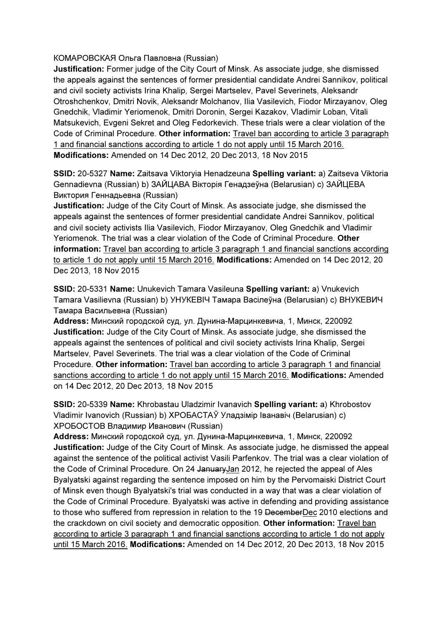КОМАРОВСКАЯ Ольга Павловна (Russian)

Justification: Former judge of the City Court of Minsk. As associate judge, she dismissed the appeals against the sentences of former presidential candidate Andrei Sannikov, political and civil society activists Irina Khalip, Sergei Martselev, Pavel Severinets, Aleksandr Otroshchenkov, Dmitri Novik, Aleksandr Molchanov, Ilia Vasilevich, Fiodor Mirzayanov, Oleg Gnedchik, Vladimir Yeriomenok, Dmitri Doronin, Sergei Kazakov, Vladimir Loban, Vitali Matsukevich, Evgeni Sekret and Oleg Fedorkevich. These trials were a clear violation of the Code of Criminal Procedure. Other information: Travel ban according to article 3 paragraph 1 and financial sanctions according to article 1 do not apply until 15 March 2016. Modifications: Amended on 14 Dec 2012, 20 Dec 2013, 18 Nov 2015

SSID: 20-5327 Name: Zaitsava Viktoryia Henadzeuna Spelling variant: a) Zaitseva Viktoria Gennadievna (Russian) b) ЗАЙЦАВА Вiкторiя Генадзеўна (Belarusian) c) ЗАЙЦЕВА Виктория Геннадьевна (Russian)

Justification: Judge of the City Court of Minsk. As associate judge, she dismissed the appeals against the sentences of former presidential candidate Andrei Sannikov, political and civil society activists Ilia Vasilevich, Fiodor Mirzayanov, Oleg Gnedchik and Vladimir Yeriomenok. The trial was a clear violation of the Code of Criminal Procedure. Other information: Travel ban according to article 3 paragraph 1 and financial sanctions according to article 1 do not apply until 15 March 2016. Modifications: Amended on 14 Dec 2012, 20 Dec 2013, 18 Nov 2015

SSID: 20-5331 Name: Unukevich Tamara Vasileuna Spelling variant: a) Vnukevich Tamara Vasilievna (Russian) b) УНУКЕВIЧ Тамара Васілеўна (Belarusian) c) ВНУКЕВИЧ Тамара Васильевна (Russian)

Address: Минский городской суд, ул. Дунина-Марцинкевича, 1, Минск, 220092 Justification: Judge of the City Court of Minsk. As associate judge, she dismissed the appeals against the sentences of political and civil society activists Irina Khalip, Sergei Martselev, Pavel Severinets. The trial was a clear violation of the Code of Criminal Procedure. Other information: Travel ban according to article 3 paragraph 1 and financial sanctions according to article 1 do not apply until 15 March 2016. Modifications: Amended on 14 Dec 2012, 20 Dec 2013, 18 Nov 2015

SSID: 20-5339 Name: Khrobastau Uladzimir Ivanavich Spelling variant: a) Khrobostov Vladimir Ivanovich (Russian) b) ХРОБАСТАЎ Уладзімір Іванавіч (Belarusian) c) ХРОБОСТОВ Владимир Иванович (Russian)

Address: Минский городской суд, ул. Дунина-Марцинкевича, 1, Минск, 220092 Justification: Judge of the City Court of Minsk. As associate judge, he dismissed the appeal against the sentence of the political activist Vasili Parfenkov. The trial was a clear violation of the Code of Criminal Procedure. On 24 JanuaryJan 2012, he rejected the appeal of Ales Byalyatski against regarding the sentence imposed on him by the Pervomaiski District Court of Minsk even though Byalyatski's trial was conducted in a way that was a clear violation of the Code of Criminal Procedure. Byalyatski was active in defending and providing assistance to those who suffered from repression in relation to the 19 DecemberDec 2010 elections and the crackdown on civil society and democratic opposition. Other information: Travel ban according to article 3 paragraph 1 and financial sanctions according to article 1 do not apply until 15 March 2016. Modifications: Amended on 14 Dec 2012, 20 Dec 2013, 18 Nov 2015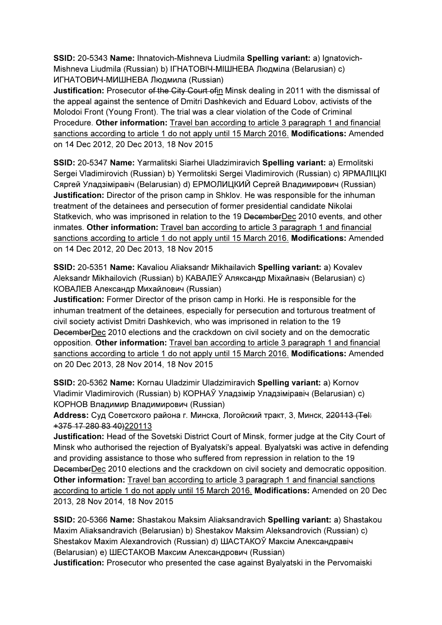SSID: 20-5343 Name: Ihnatovich-Mishneva Liudmila Spelling variant: a) Ignatovich-Mishneva Liudmila (Russian) b) IГНАТОВIЧ-МIШНЕВА Людміла (Belarusian) c) ИГНАТОВИЧ-МИШНЕВА Людмила (Russian)

Justification: Prosecutor of the City Court ofin Minsk dealing in 2011 with the dismissal of the appeal against the sentence of Dmitri Dashkevich and Eduard Lobov, activists of the Molodoi Front (Young Front). The trial was a clear violation of the Code of Criminal Procedure. Other information: Travel ban according to article 3 paragraph 1 and financial sanctions according to article 1 do not apply until 15 March 2016. Modifications: Amended on 14 Dec 2012, 20 Dec 2013, 18 Nov 2015

SSID: 20-5347 Name: Yarmalitski Siarhei Uladzimiravich Spelling variant: a) Ermolitski Sergei Vladimirovich (Russian) b) Yermolitski Sergei Vladimirovich (Russian) c) ЯРМАЛIЦКI Сяргей Уладзіміравіч (Belarusian) d) ЕРМОЛИЦКИЙ Сергей Владимирович (Russian) Justification: Director of the prison camp in Shklov. He was responsible for the inhuman treatment of the detainees and persecution of former presidential candidate Nikolai Statkevich, who was imprisoned in relation to the 19 DecemberDec 2010 events, and other inmates. Other information: Travel ban according to article 3 paragraph 1 and financial sanctions according to article 1 do not apply until 15 March 2016. Modifications: Amended on 14 Dec 2012, 20 Dec 2013, 18 Nov 2015

SSID: 20-5351 Name: Kavaliou Aliaksandr Mikhailavich Spelling variant: a) Kovalev Aleksandr Mikhailovich (Russian) b) КАВАЛЕЎ Аляксандр Міхайлавіч (Belarusian) c) КОВАЛЕВ Александр Михайлович (Russian)

Justification: Former Director of the prison camp in Horki. He is responsible for the inhuman treatment of the detainees, especially for persecution and torturous treatment of civil society activist Dmitri Dashkevich, who was imprisoned in relation to the 19 DecemberDec 2010 elections and the crackdown on civil society and on the democratic opposition. Other information: Travel ban according to article 3 paragraph 1 and financial sanctions according to article 1 do not apply until 15 March 2016. Modifications: Amended on 20 Dec 2013, 28 Nov 2014, 18 Nov 2015

SSID: 20-5362 Name: Kornau Uladzimir Uladzimiravich Spelling variant: a) Kornov Vladimir Vladimirovich (Russian) b) КОРНАЎ Уладзімір Уладзіміравіч (Belarusian) c) КОРНОВ Владимир Владимирович (Russian)

Address: Суд Советского района г. Минска, Логойский тракт, 3, Минск, 220113 (Tel: +375 17 280 83 40)220113

Justification: Head of the Sovetski District Court of Minsk, former judge at the City Court of Minsk who authorised the rejection of Byalyatski's appeal. Byalyatski was active in defending and providing assistance to those who suffered from repression in relation to the 19 DecemberDec 2010 elections and the crackdown on civil society and democratic opposition. Other information: Travel ban according to article 3 paragraph 1 and financial sanctions according to article 1 do not apply until 15 March 2016. Modifications: Amended on 20 Dec 2013, 28 Nov 2014, 18 Nov 2015

SSID: 20-5366 Name: Shastakou Maksim Aliaksandravich Spelling variant: a) Shastakou Maxim Aliaksandravich (Belarusian) b) Shestakov Maksim Aleksandrovich (Russian) c) Shestakov Maxim Alexandrovich (Russian) d) ШАСТАКОЎ Максім Александравіч (Belarusian) e) ШЕСТАКОВ Максим Александрович (Russian)

Justification: Prosecutor who presented the case against Byalyatski in the Pervomaiski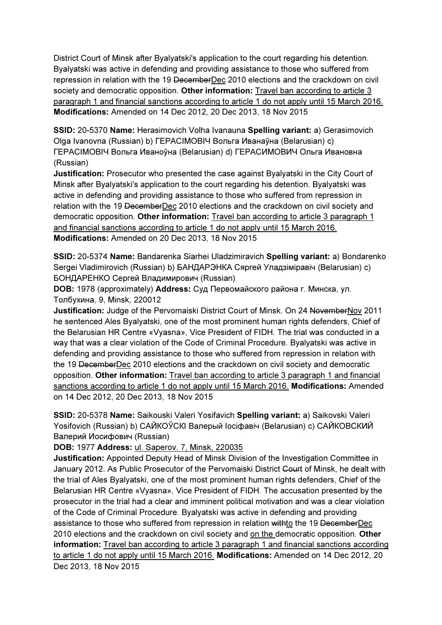District Court of Minsk after Byalyatski's application to the court regarding his detention. Byalyatski was active in defending and providing assistance to those who suffered from repression in relation with the 19 DecemberDec 2010 elections and the crackdown on civil society and democratic opposition. Other information: Travel ban according to article 3 paragraph 1 and financial sanctions according to article 1 do not apply until 15 March 2016. Modifications: Amended on 14 Dec 2012, 20 Dec 2013, 18 Nov 2015

SSID: 20-5370 Name: Herasimovich Volha Ivanauna Spelling variant: a) Gerasimovich Olga Ivanovna (Russian) b) ГЕРАСIМОВIЧ Вольга Иванаўна (Belarusian) c) ГЕРАСIМОВIЧ Вольга Иваноўна (Belarusian) d) ГЕРАСИМОВИЧ Ольга Ивановна (Russian)

Justification: Prosecutor who presented the case against Byalyatski in the City Court of Minsk after Byalyatski's application to the court regarding his detention. Byalyatski was active in defending and providing assistance to those who suffered from repression in relation with the 19 DecemberDec 2010 elections and the crackdown on civil society and democratic opposition. Other information: Travel ban according to article 3 paragraph 1 and financial sanctions according to article 1 do not apply until 15 March 2016. Modifications: Amended on 20 Dec 2013, 18 Nov 2015

SSID: 20-5374 Name: Bandarenka Siarhei Uladzimiravich Spelling variant: a) Bondarenko Sergei Vladimirovich (Russian) b) БАНДАРЭНКА Сяргей Уладзіміравіч (Belarusian) c) БОНДАРЕНКО Сергей Владимирович (Russian)

DOB: 1978 (approximately) Address: Суд Первомайского района г. Минска, ул. Толбухина, 9, Minsk, 220012

**Justification:** Judge of the Pervomaiski District Court of Minsk. On 24 NovemberNov 2011 he sentenced Ales Byalyatski, one of the most prominent human rights defenders, Chief of the Belarusian HR Centre «Vyasna», Vice President of FIDH. The trial was conducted in a way that was a clear violation of the Code of Criminal Procedure. Byalyatski was active in defending and providing assistance to those who suffered from repression in relation with the 19 DecemberDec 2010 elections and the crackdown on civil society and democratic opposition. Other information: Travel ban according to article 3 paragraph 1 and financial sanctions according to article 1 do not apply until 15 March 2016. Modifications: Amended on 14 Dec 2012, 20 Dec 2013, 18 Nov 2015

SSID: 20-5378 Name: Saikouski Valeri Yosifavich Spelling variant: a) Saikovski Valeri Yosifovich (Russian) b) САЙКОЎСКI Валерый Іосіфавіч (Belarusian) c) САЙКОВСКИЙ Валерий Иосифович (Russian)

DOB: 1977 Address: ul. Saperov. 7, Minsk, 220035

Justification: Appointed Deputy Head of Minsk Division of the Investigation Committee in January 2012. As Public Prosecutor of the Pervomaiski District Court of Minsk, he dealt with the trial of Ales Byalyatski, one of the most prominent human rights defenders, Chief of the Belarusian HR Centre «Vyasna», Vice President of FIDH. The accusation presented by the prosecutor in the trial had a clear and imminent political motivation and was a clear violation of the Code of Criminal Procedure. Byalyatski was active in defending and providing assistance to those who suffered from repression in relation withto the 19 DecemberDec 2010 elections and the crackdown on civil society and on the democratic opposition. Other information: Travel ban according to article 3 paragraph 1 and financial sanctions according to article 1 do not apply until 15 March 2016. Modifications: Amended on 14 Dec 2012, 20 Dec 2013, 18 Nov 2015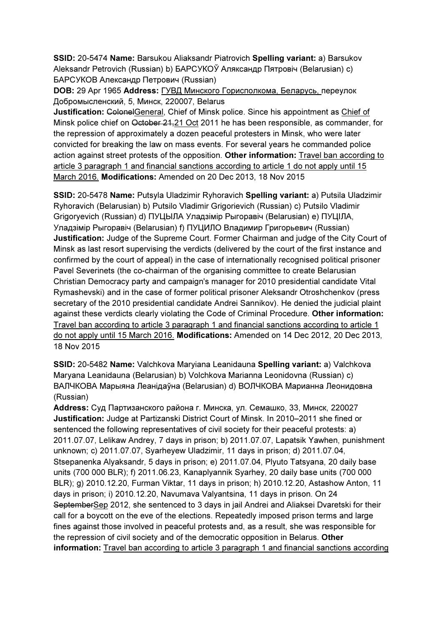SSID: 20-5474 Name: Barsukou Aliaksandr Piatrovich Spelling variant: a) Barsukov Aleksandr Petrovich (Russian) b) БАРСУКОЎ Аляксандр Пятровіч (Belarusian) c) БАРСУКОВ Александр Петрович (Russian)

DOB: 29 Apr 1965 Address: ГУВД Минского Горисполкома, Беларусь, переулок Добромысленский, 5, Минск, 220007, Belarus

Justification: ColonelGeneral, Chief of Minsk police. Since his appointment as Chief of Minsk police chief on October 21,21 Oct 2011 he has been responsible, as commander, for the repression of approximately a dozen peaceful protesters in Minsk, who were later convicted for breaking the law on mass events. For several years he commanded police action against street protests of the opposition. Other information: Travel ban according to article 3 paragraph 1 and financial sanctions according to article 1 do not apply until 15 March 2016. Modifications: Amended on 20 Dec 2013, 18 Nov 2015

SSID: 20-5478 Name: Putsyla Uladzimir Ryhoravich Spelling variant: a) Putsila Uladzimir Ryhoravich (Belarusian) b) Putsilo Vladimir Grigorievich (Russian) c) Putsilo Vladimir Grigoryevich (Russian) d) ПУЦЫЛА Уладзімір Рыгоравіч (Belarusian) e) ПУЦIЛА, Уладзімір Рыгоравіч (Belarusian) f) ПУЦИЛО Владимир Григорьевич (Russian) Justification: Judge of the Supreme Court. Former Chairman and judge of the City Court of Minsk as last resort supervising the verdicts (delivered by the court of the first instance and confirmed by the court of appeal) in the case of internationally recognised political prisoner Pavel Severinets (the co-chairman of the organising committee to create Belarusian Christian Democracy party and campaign's manager for 2010 presidential candidate Vital Rymashevski) and in the case of former political prisoner Aleksandr Otroshchenkov (press secretary of the 2010 presidential candidate Andrei Sannikov). He denied the judicial plaint against these verdicts clearly violating the Code of Criminal Procedure. Other information: Travel ban according to article 3 paragraph 1 and financial sanctions according to article 1 do not apply until 15 March 2016. Modifications: Amended on 14 Dec 2012, 20 Dec 2013, 18 Nov 2015

SSID: 20-5482 Name: Valchkova Maryiana Leanidauna Spelling variant: a) Valchkova Maryana Leanidauna (Belarusian) b) Volchkova Marianna Leonidovna (Russian) c) ВАЛЧКОВА Марыяна Леанідаўна (Belarusian) d) ВОЛЧКОВА Марианна Леонидовна (Russian)

Address: Суд Партизанского района г. Минска, ул. Семашко, 33, Минск, 220027 Justification: Judge at Partizanski District Court of Minsk. In 2010–2011 she fined or sentenced the following representatives of civil society for their peaceful protests: a) 2011.07.07, Lelikaw Andrey, 7 days in prison; b) 2011.07.07, Lapatsik Yawhen, punishment unknown; c) 2011.07.07, Syarheyew Uladzimir, 11 days in prison; d) 2011.07.04, Stsepanenka Alyaksandr, 5 days in prison; e) 2011.07.04, Plyuto Tatsyana, 20 daily base units (700 000 BLR); f) 2011.06.23, Kanaplyannik Syarhey, 20 daily base units (700 000 BLR); g) 2010.12.20, Furman Viktar, 11 days in prison; h) 2010.12.20, Astashow Anton, 11 days in prison; i) 2010.12.20, Navumava Valyantsina, 11 days in prison. On 24 SeptemberSep 2012, she sentenced to 3 days in jail Andrei and Aliaksei Dvaretski for their call for a boycott on the eve of the elections. Repeatedly imposed prison terms and large fines against those involved in peaceful protests and, as a result, she was responsible for the repression of civil society and of the democratic opposition in Belarus. Other information: Travel ban according to article 3 paragraph 1 and financial sanctions according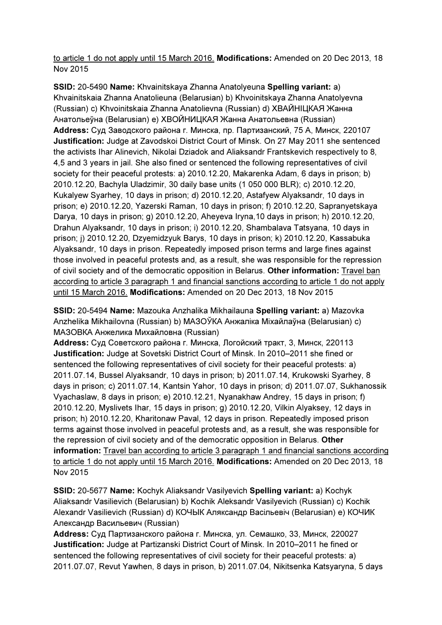to article 1 do not apply until 15 March 2016. Modifications: Amended on 20 Dec 2013, 18 Nov 2015

SSID: 20-5490 Name: Khvainitskaya Zhanna Anatolyeuna Spelling variant: a) Khvainitskaia Zhanna Anatolieuna (Belarusian) b) Khvoinitskaya Zhanna Anatolyevna (Russian) c) Khvoinitskaia Zhanna Anatolievna (Russian) d) ХВАЙНIЦКАЯ Жанна Анатольеўна (Belarusian) e) ХВОЙНИЦКАЯ Жанна Анатольевна (Russian) Address: Суд Заводского района г. Минска, пр. Партизанский, 75 А, Минск, 220107 Justification: Judge at Zavodskoi District Court of Minsk. On 27 May 2011 she sentenced the activists Ihar Alinevich, Nikolai Dziadok and Aliaksandr Frantskevich respectively to 8, 4,5 and 3 years in jail. She also fined or sentenced the following representatives of civil society for their peaceful protests: a) 2010.12.20, Makarenka Adam, 6 days in prison; b) 2010.12.20, Bachyla Uladzimir, 30 daily base units (1 050 000 BLR); c) 2010.12.20, Kukalyew Syarhey, 10 days in prison; d) 2010.12.20, Astafyew Alyaksandr, 10 days in prison; e) 2010.12.20, Yazerski Raman, 10 days in prison; f) 2010.12.20, Sapranyetskaya Darya, 10 days in prison; g) 2010.12.20, Aheyeva Iryna,10 days in prison; h) 2010.12.20, Drahun Alyaksandr, 10 days in prison; i) 2010.12.20, Shambalava Tatsyana, 10 days in prison; j) 2010.12.20, Dzyemidzyuk Barys, 10 days in prison; k) 2010.12.20, Kassabuka Alyaksandr, 10 days in prison. Repeatedly imposed prison terms and large fines against those involved in peaceful protests and, as a result, she was responsible for the repression of civil society and of the democratic opposition in Belarus. Other information: Travel ban according to article 3 paragraph 1 and financial sanctions according to article 1 do not apply until 15 March 2016. Modifications: Amended on 20 Dec 2013, 18 Nov 2015

SSID: 20-5494 Name: Mazouka Anzhalika Mikhailauna Spelling variant: a) Mazovka Anzhelika Mikhailovna (Russian) b) МАЗОЎКА Анжаліка Міхайлаўна (Belarusian) c) МАЗОВКA Анжелика Михайловна (Russian)

Address: Суд Советского района г. Минска, Логойский тракт, 3, Минск, 220113 Justification: Judge at Sovetski District Court of Minsk. In 2010–2011 she fined or sentenced the following representatives of civil society for their peaceful protests: a) 2011.07.14, Bussel Alyaksandr, 10 days in prison; b) 2011.07.14, Krukowski Syarhey, 8 days in prison; c) 2011.07.14, Kantsin Yahor, 10 days in prison; d) 2011.07.07, Sukhanossik Vyachaslaw, 8 days in prison; e) 2010.12.21, Nyanakhaw Andrey, 15 days in prison; f) 2010.12.20, Myslivets Ihar, 15 days in prison; g) 2010.12.20, Vilkin Alyaksey, 12 days in prison; h) 2010.12.20, Kharitonaw Paval, 12 days in prison. Repeatedly imposed prison terms against those involved in peaceful protests and, as a result, she was responsible for the repression of civil society and of the democratic opposition in Belarus. Other information: Travel ban according to article 3 paragraph 1 and financial sanctions according to article 1 do not apply until 15 March 2016. Modifications: Amended on 20 Dec 2013, 18 Nov 2015

SSID: 20-5677 Name: Kochyk Aliaksandr Vasilyevich Spelling variant: a) Kochyk Aliaksandr Vasilievich (Belarusian) b) Kochik Aleksandr Vasilyevich (Russian) c) Kochik Alexandr Vasilievich (Russian) d) КОЧЫК Аляксандр Васільевіч (Belarusian) e) КОЧИК Александр Васильевич (Russian)

Address: Суд Партизанского района г. Минска, ул. Семашко, 33, Минск, 220027 Justification: Judge at Partizanski District Court of Minsk. In 2010–2011 he fined or sentenced the following representatives of civil society for their peaceful protests: a) 2011.07.07, Revut Yawhen, 8 days in prison, b) 2011.07.04, Nikitsenka Katsyaryna, 5 days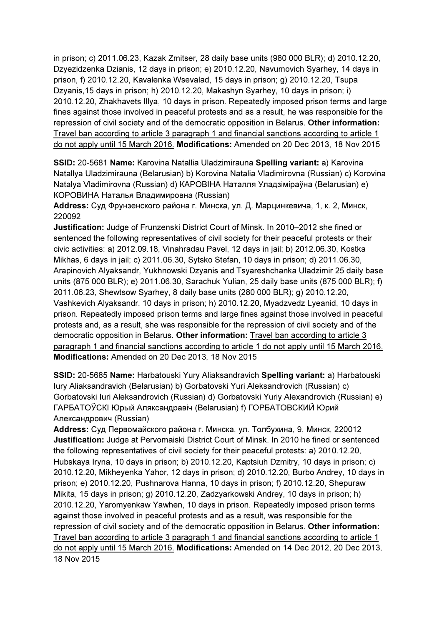in prison; c) 2011.06.23, Kazak Zmitser, 28 daily base units (980 000 BLR); d) 2010.12.20, Dzyezidzenka Dzianis, 12 days in prison; e) 2010.12.20, Navumovich Syarhey, 14 days in prison, f) 2010.12.20, Kavalenka Wsevalad, 15 days in prison; g) 2010.12.20, Tsupa Dzyanis,15 days in prison; h) 2010.12.20, Makashyn Syarhey, 10 days in prison; i) 2010.12.20, Zhakhavets Illya, 10 days in prison. Repeatedly imposed prison terms and large fines against those involved in peaceful protests and as a result, he was responsible for the repression of civil society and of the democratic opposition in Belarus. Other information: Travel ban according to article 3 paragraph 1 and financial sanctions according to article 1 do not apply until 15 March 2016. Modifications: Amended on 20 Dec 2013, 18 Nov 2015

SSID: 20-5681 Name: Karovina Natallia Uladzimirauna Spelling variant: a) Karovina Natallya Uladzimirauna (Belarusian) b) Korovina Natalia Vladimirovna (Russian) c) Korovina Natalya Vladimirovna (Russian) d) КАРОВIНА Наталля Уладзіміраўна (Belarusian) e) КОРОВИНА Наталья Владимировна (Russian)

Address: Суд Фрунзенского района г. Минска, ул. Д. Марцинкевича, 1, к. 2, Минск, 220092

Justification: Judge of Frunzenski District Court of Minsk. In 2010–2012 she fined or sentenced the following representatives of civil society for their peaceful protests or their civic activities: a) 2012.09.18, Vinahradau Pavel, 12 days in jail; b) 2012.06.30, Kostka Mikhas, 6 days in jail; c) 2011.06.30, Sytsko Stefan, 10 days in prison; d) 2011.06.30, Arapinovich Alyaksandr, Yukhnowski Dzyanis and Tsyareshchanka Uladzimir 25 daily base units (875 000 BLR); e) 2011.06.30, Sarachuk Yulian, 25 daily base units (875 000 BLR); f) 2011.06.23, Shewtsow Syarhey, 8 daily base units (280 000 BLR); g) 2010.12.20, Vashkevich Alyaksandr, 10 days in prison; h) 2010.12.20, Myadzvedz Lyeanid, 10 days in prison. Repeatedly imposed prison terms and large fines against those involved in peaceful protests and, as a result, she was responsible for the repression of civil society and of the democratic opposition in Belarus. Other information: Travel ban according to article 3 paragraph 1 and financial sanctions according to article 1 do not apply until 15 March 2016. Modifications: Amended on 20 Dec 2013, 18 Nov 2015

SSID: 20-5685 Name: Harbatouski Yury Aliaksandravich Spelling variant: a) Harbatouski Iury Aliaksandravich (Belarusian) b) Gorbatovski Yuri Aleksandrovich (Russian) c) Gorbatovski Iuri Aleksandrovich (Russian) d) Gorbatovski Yuriy Alexandrovich (Russian) e) ГАРБАТОЎСКI Юрый Аляксандравіч (Belarusian) f) ГОРБАТОВСКИЙ Юрий Александрович (Russian)

Address: Суд Первомайского района г. Минска, ул. Толбухина, 9, Минск, 220012 Justification: Judge at Pervomaiski District Court of Minsk. In 2010 he fined or sentenced the following representatives of civil society for their peaceful protests: a) 2010.12.20, Hubskaya Iryna, 10 days in prison; b) 2010.12.20, Kaptsiuh Dzmitry, 10 days in prison; c) 2010.12.20, Mikheyenka Yahor, 12 days in prison; d) 2010.12.20, Burbo Andrey, 10 days in prison; e) 2010.12.20, Pushnarova Hanna, 10 days in prison; f) 2010.12.20, Shepuraw Mikita, 15 days in prison; g) 2010.12.20, Zadzyarkowski Andrey, 10 days in prison; h) 2010.12.20, Yaromyenkaw Yawhen, 10 days in prison. Repeatedly imposed prison terms against those involved in peaceful protests and as a result, was responsible for the repression of civil society and of the democratic opposition in Belarus. Other information: Travel ban according to article 3 paragraph 1 and financial sanctions according to article 1 do not apply until 15 March 2016. Modifications: Amended on 14 Dec 2012, 20 Dec 2013, 18 Nov 2015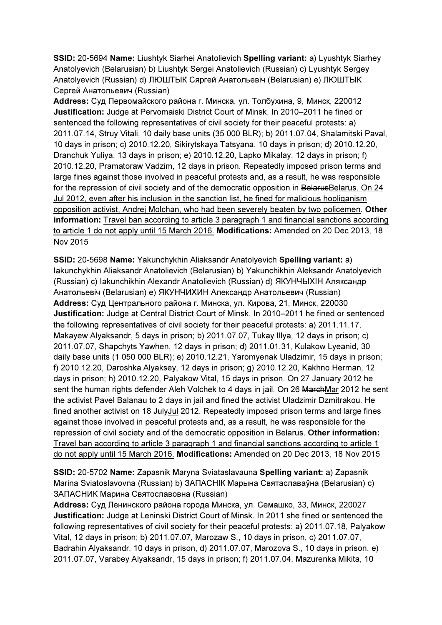SSID: 20-5694 Name: Liushtyk Siarhei Anatolievich Spelling variant: a) Lyushtyk Siarhey Anatolyevich (Belarusian) b) Liushtyk Sergei Anatolievich (Russian) c) Lyushtyk Sergey Anatolyevich (Russian) d) ЛЮШТЫК Сяргей Анатольевіч (Belarusian) e) ЛЮШТЫК Сергей Анатольевич (Russian)

Address: Суд Первомайского района г. Минска, ул. Толбухина, 9, Минск, 220012 Justification: Judge at Pervomaiski District Court of Minsk. In 2010–2011 he fined or sentenced the following representatives of civil society for their peaceful protests: a) 2011.07.14, Struy Vitali, 10 daily base units (35 000 BLR); b) 2011.07.04, Shalamitski Paval, 10 days in prison; c) 2010.12.20, Sikirytskaya Tatsyana, 10 days in prison; d) 2010.12.20, Dranchuk Yuliya, 13 days in prison; e) 2010.12.20, Lapko Mikalay, 12 days in prison; f) 2010.12.20, Pramatoraw Vadzim, 12 days in prison. Repeatedly imposed prison terms and large fines against those involved in peaceful protests and, as a result, he was responsible for the repression of civil society and of the democratic opposition in BelarusBelarus. On 24 Jul 2012, even after his inclusion in the sanction list, he fined for malicious hooliganism opposition activist, Andrej Molchan, who had been severely beaten by two policemen. Other information: Travel ban according to article 3 paragraph 1 and financial sanctions according to article 1 do not apply until 15 March 2016. Modifications: Amended on 20 Dec 2013, 18 Nov 2015

SSID: 20-5698 Name: Yakunchykhin Aliaksandr Anatolyevich Spelling variant: a) Iakunchykhin Aliaksandr Anatolievich (Belarusian) b) Yakunchikhin Aleksandr Anatolyevich (Russian) c) Iakunchikhin Alexandr Anatolievich (Russian) d) ЯКУНЧЫХIН Аляксандр Анатольевіч (Belarusian) e) ЯКУНЧИХИН Александр Анатольевич (Russian) Address: Суд Центрального района г. Минска, ул. Кирова, 21, Минск, 220030 Justification: Judge at Central District Court of Minsk. In 2010–2011 he fined or sentenced the following representatives of civil society for their peaceful protests: a) 2011.11.17, Makayew Alyaksandr, 5 days in prison; b) 2011.07.07, Tukay Illya, 12 days in prison; c) 2011.07.07, Shapchyts Yawhen, 12 days in prison; d) 2011.01.31, Kulakow Lyeanid, 30 daily base units (1 050 000 BLR); e) 2010.12.21, Yaromyenak Uladzimir, 15 days in prison; f) 2010.12.20, Daroshka Alyaksey, 12 days in prison; g) 2010.12.20, Kakhno Herman, 12 days in prison; h) 2010.12.20, Palyakow Vital, 15 days in prison. On 27 January 2012 he sent the human rights defender Aleh Volchek to 4 days in jail. On 26 MarchMar 2012 he sent the activist Pavel Balanau to 2 days in jail and fined the activist Uladzimir Dzmitrakou. He fined another activist on 18 JulyJul 2012. Repeatedly imposed prison terms and large fines against those involved in peaceful protests and, as a result, he was responsible for the repression of civil society and of the democratic opposition in Belarus. Other information: Travel ban according to article 3 paragraph 1 and financial sanctions according to article 1 do not apply until 15 March 2016. Modifications: Amended on 20 Dec 2013, 18 Nov 2015

SSID: 20-5702 Name: Zapasnik Maryna Sviataslavauna Spelling variant: a) Zapasnik Marina Sviatoslavovna (Russian) b) ЗАПАСНIК Марына Святаславаўна (Belarusian) c) ЗАПАСНИК Марина Святославовна (Russian)

Address: Суд Ленинского района города Минска, ул. Семашко, 33, Минск, 220027 Justification: Judge at Leninski District Court of Minsk. In 2011 she fined or sentenced the following representatives of civil society for their peaceful protests: a) 2011.07.18, Palyakow Vital, 12 days in prison; b) 2011.07.07, Marozaw S., 10 days in prison, c) 2011.07.07, Badrahin Alyaksandr, 10 days in prison, d) 2011.07.07, Marozova S., 10 days in prison, e) 2011.07.07, Varabey Alyaksandr, 15 days in prison; f) 2011.07.04, Mazurenka Mikita, 10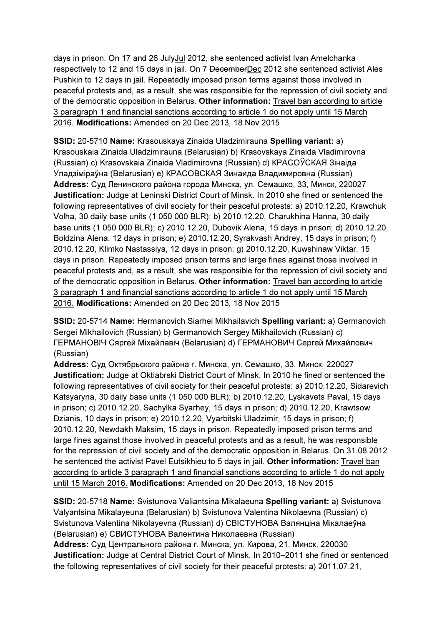days in prison. On 17 and 26 JulyJul 2012, she sentenced activist Ivan Amelchanka respectively to 12 and 15 days in jail. On 7 DecemberDec 2012 she sentenced activist Ales Pushkin to 12 days in jail. Repeatedly imposed prison terms against those involved in peaceful protests and, as a result, she was responsible for the repression of civil society and of the democratic opposition in Belarus. Other information: Travel ban according to article 3 paragraph 1 and financial sanctions according to article 1 do not apply until 15 March 2016. Modifications: Amended on 20 Dec 2013, 18 Nov 2015

SSID: 20-5710 Name: Krasouskaya Zinaida Uladzimirauna Spelling variant: a) Krasouskaia Zinaida Uladzimirauna (Belarusian) b) Krasovskaya Zinaida Vladimirovna (Russian) c) Krasovskaia Zinaida Vladimirovna (Russian) d) КРАСОЎСКАЯ Зінаіда Уладзіміраўна (Belarusian) e) КРАСОВСКАЯ Зинаида Владимировна (Russian) Address: Суд Ленинского района города Минска, ул. Семашко, 33, Минск, 220027 Justification: Judge at Leninski District Court of Minsk. In 2010 she fined or sentenced the following representatives of civil society for their peaceful protests: a) 2010.12.20, Krawchuk Volha, 30 daily base units (1 050 000 BLR); b) 2010.12.20, Charukhina Hanna, 30 daily base units (1 050 000 BLR); c) 2010.12.20, Dubovik Alena, 15 days in prison; d) 2010.12.20, Boldzina Alena, 12 days in prison; e) 2010.12.20, Syrakvash Andrey, 15 days in prison; f) 2010.12.20, Klimko Nastassiya, 12 days in prison; g) 2010.12.20, Kuwshinaw Viktar, 15 days in prison. Repeatedly imposed prison terms and large fines against those involved in peaceful protests and, as a result, she was responsible for the repression of civil society and of the democratic opposition in Belarus. Other information: Travel ban according to article 3 paragraph 1 and financial sanctions according to article 1 do not apply until 15 March 2016. Modifications: Amended on 20 Dec 2013, 18 Nov 2015

SSID: 20-5714 Name: Hermanovich Siarhei Mikhailavich Spelling variant: a) Germanovich Sergei Mikhailovich (Russian) b) Germanovich Sergey Mikhailovich (Russian) c) ГЕРМАНОВIЧ Сяргей Міхайлавіч (Belarusian) d) ГЕРМАНОВИЧ Сергей Михайлович (Russian)

Address: Суд Октябрьского района г. Минска, ул. Семашко, 33, Минск, 220027 Justification: Judge at Oktiabrski District Court of Minsk. In 2010 he fined or sentenced the following representatives of civil society for their peaceful protests: a) 2010.12.20, Sidarevich Katsyaryna, 30 daily base units (1 050 000 BLR); b) 2010.12.20, Lyskavets Paval, 15 days in prison; c) 2010.12.20, Sachylka Syarhey, 15 days in prison; d) 2010.12.20, Krawtsow Dzianis, 10 days in prison; e) 2010.12.20, Vyarbitski Uladzimir, 15 days in prison; f) 2010.12.20, Newdakh Maksim, 15 days in prison. Repeatedly imposed prison terms and large fines against those involved in peaceful protests and as a result, he was responsible for the repression of civil society and of the democratic opposition in Belarus. On 31.08.2012 he sentenced the activist Pavel Eutsikhieu to 5 days in jail. Other information: Travel ban according to article 3 paragraph 1 and financial sanctions according to article 1 do not apply until 15 March 2016. Modifications: Amended on 20 Dec 2013, 18 Nov 2015

SSID: 20-5718 Name: Svistunova Valiantsina Mikalaeuna Spelling variant: a) Svistunova Valyantsina Mikalayeuna (Belarusian) b) Svistunova Valentina Nikolaevna (Russian) c) Svistunova Valentina Nikolayevna (Russian) d) СВIСТУНОВА Валянціна Мікалаеўна (Belarusian) e) СВИСТУНОВА Валентина Николаевна (Russian)

Address: Суд Центрального района г. Минска, ул. Кирова, 21, Минск, 220030 Justification: Judge at Central District Court of Minsk. In 2010–2011 she fined or sentenced the following representatives of civil society for their peaceful protests: a) 2011.07.21,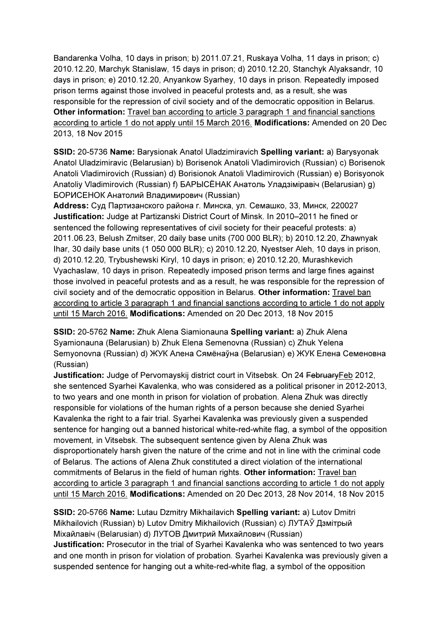Bandarenka Volha, 10 days in prison; b) 2011.07.21, Ruskaya Volha, 11 days in prison; c) 2010.12.20, Marchyk Stanislaw, 15 days in prison; d) 2010.12.20, Stanchyk Alyaksandr, 10 days in prison; e) 2010.12.20, Anyankow Syarhey, 10 days in prison. Repeatedly imposed prison terms against those involved in peaceful protests and, as a result, she was responsible for the repression of civil society and of the democratic opposition in Belarus. Other information: Travel ban according to article 3 paragraph 1 and financial sanctions according to article 1 do not apply until 15 March 2016. Modifications: Amended on 20 Dec 2013, 18 Nov 2015

SSID: 20-5736 Name: Barysionak Anatol Uladzimiravich Spelling variant: a) Barysyonak Anatol Uladzimiravic (Belarusian) b) Borisenok Anatoli Vladimirovich (Russian) c) Borisenok Anatoli Vladimirovich (Russian) d) Borisionok Anatoli Vladimirovich (Russian) e) Borisyonok Anatoliy Vladimirovich (Russian) f) БАРЫСЁНАК Анатоль Уладзіміравіч (Belarusian) g) БОРИСЕНОК Анатолий Владимирович (Russian)

Address: Суд Партизанского района г. Минска, ул. Семашко, 33, Минск, 220027 Justification: Judge at Partizanski District Court of Minsk. In 2010–2011 he fined or sentenced the following representatives of civil society for their peaceful protests: a) 2011.06.23, Belush Zmitser, 20 daily base units (700 000 BLR); b) 2010.12.20, Zhawnyak Ihar, 30 daily base units (1 050 000 BLR); c) 2010.12.20, Nyestser Aleh, 10 days in prison, d) 2010.12.20, Trybushewski Kiryl, 10 days in prison; e) 2010.12.20, Murashkevich Vyachaslaw, 10 days in prison. Repeatedly imposed prison terms and large fines against those involved in peaceful protests and as a result, he was responsible for the repression of civil society and of the democratic opposition in Belarus. Other information: Travel ban according to article 3 paragraph 1 and financial sanctions according to article 1 do not apply until 15 March 2016. Modifications: Amended on 20 Dec 2013, 18 Nov 2015

SSID: 20-5762 Name: Zhuk Alena Siamionauna Spelling variant: a) Zhuk Alena Syamionauna (Belarusian) b) Zhuk Elena Semenovna (Russian) c) Zhuk Yelena Semyonovna (Russian) d) ЖУК Алена Сямёнаўна (Belarusian) e) ЖУК Елена Семеновна (Russian)

Justification: Judge of Pervomayskij district court in Vitsebsk. On 24 FebruaryFeb 2012, she sentenced Syarhei Kavalenka, who was considered as a political prisoner in 2012-2013, to two years and one month in prison for violation of probation. Alena Zhuk was directly responsible for violations of the human rights of a person because she denied Syarhei Kavalenka the right to a fair trial. Syarhei Kavalenka was previously given a suspended sentence for hanging out a banned historical white-red-white flag, a symbol of the opposition movement, in Vitsebsk. The subsequent sentence given by Alena Zhuk was disproportionately harsh given the nature of the crime and not in line with the criminal code of Belarus. The actions of Alena Zhuk constituted a direct violation of the international commitments of Belarus in the field of human rights. Other information: Travel ban according to article 3 paragraph 1 and financial sanctions according to article 1 do not apply until 15 March 2016. Modifications: Amended on 20 Dec 2013, 28 Nov 2014, 18 Nov 2015

SSID: 20-5766 Name: Lutau Dzmitry Mikhailavich Spelling variant: a) Lutov Dmitri Mikhailovich (Russian) b) Lutov Dmitry Mikhailovich (Russian) c) ЛУТАЎ Дзмітрый Міхайлавіч (Belarusian) d) ЛУТОВ Дмитрий Михайлович (Russian) Justification: Prosecutor in the trial of Syarhei Kavalenka who was sentenced to two years and one month in prison for violation of probation. Syarhei Kavalenka was previously given a suspended sentence for hanging out a white-red-white flag, a symbol of the opposition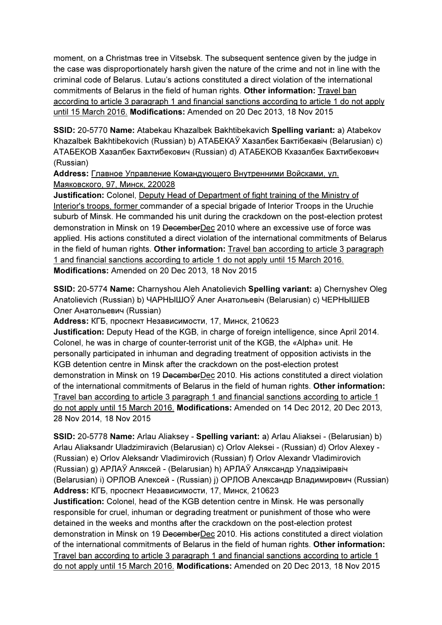moment, on a Christmas tree in Vitsebsk. The subsequent sentence given by the judge in the case was disproportionately harsh given the nature of the crime and not in line with the criminal code of Belarus. Lutau's actions constituted a direct violation of the international commitments of Belarus in the field of human rights. Other information: Travel ban according to article 3 paragraph 1 and financial sanctions according to article 1 do not apply until 15 March 2016. Modifications: Amended on 20 Dec 2013, 18 Nov 2015

SSID: 20-5770 Name: Atabekau Khazalbek Bakhtibekavich Spelling variant: a) Atabekov Khazalbek Bakhtibekovich (Russian) b) АТАБЕКАЎ Хазалбек Бактібекавіч (Belarusian) c) АТАБЕКОВ Хазалбек Бахтибекович (Russian) d) АТАБЕКОВ Кхазалбек Бахтибекович (Russian)

Address: Главное Управление Командующего Внутренними Войсками, ул. Маяковского, 97, Минск, 220028

Justification: Colonel, Deputy Head of Department of fight training of the Ministry of Interior's troops, former commander of a special brigade of Interior Troops in the Uruchie suburb of Minsk. He commanded his unit during the crackdown on the post-election protest demonstration in Minsk on 19 DecemberDec 2010 where an excessive use of force was applied. His actions constituted a direct violation of the international commitments of Belarus in the field of human rights. Other information: Travel ban according to article 3 paragraph 1 and financial sanctions according to article 1 do not apply until 15 March 2016. Modifications: Amended on 20 Dec 2013, 18 Nov 2015

SSID: 20-5774 Name: Charnyshou Aleh Anatolievich Spelling variant: a) Chernyshev Oleg Anatolievich (Russian) b) ЧАРНЫШОЎ Алег Анатольевiч (Belarusian) c) ЧЕРНЫШЕВ Олег Анатольевич (Russian)

Address: КГБ, проспект Независимости, 17, Минск, 210623

Justification: Deputy Head of the KGB, in charge of foreign intelligence, since April 2014. Colonel, he was in charge of counter-terrorist unit of the KGB, the «Alpha» unit. He personally participated in inhuman and degrading treatment of opposition activists in the KGB detention centre in Minsk after the crackdown on the post-election protest demonstration in Minsk on 19 DecemberDec 2010. His actions constituted a direct violation of the international commitments of Belarus in the field of human rights. Other information: Travel ban according to article 3 paragraph 1 and financial sanctions according to article 1 do not apply until 15 March 2016. Modifications: Amended on 14 Dec 2012, 20 Dec 2013, 28 Nov 2014, 18 Nov 2015

SSID: 20-5778 Name: Arlau Aliaksey - Spelling variant: a) Arlau Aliaksei - (Belarusian) b) Arlau Aliaksandr Uladzimiravich (Belarusian) c) Orlov Aleksei - (Russian) d) Orlov Alexey - (Russian) e) Orlov Aleksandr Vladimirovich (Russian) f) Orlov Alexandr Vladimirovich (Russian) g) APЛAЎ Аляксей - (Belarusian) h) APЛAЎ Аляксандр Уладзіміравіч (Belarusian) i) OPЛОВ Алексей - (Russian) j) OPЛОВ Александр Владимирович (Russian) Address: КГБ, проспект Независимости, 17, Минск, 210623

Justification: Colonel, head of the KGB detention centre in Minsk. He was personally responsible for cruel, inhuman or degrading treatment or punishment of those who were detained in the weeks and months after the crackdown on the post-election protest demonstration in Minsk on 19 DecemberDec 2010. His actions constituted a direct violation of the international commitments of Belarus in the field of human rights. Other information: Travel ban according to article 3 paragraph 1 and financial sanctions according to article 1 do not apply until 15 March 2016. Modifications: Amended on 20 Dec 2013, 18 Nov 2015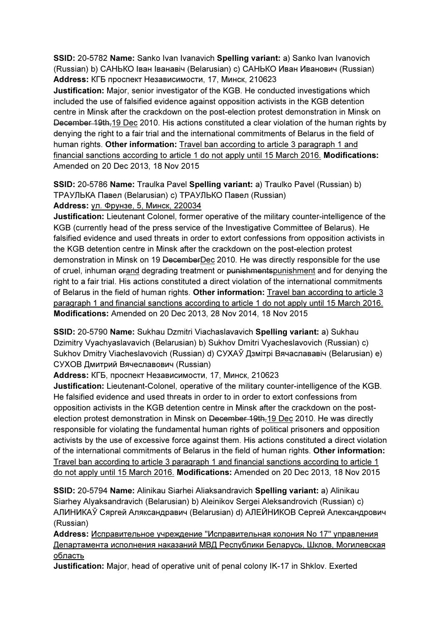SSID: 20-5782 Name: Sanko Ivan Ivanavich Spelling variant: a) Sanko Ivan Ivanovich (Russian) b) САНЬКО Іван Іванавіч (Belarusian) c) САНЬКО Иван Иванович (Russian) Address: КГБ проспект Независимости, 17, Минск, 210623

**Justification:** Major, senior investigator of the KGB. He conducted investigations which included the use of falsified evidence against opposition activists in the KGB detention centre in Minsk after the crackdown on the post-election protest demonstration in Minsk on December 19th,19 Dec 2010. His actions constituted a clear violation of the human rights by denying the right to a fair trial and the international commitments of Belarus in the field of human rights. Other information: Travel ban according to article 3 paragraph 1 and financial sanctions according to article 1 do not apply until 15 March 2016. Modifications: Amended on 20 Dec 2013, 18 Nov 2015

SSID: 20-5786 Name: Traulka Pavel Spelling variant: a) Traulko Pavel (Russian) b) ТРАУЛЬКА Павел (Belarusian) c) ТРАУЛЬКО Павел (Russian) Address: ул. Фрунзе, 5, Минск, 220034

Justification: Lieutenant Colonel, former operative of the military counter-intelligence of the KGB (currently head of the press service of the Investigative Committee of Belarus). He falsified evidence and used threats in order to extort confessions from opposition activists in the KGB detention centre in Minsk after the crackdown on the post-election protest demonstration in Minsk on 19 DecemberDec 2010. He was directly responsible for the use of cruel, inhuman orand degrading treatment or punishmentspunishment and for denying the right to a fair trial. His actions constituted a direct violation of the international commitments of Belarus in the field of human rights. Other information: Travel ban according to article 3 paragraph 1 and financial sanctions according to article 1 do not apply until 15 March 2016. Modifications: Amended on 20 Dec 2013, 28 Nov 2014, 18 Nov 2015

SSID: 20-5790 Name: Sukhau Dzmitri Viachaslavavich Spelling variant: a) Sukhau Dzimitry Vyachyaslavavich (Belarusian) b) Sukhov Dmitri Vyacheslavovich (Russian) c) Sukhov Dmitry Viacheslavovich (Russian) d) СУХАЎ Дзмітрі Вячаслававіч (Belarusian) e) СУХОВ Дмитрий Вячеславович (Russian)

Address: КГБ, проспект Независимости, 17, Минск, 210623

Justification: Lieutenant-Colonel, operative of the military counter-intelligence of the KGB. He falsified evidence and used threats in order to in order to extort confessions from opposition activists in the KGB detention centre in Minsk after the crackdown on the postelection protest demonstration in Minsk on December 19th,19 Dec 2010. He was directly responsible for violating the fundamental human rights of political prisoners and opposition activists by the use of excessive force against them. His actions constituted a direct violation of the international commitments of Belarus in the field of human rights. Other information: Travel ban according to article 3 paragraph 1 and financial sanctions according to article 1 do not apply until 15 March 2016. Modifications: Amended on 20 Dec 2013, 18 Nov 2015

SSID: 20-5794 Name: Alinikau Siarhei Aliaksandravich Spelling variant: a) Alinikau Siarhey Alyaksandravich (Belarusian) b) Aleinikov Sergei Aleksandrovich (Russian) c) АЛИНИКАЎ Сяргей Аляксандравич (Belarusian) d) АЛEЙНИКOВ Сергей Александрович (Russian)

Address: Исправительное учреждение "Исправительная колония No 17" управления Департамента исполнения наказаний МВД Республики Беларусь, Шклов, Могилевская область

Justification: Major, head of operative unit of penal colony IK-17 in Shklov. Exerted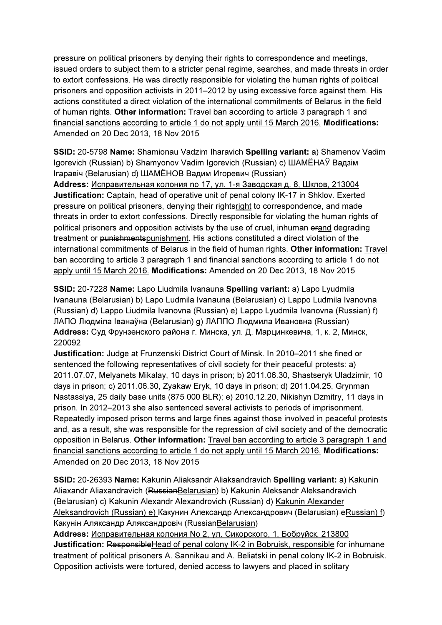pressure on political prisoners by denying their rights to correspondence and meetings, issued orders to subject them to a stricter penal regime, searches, and made threats in order to extort confessions. He was directly responsible for violating the human rights of political prisoners and opposition activists in 2011–2012 by using excessive force against them. His actions constituted a direct violation of the international commitments of Belarus in the field of human rights. Other information: Travel ban according to article 3 paragraph 1 and financial sanctions according to article 1 do not apply until 15 March 2016. Modifications: Amended on 20 Dec 2013, 18 Nov 2015

SSID: 20-5798 Name: Shamionau Vadzim Iharavich Spelling variant: a) Shamenov Vadim Igorevich (Russian) b) Shamyonov Vadim Igorevich (Russian) c) ШАМЁНАЎ Вадзiм Ігаравіч (Belarusian) d) ШАМЁНОВ Вадим Игоревич (Russian)

Address: Исправительная колония no 17, ул. 1-я Заводская д. 8, Шклов, 213004 Justification: Captain, head of operative unit of penal colony IK-17 in Shklov. Exerted pressure on political prisoners, denying their rightsright to correspondence, and made threats in order to extort confessions. Directly responsible for violating the human rights of political prisoners and opposition activists by the use of cruel, inhuman orand degrading treatment or punishmentspunishment. His actions constituted a direct violation of the international commitments of Belarus in the field of human rights. Other information: Travel ban according to article 3 paragraph 1 and financial sanctions according to article 1 do not apply until 15 March 2016. Modifications: Amended on 20 Dec 2013, 18 Nov 2015

SSID: 20-7228 Name: Lapo Liudmila Ivanauna Spelling variant: a) Lapo Lyudmila Ivanauna (Belarusian) b) Lapo Ludmila Ivanauna (Belarusian) c) Lappo Ludmila Ivanovna (Russian) d) Lappo Liudmila Ivanovna (Russian) e) Lappo Lyudmila Ivanovna (Russian) f) ЛАПО Людміла Іванаўна (Belarusian) g) ЛАППО Людмила Ивановна (Russian) Address: Суд Фрунзенского района г. Минска, ул. Д. Марцинкевича, 1, к. 2, Минск, 220092

Justification: Judge at Frunzenski District Court of Minsk. In 2010–2011 she fined or sentenced the following representatives of civil society for their peaceful protests: a) 2011.07.07, Melyanets Mikalay, 10 days in prison; b) 2011.06.30, Shastseryk Uladzimir, 10 days in prison; c) 2011.06.30, Zyakaw Eryk, 10 days in prison; d) 2011.04.25, Grynman Nastassiya, 25 daily base units (875 000 BLR); e) 2010.12.20, Nikishyn Dzmitry, 11 days in prison. In 2012–2013 she also sentenced several activists to periods of imprisonment. Repeatedly imposed prison terms and large fines against those involved in peaceful protests and, as a result, she was responsible for the repression of civil society and of the democratic opposition in Belarus. Other information: Travel ban according to article 3 paragraph 1 and financial sanctions according to article 1 do not apply until 15 March 2016. Modifications: Amended on 20 Dec 2013, 18 Nov 2015

SSID: 20-26393 Name: Kakunin Aliaksandr Aliaksandravich Spelling variant: a) Kakunin Aliaxandr Aliaxandravich (RussianBelarusian) b) Kakunin Aleksandr Aleksandravich (Belarusian) c) Kakunin Alexandr Alexandrovich (Russian) d) Kakunin Alexander Aleksandrovich (Russian) e) Какунин Александр Александрович (Belarusian) eRussian) f) Какунiн Аляксандр Аляксандровiч (RussianBelarusian)

Address: Исправительная колония No 2, ул. Сикорского, 1, Бобруйск, 213800 Justification: Responsible Head of penal colony IK-2 in Bobruisk, responsible for inhumane treatment of political prisoners A. Sannikau and A. Beliatski in penal colony IK-2 in Bobruisk. Opposition activists were tortured, denied access to lawyers and placed in solitary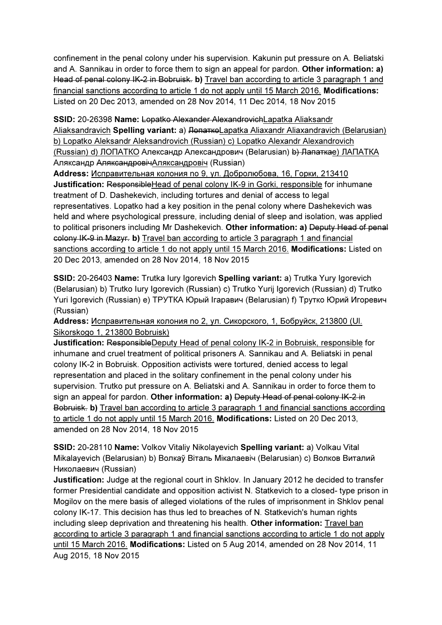confinement in the penal colony under his supervision. Kakunin put pressure on A. Beliatski and A. Sannikau in order to force them to sign an appeal for pardon. Other information: a) Head of penal colony IK-2 in Bobruisk. b) Travel ban according to article 3 paragraph 1 and financial sanctions according to article 1 do not apply until 15 March 2016. Modifications: Listed on 20 Dec 2013, amended on 28 Nov 2014, 11 Dec 2014, 18 Nov 2015

SSID: 20-26398 Name: Lopatko Alexander AlexandrovichLapatka Aliaksandr Aliaksandravich Spelling variant: a) <del>Лопатко</del>Lapatka Aliaxandr Aliaxandravich (Belarusian) b) Lopatko Aleksandr Aleksandrovich (Russian) c) Lopatko Alexandr Alexandrovich (Russian) d) ЛОПАТКО Александр Александрович (Belarusian) b) Лапаткаe) ЛАПАТКА Аляксандр АляксандровiчАляксандровіч (Russian)

Address: Исправительная колония no 9, ул. Добролюбова, 16, Горки, 213410 Justification: ResponsibleHead of penal colony IK-9 in Gorki, responsible for inhumane treatment of D. Dashekevich, including tortures and denial of access to legal representatives. Lopatko had a key position in the penal colony where Dashekevich was held and where psychological pressure, including denial of sleep and isolation, was applied to political prisoners including Mr Dashekevich. Other information: a) Deputy Head of penal colony IK-9 in Mazyr. b) Travel ban according to article 3 paragraph 1 and financial sanctions according to article 1 do not apply until 15 March 2016. Modifications: Listed on 20 Dec 2013, amended on 28 Nov 2014, 18 Nov 2015

SSID: 20-26403 Name: Trutka Iury Igorevich Spelling variant: a) Trutka Yury Igorevich (Belarusian) b) Trutko Iury Igorevich (Russian) c) Trutko Yurij Igorevich (Russian) d) Trutko Yuri Igorevich (Russian) e) ТРУТКA Юрый Iгаравич (Belarusian) f) Трутко Юрий Игоревич (Russian)

Address: Исправительная колония no 2, ул. Сикорского, 1, Бобруйск, 213800 (Ul. Sikorskogo 1, 213800 Bobruisk)

Justification: ResponsibleDeputy Head of penal colony IK-2 in Bobruisk, responsible for inhumane and cruel treatment of political prisoners A. Sannikau and A. Beliatski in penal colony IK-2 in Bobruisk. Opposition activists were tortured, denied access to legal representation and placed in the solitary confinement in the penal colony under his supervision. Trutko put pressure on A. Beliatski and A. Sannikau in order to force them to sign an appeal for pardon. Other information: a) Deputy Head of penal colony IK-2 in Bobruisk. b) Travel ban according to article 3 paragraph 1 and financial sanctions according to article 1 do not apply until 15 March 2016. Modifications: Listed on 20 Dec 2013, amended on 28 Nov 2014, 18 Nov 2015

SSID: 20-28110 Name: Volkov Vitaliy Nikolayevich Spelling variant: a) Volkau Vital Mikalayevich (Belarusian) b) Волкаў Віталь Мiкалаевiч (Belarusian) c) Волков Виталий Николаевич (Russian)

Justification: Judge at the regional court in Shklov. In January 2012 he decided to transfer former Presidential candidate and opposition activist N. Statkevich to a closed- type prison in Mogilov on the mere basis of alleged violations of the rules of imprisonment in Shklov penal colony IK-17. This decision has thus led to breaches of N. Statkevich's human rights including sleep deprivation and threatening his health. Other information: Travel ban according to article 3 paragraph 1 and financial sanctions according to article 1 do not apply until 15 March 2016. Modifications: Listed on 5 Aug 2014, amended on 28 Nov 2014, 11 Aug 2015, 18 Nov 2015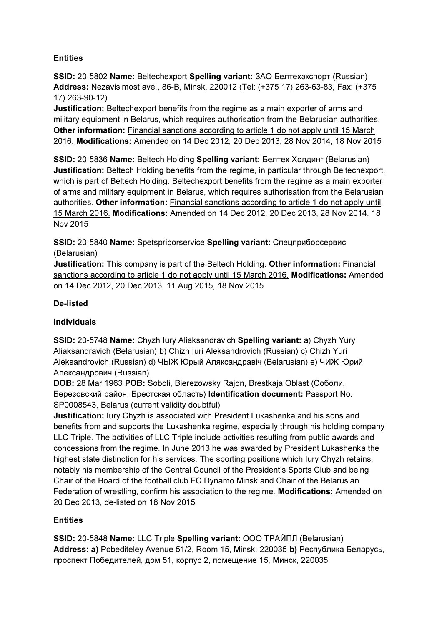### **Entities**

SSID: 20-5802 Name: Beltechexport Spelling variant: ЗАО Белтехэкспорт (Russian) Address: Nezavisimost ave., 86-B, Minsk, 220012 (Tel: (+375 17) 263-63-83, Fax: (+375 17) 263-90-12)

Justification: Beltechexport benefits from the regime as a main exporter of arms and military equipment in Belarus, which requires authorisation from the Belarusian authorities. Other information: Financial sanctions according to article 1 do not apply until 15 March 2016. Modifications: Amended on 14 Dec 2012, 20 Dec 2013, 28 Nov 2014, 18 Nov 2015

SSID: 20-5836 Name: Beltech Holding Spelling variant: Белтех Холдинг (Belarusian) Justification: Beltech Holding benefits from the regime, in particular through Beltechexport, which is part of Beltech Holding. Beltechexport benefits from the regime as a main exporter of arms and military equipment in Belarus, which requires authorisation from the Belarusian authorities. Other information: Financial sanctions according to article 1 do not apply until 15 March 2016. Modifications: Amended on 14 Dec 2012, 20 Dec 2013, 28 Nov 2014, 18 Nov 2015

SSID: 20-5840 Name: Spetspriborservice Spelling variant: Спецприборсервис (Belarusian)

Justification: This company is part of the Beltech Holding. Other information: Financial sanctions according to article 1 do not apply until 15 March 2016. Modifications: Amended on 14 Dec 2012, 20 Dec 2013, 11 Aug 2015, 18 Nov 2015

# De-listed

### Individuals

SSID: 20-5748 Name: Chyzh Iury Aliaksandravich Spelling variant: a) Chyzh Yury Aliaksandravich (Belarusian) b) Chizh Iuri Aleksandrovich (Russian) c) Chizh Yuri Aleksandrovich (Russian) d) ЧЫЖ Юрый Аляксандравіч (Belarusian) e) ЧИЖ Юрий Александрович (Russian)

DOB: 28 Mar 1963 POB: Soboli, Bierezowsky Rajon, Brestkaja Oblast (Соболи, Березовский район, Брестская область) Identification document: Passport No. SP0008543, Belarus (current validity doubtful)

Justification: Iury Chyzh is associated with President Lukashenka and his sons and benefits from and supports the Lukashenka regime, especially through his holding company LLC Triple. The activities of LLC Triple include activities resulting from public awards and concessions from the regime. In June 2013 he was awarded by President Lukashenka the highest state distinction for his services. The sporting positions which Iury Chyzh retains, notably his membership of the Central Council of the President's Sports Club and being Chair of the Board of the football club FC Dynamo Minsk and Chair of the Belarusian Federation of wrestling, confirm his association to the regime. Modifications: Amended on 20 Dec 2013, de-listed on 18 Nov 2015

# **Entities**

SSID: 20-5848 Name: LLC Triple Spelling variant: ООО ТРАЙПЛ (Belarusian) Address: a) Pobediteley Avenue 51/2, Room 15, Minsk, 220035 b) Республика Беларусь, проспект Победителей, дом 51, корпус 2, помещение 15, Минск, 220035